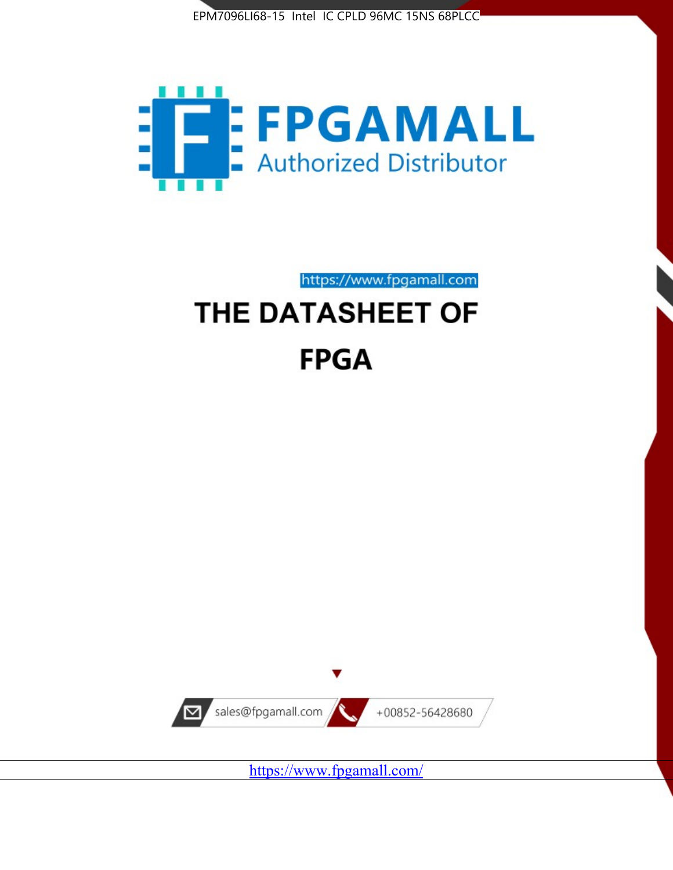



https://www.fpgamall.com

# THE DATASHEET OF **FPGA**



<https://www.fpgamall.com/>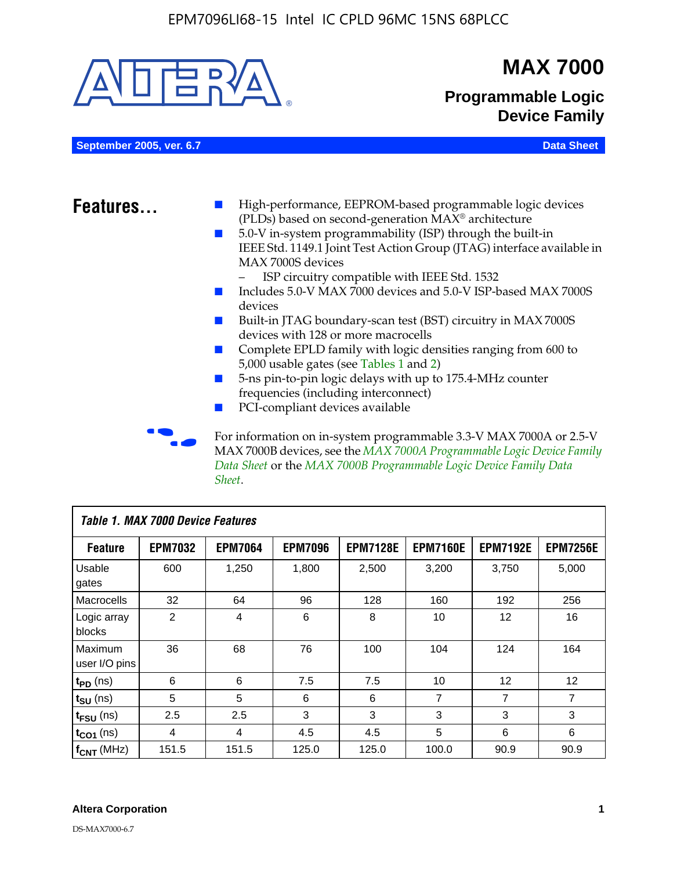

MAX 7000B devices, see the *MAX 7000A Programmable Logic Device Family Data Sheet* or the *MAX 7000B Programmable Logic Device Family Data Sheet*.

| Table 1. MAX 7000 Device Features |                |                |                |                 |                 |                   |                 |
|-----------------------------------|----------------|----------------|----------------|-----------------|-----------------|-------------------|-----------------|
| <b>Feature</b>                    | <b>EPM7032</b> | <b>EPM7064</b> | <b>EPM7096</b> | <b>EPM7128E</b> | <b>EPM7160E</b> | <b>EPM7192E</b>   | <b>EPM7256E</b> |
| Usable<br>gates                   | 600            | 1,250          | 1,800          | 2,500           | 3,200           | 3.750             | 5,000           |
| Macrocells                        | 32             | 64             | 96             | 128             | 160             | 192               | 256             |
| Logic array<br>blocks             | $\overline{2}$ | 4              | 6              | 8               | 10              | 12                | 16              |
| Maximum<br>user I/O pins          | 36             | 68             | 76             | 100             | 104             | 124               | 164             |
| $t_{PD}$ (ns)                     | 6              | 6              | 7.5            | 7.5             | 10              | $12 \overline{ }$ | 12              |
| $t_{SU}$ (ns)                     | 5              | 5              | 6              | 6               | 7               | $\overline{7}$    | $\overline{7}$  |
| $t_{FSU}$ (ns)                    | 2.5            | 2.5            | 3              | 3               | 3               | 3                 | 3               |
| $t_{CO1}$ (ns)                    | 4              | 4              | 4.5            | 4.5             | 5               | 6                 | 6               |
| $f_{CNT}$ (MHz)                   | 151.5          | 151.5          | 125.0          | 125.0           | 100.0           | 90.9              | 90.9            |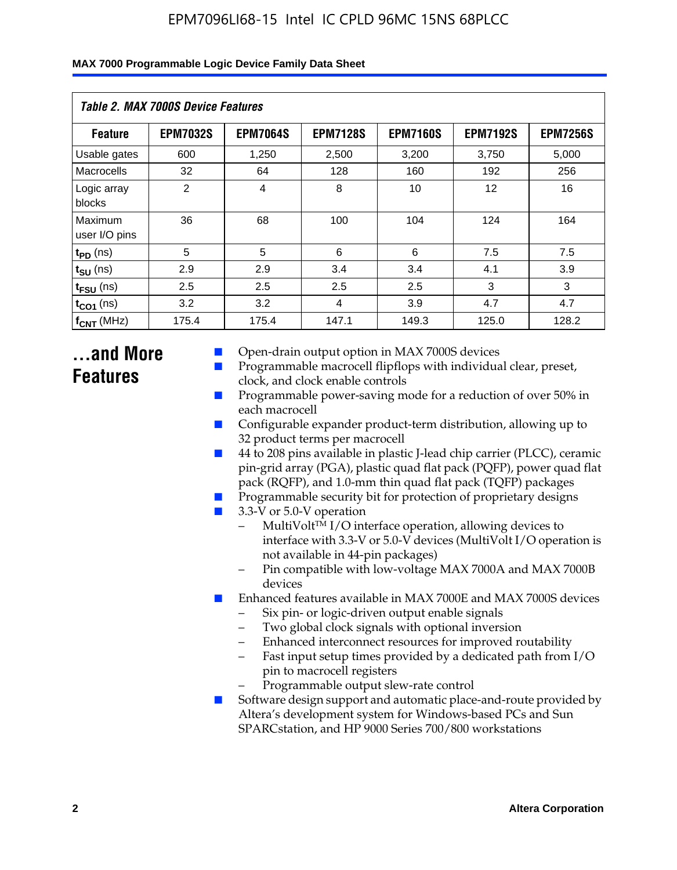| Table 2. MAX 7000S Device Features |                 |                 |                 |                 |                 |                 |  |
|------------------------------------|-----------------|-----------------|-----------------|-----------------|-----------------|-----------------|--|
| <b>Feature</b>                     | <b>EPM7032S</b> | <b>EPM7064S</b> | <b>EPM7128S</b> | <b>EPM7160S</b> | <b>EPM7192S</b> | <b>EPM7256S</b> |  |
| Usable gates                       | 600             | 1,250           | 2,500           | 3,200           | 3,750           | 5,000           |  |
| Macrocells                         | 32              | 64              | 128             | 160             | 192             | 256             |  |
| Logic array<br>blocks              | $\overline{2}$  | $\overline{4}$  | 8               | 10              | 12              | 16              |  |
| Maximum<br>user I/O pins           | 36              | 68              | 100             | 104             | 124             | 164             |  |
| $t_{PD}$ (ns)                      | 5               | 5               | 6               | 6               | 7.5             | 7.5             |  |
| $t_{SU}$ (ns)                      | 2.9             | 2.9             | 3.4             | 3.4             | 4.1             | 3.9             |  |
| $t_{\text{FSU}}$ (ns)              | 2.5             | 2.5             | 2.5             | 2.5             | 3               | 3               |  |
| $t_{CO1}$ (ns)                     | 3.2             | 3.2             | $\overline{4}$  | 3.9             | 4.7             | 4.7             |  |
| $f_{CNT}$ (MHz)                    | 175.4           | 175.4           | 147.1           | 149.3           | 125.0           | 128.2           |  |

## **...and More Features**

- Open-drain output option in MAX 7000S devices
- Programmable macrocell flipflops with individual clear, preset, clock, and clock enable controls
- Programmable power-saving mode for a reduction of over 50% in each macrocell
- Configurable expander product-term distribution, allowing up to 32 product terms per macrocell
- 44 to 208 pins available in plastic J-lead chip carrier (PLCC), ceramic pin-grid array (PGA), plastic quad flat pack (PQFP), power quad flat pack (RQFP), and 1.0-mm thin quad flat pack (TQFP) packages
- Programmable security bit for protection of proprietary designs
- 3.3-V or 5.0-V operation
	- MultiVolt<sup>TM</sup> I/O interface operation, allowing devices to interface with 3.3-V or 5.0-V devices (MultiVolt I/O operation is not available in 44-pin packages)
	- Pin compatible with low-voltage MAX 7000A and MAX 7000B devices
- Enhanced features available in MAX 7000E and MAX 7000S devices
	- Six pin- or logic-driven output enable signals
	- Two global clock signals with optional inversion
	- Enhanced interconnect resources for improved routability
	- Fast input setup times provided by a dedicated path from I/O pin to macrocell registers
	- Programmable output slew-rate control
- Software design support and automatic place-and-route provided by Altera's development system for Windows-based PCs and Sun SPARCstation, and HP 9000 Series 700/800 workstations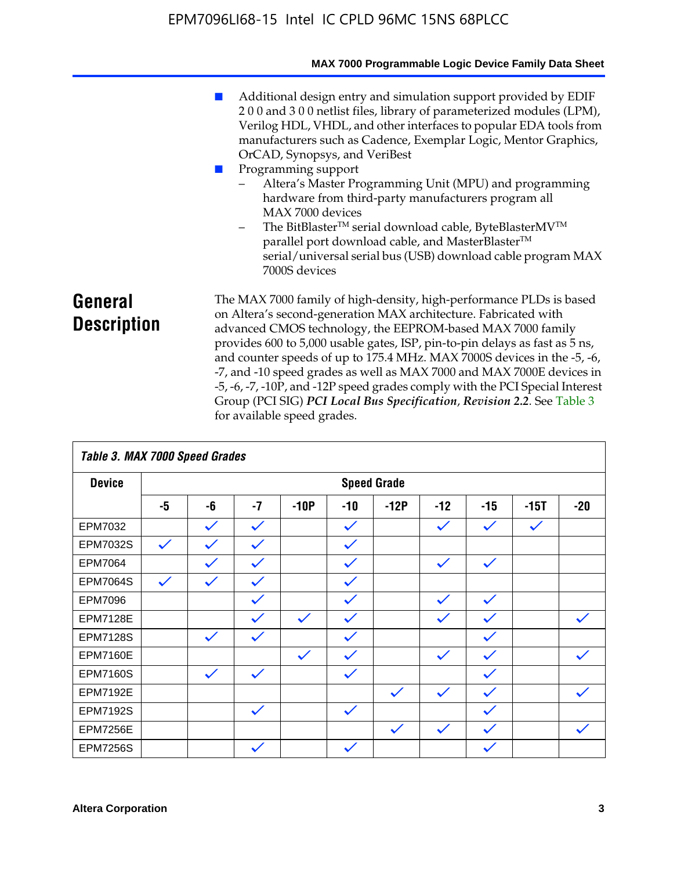|                               | MAX 7000 Programmable Logic Device Family Data Sheet                                                                                                                                                                                                                                                                                                                                                                                                                                                                                                                                                                                                                            |
|-------------------------------|---------------------------------------------------------------------------------------------------------------------------------------------------------------------------------------------------------------------------------------------------------------------------------------------------------------------------------------------------------------------------------------------------------------------------------------------------------------------------------------------------------------------------------------------------------------------------------------------------------------------------------------------------------------------------------|
|                               | Additional design entry and simulation support provided by EDIF<br>200 and 300 netlist files, library of parameterized modules (LPM),<br>Verilog HDL, VHDL, and other interfaces to popular EDA tools from<br>manufacturers such as Cadence, Exemplar Logic, Mentor Graphics,<br>OrCAD, Synopsys, and VeriBest<br>Programming support<br>Altera's Master Programming Unit (MPU) and programming<br>hardware from third-party manufacturers program all<br>MAX 7000 devices<br>The BitBlaster™ serial download cable, ByteBlasterMV™<br>$-$<br>parallel port download cable, and MasterBlaster™<br>serial/universal serial bus (USB) download cable program MAX<br>7000S devices |
| General<br><b>Description</b> | The MAX 7000 family of high-density, high-performance PLDs is based<br>on Altera's second-generation MAX architecture. Fabricated with<br>advanced CMOS technology, the EEPROM-based MAX 7000 family<br>provides 600 to 5,000 usable gates, ISP, pin-to-pin delays as fast as 5 ns,<br>and counter speeds of up to 175.4 MHz. MAX 7000S devices in the -5, -6,<br>-7, and -10 speed grades as well as MAX 7000 and MAX 7000E devices in<br>-5, -6, -7, -10P, and -12P speed grades comply with the PCI Special Interest<br>Group (PCI SIG) PCI Local Bus Specification, Revision 2.2. See Table 3                                                                               |

| Table 3. MAX 7000 Speed Grades |              |              |              |              |              |                    |              |              |              |              |
|--------------------------------|--------------|--------------|--------------|--------------|--------------|--------------------|--------------|--------------|--------------|--------------|
| <b>Device</b>                  |              |              |              |              |              | <b>Speed Grade</b> |              |              |              |              |
|                                | -5           | -6           | $-7$         | $-10P$       | -10          | $-12P$             | $-12$        | $-15$        | $-15T$       | $-20$        |
| EPM7032                        |              | $\checkmark$ | $\checkmark$ |              | $\checkmark$ |                    | $\checkmark$ | $\checkmark$ | $\checkmark$ |              |
| EPM7032S                       | $\checkmark$ | $\checkmark$ | $\checkmark$ |              | $\checkmark$ |                    |              |              |              |              |
| <b>EPM7064</b>                 |              | $\checkmark$ | $\checkmark$ |              | $\checkmark$ |                    | $\checkmark$ | $\checkmark$ |              |              |
| <b>EPM7064S</b>                | $\checkmark$ | $\checkmark$ | $\checkmark$ |              | $\checkmark$ |                    |              |              |              |              |
| EPM7096                        |              |              | $\checkmark$ |              | $\checkmark$ |                    | $\checkmark$ | $\checkmark$ |              |              |
| <b>EPM7128E</b>                |              |              | $\checkmark$ | $\checkmark$ | $\checkmark$ |                    | $\checkmark$ | $\checkmark$ |              | $\checkmark$ |
| <b>EPM7128S</b>                |              | $\checkmark$ | $\checkmark$ |              | $\checkmark$ |                    |              | $\checkmark$ |              |              |
| <b>EPM7160E</b>                |              |              |              | $\checkmark$ | $\checkmark$ |                    | $\checkmark$ | $\checkmark$ |              | $\checkmark$ |
| <b>EPM7160S</b>                |              | $\checkmark$ | $\checkmark$ |              | $\checkmark$ |                    |              | $\checkmark$ |              |              |
| <b>EPM7192E</b>                |              |              |              |              |              | $\checkmark$       | $\checkmark$ | $\checkmark$ |              | $\checkmark$ |
| <b>EPM7192S</b>                |              |              | $\checkmark$ |              | $\checkmark$ |                    |              | $\checkmark$ |              |              |
| <b>EPM7256E</b>                |              |              |              |              |              | $\checkmark$       | $\checkmark$ | $\checkmark$ |              | $\checkmark$ |
| <b>EPM7256S</b>                |              |              | $\checkmark$ |              | $\checkmark$ |                    |              | $\checkmark$ |              |              |

for available speed grades.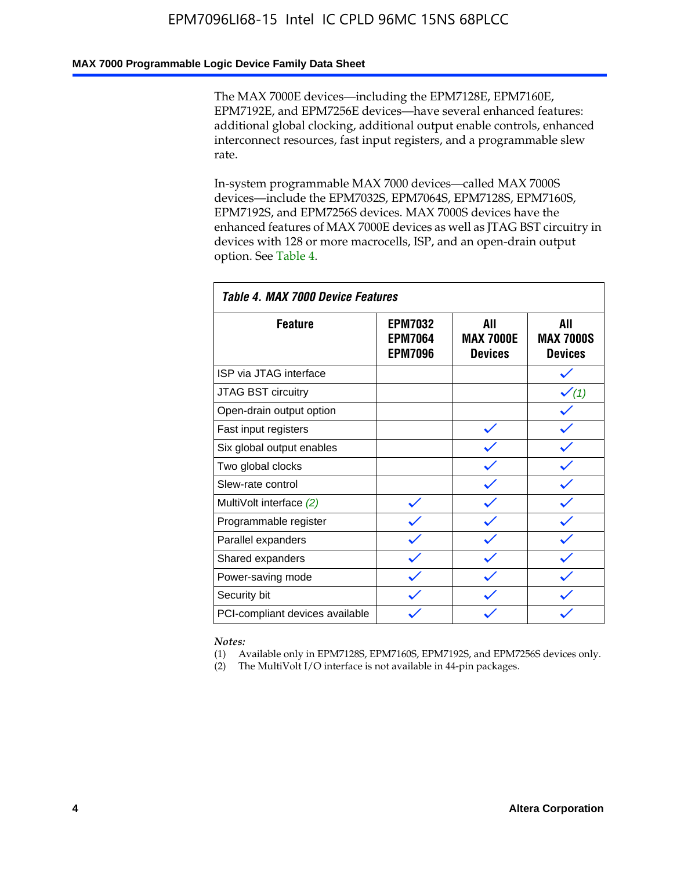### **MAX 7000 Programmable Logic Device Family Data Sheet**

The MAX 7000E devices—including the EPM7128E, EPM7160E, EPM7192E, and EPM7256E devices—have several enhanced features: additional global clocking, additional output enable controls, enhanced interconnect resources, fast input registers, and a programmable slew rate.

In-system programmable MAX 7000 devices—called MAX 7000S devices—include the EPM7032S, EPM7064S, EPM7128S, EPM7160S, EPM7192S, and EPM7256S devices. MAX 7000S devices have the enhanced features of MAX 7000E devices as well as JTAG BST circuitry in devices with 128 or more macrocells, ISP, and an open-drain output option. See Table 4.

| Table 4. MAX 7000 Device Features |                                                    |                                           |                                           |  |  |  |
|-----------------------------------|----------------------------------------------------|-------------------------------------------|-------------------------------------------|--|--|--|
| <b>Feature</b>                    | <b>EPM7032</b><br><b>EPM7064</b><br><b>EPM7096</b> | AII<br><b>MAX 7000E</b><br><b>Devices</b> | All<br><b>MAX 7000S</b><br><b>Devices</b> |  |  |  |
| ISP via JTAG interface            |                                                    |                                           |                                           |  |  |  |
| JTAG BST circuitry                |                                                    |                                           | $\checkmark$ (1)                          |  |  |  |
| Open-drain output option          |                                                    |                                           |                                           |  |  |  |
| Fast input registers              |                                                    |                                           |                                           |  |  |  |
| Six global output enables         |                                                    |                                           |                                           |  |  |  |
| Two global clocks                 |                                                    |                                           |                                           |  |  |  |
| Slew-rate control                 |                                                    |                                           |                                           |  |  |  |
| MultiVolt interface (2)           |                                                    |                                           |                                           |  |  |  |
| Programmable register             |                                                    |                                           |                                           |  |  |  |
| Parallel expanders                |                                                    |                                           |                                           |  |  |  |
| Shared expanders                  |                                                    |                                           |                                           |  |  |  |
| Power-saving mode                 |                                                    |                                           |                                           |  |  |  |
| Security bit                      |                                                    |                                           |                                           |  |  |  |
| PCI-compliant devices available   |                                                    |                                           |                                           |  |  |  |

*Notes:*

(1) Available only in EPM7128S, EPM7160S, EPM7192S, and EPM7256S devices only.

(2) The MultiVolt I/O interface is not available in 44-pin packages.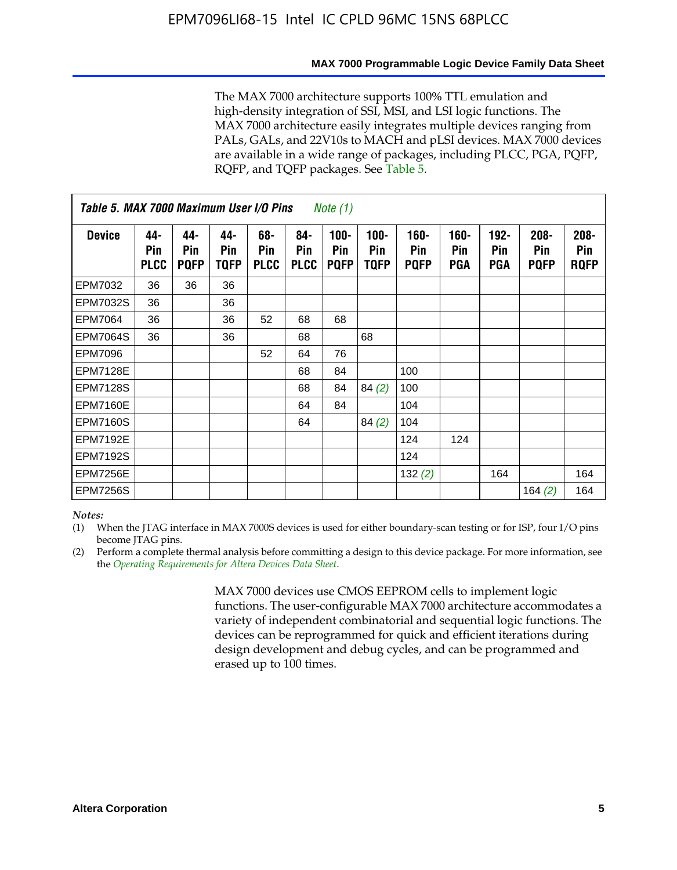#### **MAX 7000 Programmable Logic Device Family Data Sheet**

The MAX 7000 architecture supports 100% TTL emulation and high-density integration of SSI, MSI, and LSI logic functions. The MAX 7000 architecture easily integrates multiple devices ranging from PALs, GALs, and 22V10s to MACH and pLSI devices. MAX 7000 devices are available in a wide range of packages, including PLCC, PGA, PQFP, RQFP, and TQFP packages. See Table 5.

| Table 5. MAX 7000 Maximum User I/O Pins<br><i>Note</i> $(1)$ |                           |                           |                           |                           |                           |                               |                        |                            |                       |                                     |                               |                               |
|--------------------------------------------------------------|---------------------------|---------------------------|---------------------------|---------------------------|---------------------------|-------------------------------|------------------------|----------------------------|-----------------------|-------------------------------------|-------------------------------|-------------------------------|
| <b>Device</b>                                                | 44-<br>Pin<br><b>PLCC</b> | 44-<br>Pin<br><b>PQFP</b> | 44-<br><b>Pin</b><br>TQFP | 68-<br>Pin<br><b>PLCC</b> | 84-<br>Pin<br><b>PLCC</b> | $100 -$<br>Pin<br><b>PQFP</b> | $100 -$<br>Pin<br>TQFP | 160-<br>Pin<br><b>PQFP</b> | $160 -$<br>Pin<br>PGA | $192 -$<br><b>Pin</b><br><b>PGA</b> | $208 -$<br>Pin<br><b>PQFP</b> | $208 -$<br>Pin<br><b>ROFP</b> |
| EPM7032                                                      | 36                        | 36                        | 36                        |                           |                           |                               |                        |                            |                       |                                     |                               |                               |
| <b>EPM7032S</b>                                              | 36                        |                           | 36                        |                           |                           |                               |                        |                            |                       |                                     |                               |                               |
| <b>EPM7064</b>                                               | 36                        |                           | 36                        | 52                        | 68                        | 68                            |                        |                            |                       |                                     |                               |                               |
| <b>EPM7064S</b>                                              | 36                        |                           | 36                        |                           | 68                        |                               | 68                     |                            |                       |                                     |                               |                               |
| EPM7096                                                      |                           |                           |                           | 52                        | 64                        | 76                            |                        |                            |                       |                                     |                               |                               |
| <b>EPM7128E</b>                                              |                           |                           |                           |                           | 68                        | 84                            |                        | 100                        |                       |                                     |                               |                               |
| <b>EPM7128S</b>                                              |                           |                           |                           |                           | 68                        | 84                            | 84(2)                  | 100                        |                       |                                     |                               |                               |
| <b>EPM7160E</b>                                              |                           |                           |                           |                           | 64                        | 84                            |                        | 104                        |                       |                                     |                               |                               |
| <b>EPM7160S</b>                                              |                           |                           |                           |                           | 64                        |                               | 84(2)                  | 104                        |                       |                                     |                               |                               |
| <b>EPM7192E</b>                                              |                           |                           |                           |                           |                           |                               |                        | 124                        | 124                   |                                     |                               |                               |
| <b>EPM7192S</b>                                              |                           |                           |                           |                           |                           |                               |                        | 124                        |                       |                                     |                               |                               |
| <b>EPM7256E</b>                                              |                           |                           |                           |                           |                           |                               |                        | 132(2)                     |                       | 164                                 |                               | 164                           |
| <b>EPM7256S</b>                                              |                           |                           |                           |                           |                           |                               |                        |                            |                       |                                     | 164 $(2)$                     | 164                           |

#### *Notes:*

(1) When the JTAG interface in MAX 7000S devices is used for either boundary-scan testing or for ISP, four I/O pins become JTAG pins.

(2) Perform a complete thermal analysis before committing a design to this device package. For more information, see the *Operating Requirements for Altera Devices Data Sheet*.

> MAX 7000 devices use CMOS EEPROM cells to implement logic functions. The user-configurable MAX 7000 architecture accommodates a variety of independent combinatorial and sequential logic functions. The devices can be reprogrammed for quick and efficient iterations during design development and debug cycles, and can be programmed and erased up to 100 times.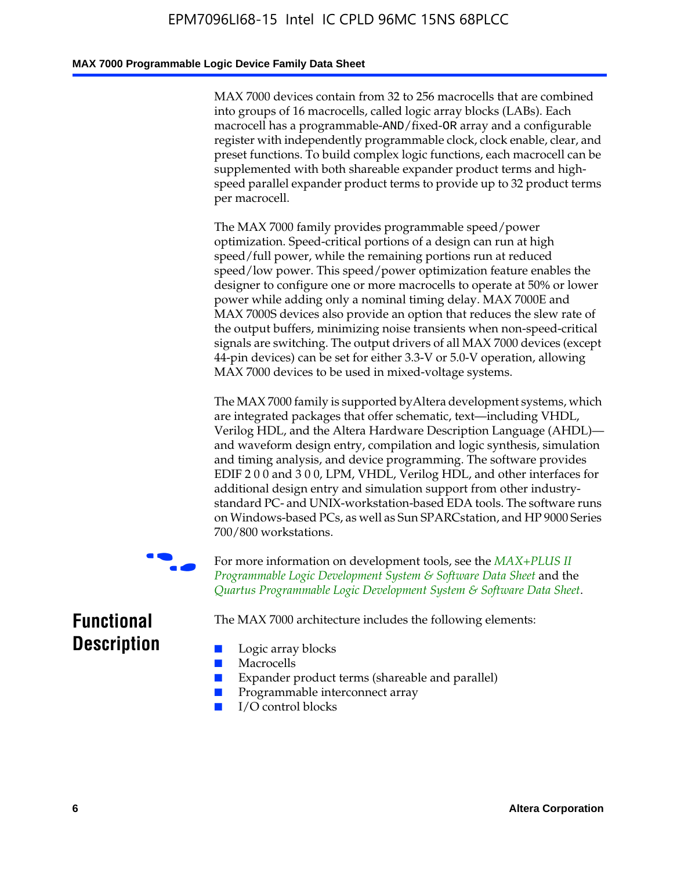### **MAX 7000 Programmable Logic Device Family Data Sheet**

MAX 7000 devices contain from 32 to 256 macrocells that are combined into groups of 16 macrocells, called logic array blocks (LABs). Each macrocell has a programmable-AND/fixed-OR array and a configurable register with independently programmable clock, clock enable, clear, and preset functions. To build complex logic functions, each macrocell can be supplemented with both shareable expander product terms and highspeed parallel expander product terms to provide up to 32 product terms per macrocell.

The MAX 7000 family provides programmable speed/power optimization. Speed-critical portions of a design can run at high speed/full power, while the remaining portions run at reduced speed/low power. This speed/power optimization feature enables the designer to configure one or more macrocells to operate at 50% or lower power while adding only a nominal timing delay. MAX 7000E and MAX 7000S devices also provide an option that reduces the slew rate of the output buffers, minimizing noise transients when non-speed-critical signals are switching. The output drivers of all MAX 7000 devices (except 44-pin devices) can be set for either 3.3-V or 5.0-V operation, allowing MAX 7000 devices to be used in mixed-voltage systems.

The MAX 7000 family is supported byAltera development systems, which are integrated packages that offer schematic, text—including VHDL, Verilog HDL, and the Altera Hardware Description Language (AHDL) and waveform design entry, compilation and logic synthesis, simulation and timing analysis, and device programming. The [software provides](http://www.altera.com/literature/ds/dsmii.pdf)  [EDIF 2 0 0 and 3 0 0, LPM, VHDL, Verilog HDL, and other in](http://www.altera.com/literature/ds/dsmii.pdf)terfaces for [additional design entry and simulation support from other industry](http://www.altera.com/literature/ds/quartus.pdf)standard PC- and UNIX-workstation-based EDA tools. The software runs on Windows-based PCs, as well as Sun SPARCstation, and HP 9000 Series 700/800 workstations.

For more information on development tools, see the **MAX+PLUS II** *Programmable Logic Development System & Software Data Sheet* and the *Quartus Programmable Logic Development System & Software Data Sheet*.

The MAX 7000 architecture includes the following elements:

## **Functional Description**

- Logic array blocks
- **Macrocells**
- Expander product terms (shareable and parallel)
- Programmable interconnect array
- I/O control blocks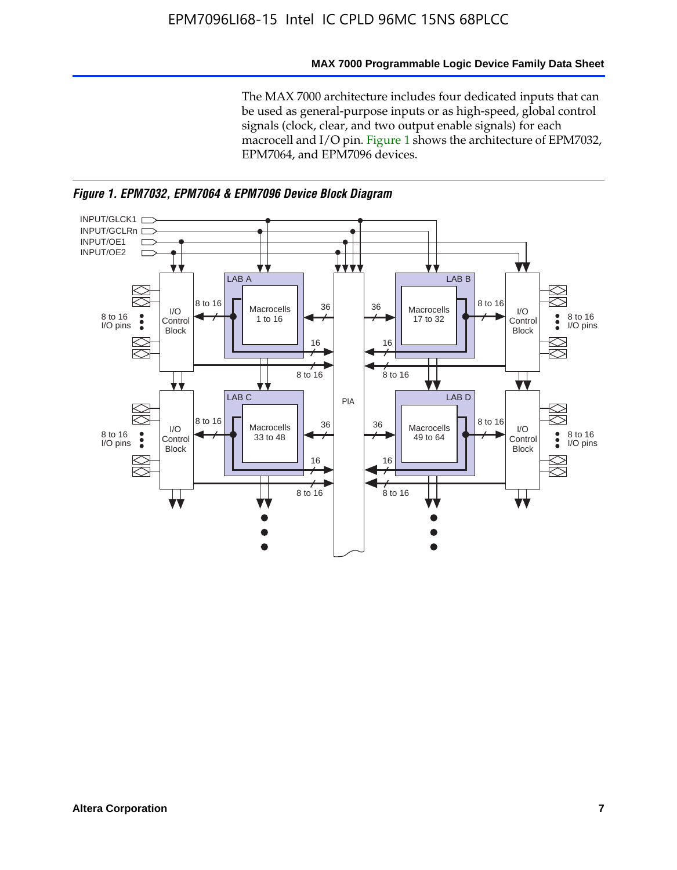### **MAX 7000 Programmable Logic Device Family Data Sheet**

The MAX 7000 architecture includes four dedicated inputs that can be used as general-purpose inputs or as high-speed, global control signals (clock, clear, and two output enable signals) for each macrocell and I/O pin. Figure 1 shows the architecture of EPM7032, EPM7064, and EPM7096 devices.



*Figure 1. EPM7032, EPM7064 & EPM7096 Device Block Diagram*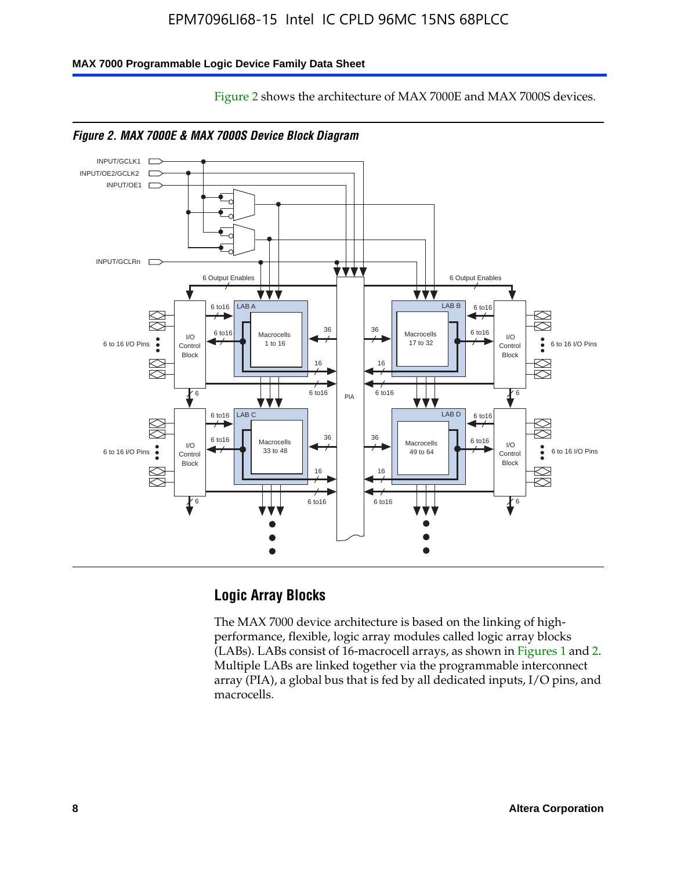Figure 2 shows the architecture of MAX 7000E and MAX 7000S devices.

#### **MAX 7000 Programmable Logic Device Family Data Sheet**







### **Logic Array Blocks**

The MAX 7000 device architecture is based on the linking of highperformance, flexible, logic array modules called logic array blocks (LABs). LABs consist of 16-macrocell arrays, as shown in Figures 1 and 2. Multiple LABs are linked together via the programmable interconnect array (PIA), a global bus that is fed by all dedicated inputs, I/O pins, and macrocells.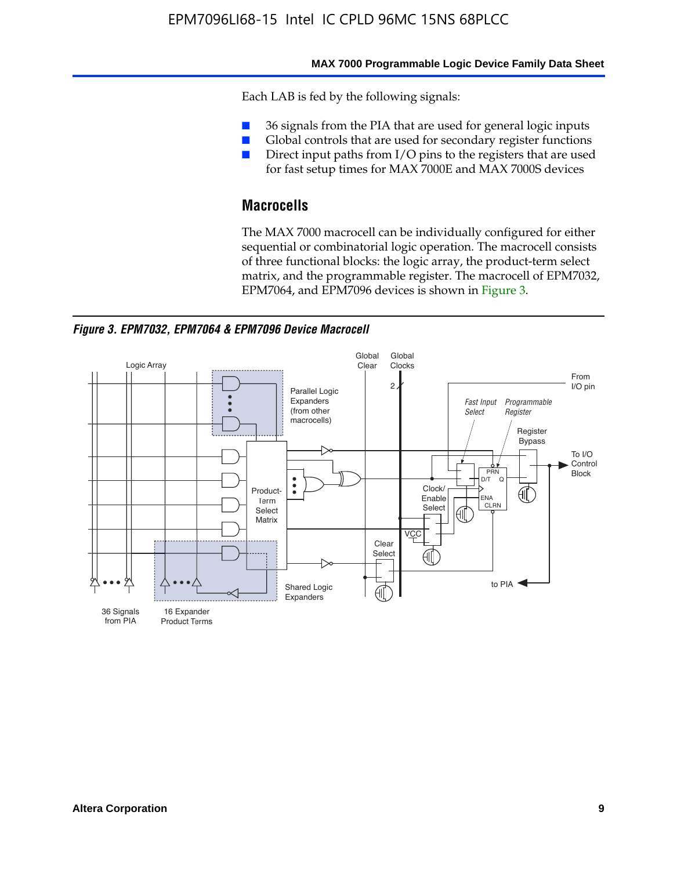#### **MAX 7000 Programmable Logic Device Family Data Sheet**

Each LAB is fed by the following signals:

- 36 signals from the PIA that are used for general logic inputs
- Global controls that are used for secondary register functions
- Direct input paths from I/O pins to the registers that are used for fast setup times for MAX 7000E and MAX 7000S devices

## **Macrocells**

The MAX 7000 macrocell can be individually configured for either sequential or combinatorial logic operation. The macrocell consists of three functional blocks: the logic array, the product-term select matrix, and the programmable register. The macrocell of EPM7032, EPM7064, and EPM7096 devices is shown in Figure 3.

*Figure 3. EPM7032, EPM7064 & EPM7096 Device Macrocell*

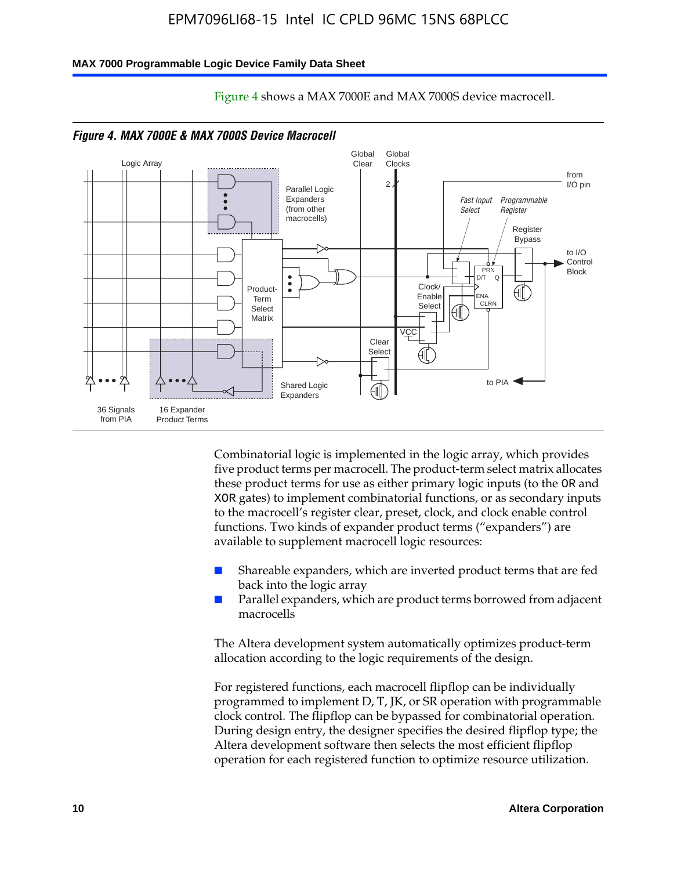#### **MAX 7000 Programmable Logic Device Family Data Sheet**



Figure 4 shows a MAX 7000E and MAX 7000S device macrocell.

*Figure 4. MAX 7000E & MAX 7000S Device Macrocell*

Combinatorial logic is implemented in the logic array, which provides five product terms per macrocell. The product-term select matrix allocates these product terms for use as either primary logic inputs (to the OR and XOR gates) to implement combinatorial functions, or as secondary inputs to the macrocell's register clear, preset, clock, and clock enable control functions. Two kinds of expander product terms ("expanders") are available to supplement macrocell logic resources:

- Shareable expanders, which are inverted product terms that are fed back into the logic array
- Parallel expanders, which are product terms borrowed from adjacent macrocells

The Altera development system automatically optimizes product-term allocation according to the logic requirements of the design.

For registered functions, each macrocell flipflop can be individually programmed to implement D, T, JK, or SR operation with programmable clock control. The flipflop can be bypassed for combinatorial operation. During design entry, the designer specifies the desired flipflop type; the Altera development software then selects the most efficient flipflop operation for each registered function to optimize resource utilization.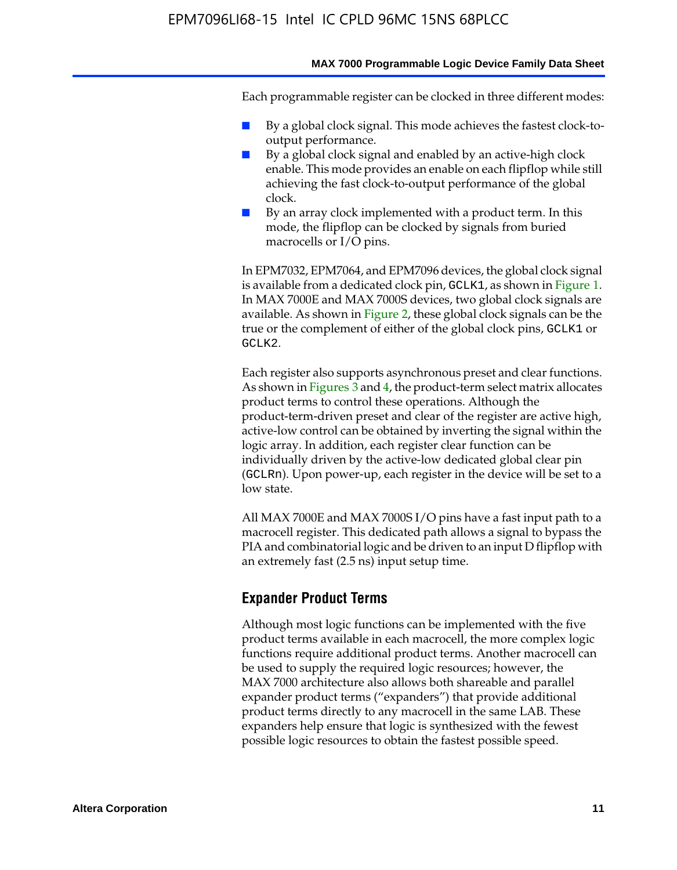#### **MAX 7000 Programmable Logic Device Family Data Sheet**

Each programmable register can be clocked in three different modes:

- By a global clock signal. This mode achieves the fastest clock-tooutput performance.
- By a global clock signal and enabled by an active-high clock enable. This mode provides an enable on each flipflop while still achieving the fast clock-to-output performance of the global clock.
- By an array clock implemented with a product term. In this mode, the flipflop can be clocked by signals from buried macrocells or I/O pins.

In EPM7032, EPM7064, and EPM7096 devices, the global clock signal is available from a dedicated clock pin, GCLK1, as shown in Figure 1. In MAX 7000E and MAX 7000S devices, two global clock signals are available. As shown in Figure 2, these global clock signals can be the true or the complement of either of the global clock pins, GCLK1 or GCLK2.

Each register also supports asynchronous preset and clear functions. As shown in Figures 3 and 4, the product-term select matrix allocates product terms to control these operations. Although the product-term-driven preset and clear of the register are active high, active-low control can be obtained by inverting the signal within the logic array. In addition, each register clear function can be individually driven by the active-low dedicated global clear pin (GCLRn). Upon power-up, each register in the device will be set to a low state.

All MAX 7000E and MAX 7000S I/O pins have a fast input path to a macrocell register. This dedicated path allows a signal to bypass the PIA and combinatorial logic and be driven to an input D flipflop with an extremely fast (2.5 ns) input setup time.

### **Expander Product Terms**

Although most logic functions can be implemented with the five product terms available in each macrocell, the more complex logic functions require additional product terms. Another macrocell can be used to supply the required logic resources; however, the MAX 7000 architecture also allows both shareable and parallel expander product terms ("expanders") that provide additional product terms directly to any macrocell in the same LAB. These expanders help ensure that logic is synthesized with the fewest possible logic resources to obtain the fastest possible speed.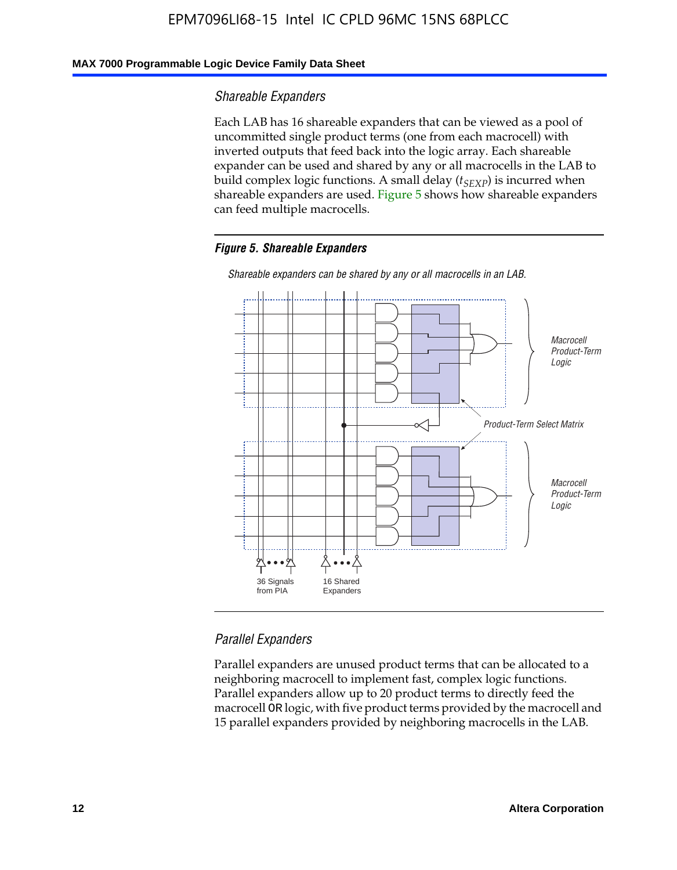### **MAX 7000 Programmable Logic Device Family Data Sheet**

### *Shareable Expanders*

Each LAB has 16 shareable expanders that can be viewed as a pool of uncommitted single product terms (one from each macrocell) with inverted outputs that feed back into the logic array. Each shareable expander can be used and shared by any or all macrocells in the LAB to build complex logic functions. A small delay ( $t_{SEXP}$ ) is incurred when shareable expanders are used. Figure 5 shows how shareable expanders can feed multiple macrocells.

#### *Figure 5. Shareable Expanders*



*Shareable expanders can be shared by any or all macrocells in an LAB.*

### *Parallel Expanders*

Parallel expanders are unused product terms that can be allocated to a neighboring macrocell to implement fast, complex logic functions. Parallel expanders allow up to 20 product terms to directly feed the macrocell OR logic, with five product terms provided by the macrocell and 15 parallel expanders provided by neighboring macrocells in the LAB.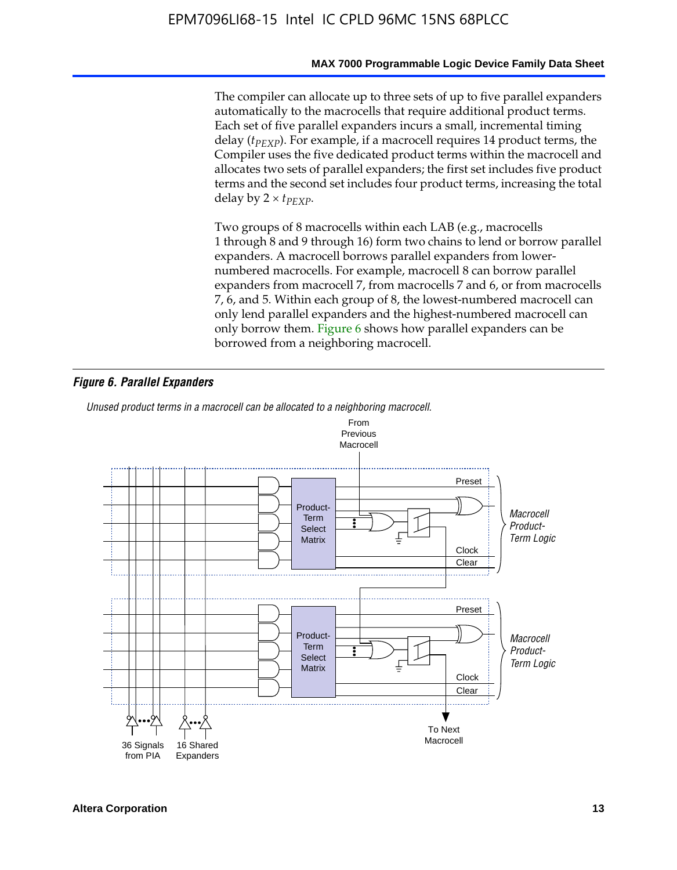#### **MAX 7000 Programmable Logic Device Family Data Sheet**

The compiler can allocate up to three sets of up to five parallel expanders automatically to the macrocells that require additional product terms. Each set of five parallel expanders incurs a small, incremental timing delay (*t<sub>PEXP</sub>*). For example, if a macrocell requires 14 product terms, the Compiler uses the five dedicated product terms within the macrocell and allocates two sets of parallel expanders; the first set includes five product terms and the second set includes four product terms, increasing the total delay by  $2 \times t_{PFXP}$ .

Two groups of 8 macrocells within each LAB (e.g., macrocells 1 through 8 and 9 through 16) form two chains to lend or borrow parallel expanders. A macrocell borrows parallel expanders from lowernumbered macrocells. For example, macrocell 8 can borrow parallel expanders from macrocell 7, from macrocells 7 and 6, or from macrocells 7, 6, and 5. Within each group of 8, the lowest-numbered macrocell can only lend parallel expanders and the highest-numbered macrocell can only borrow them. Figure 6 shows how parallel expanders can be borrowed from a neighboring macrocell.

### *Figure 6. Parallel Expanders*

*Unused product terms in a macrocell can be allocated to a neighboring macrocell.*

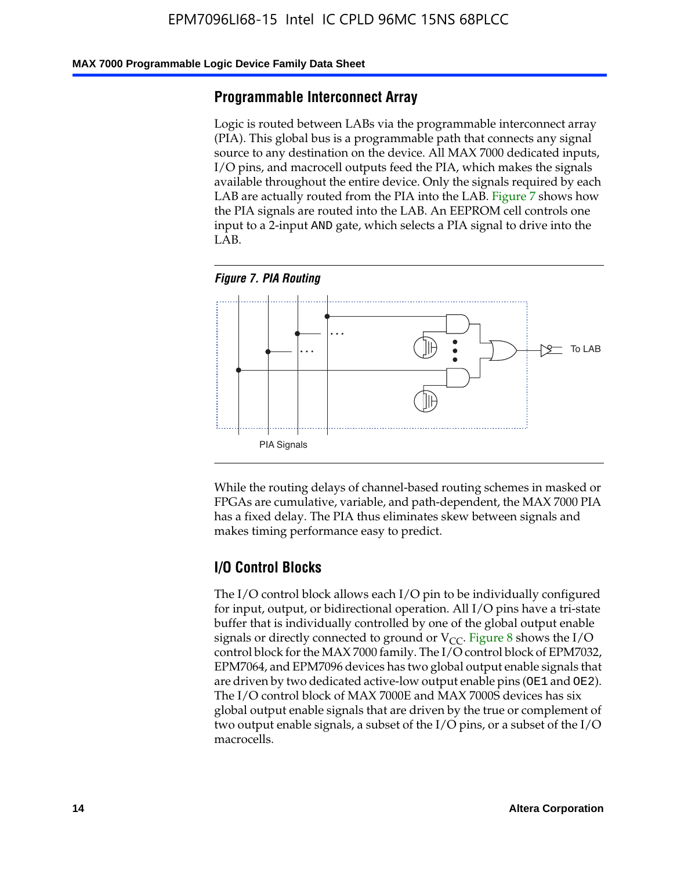#### **MAX 7000 Programmable Logic Device Family Data Sheet**

### **Programmable Interconnect Array**

Logic is routed between LABs via the programmable interconnect array (PIA). This global bus is a programmable path that connects any signal source to any destination on the device. All MAX 7000 dedicated inputs, I/O pins, and macrocell outputs feed the PIA, which makes the signals available throughout the entire device. Only the signals required by each LAB are actually routed from the PIA into the LAB. Figure 7 shows how the PIA signals are routed into the LAB. An EEPROM cell controls one input to a 2-input AND gate, which selects a PIA signal to drive into the LAB.





While the routing delays of channel-based routing schemes in masked or FPGAs are cumulative, variable, and path-dependent, the MAX 7000 PIA has a fixed delay. The PIA thus eliminates skew between signals and makes timing performance easy to predict.

### **I/O Control Blocks**

The I/O control block allows each I/O pin to be individually configured for input, output, or bidirectional operation. All I/O pins have a tri-state buffer that is individually controlled by one of the global output enable signals or directly connected to ground or  $V_{CC}$ . Figure 8 shows the I/O control block for the MAX 7000 family. The I/O control block of EPM7032, EPM7064, and EPM7096 devices has two global output enable signals that are driven by two dedicated active-low output enable pins (OE1 and OE2). The I/O control block of MAX 7000E and MAX 7000S devices has six global output enable signals that are driven by the true or complement of two output enable signals, a subset of the I/O pins, or a subset of the I/O macrocells.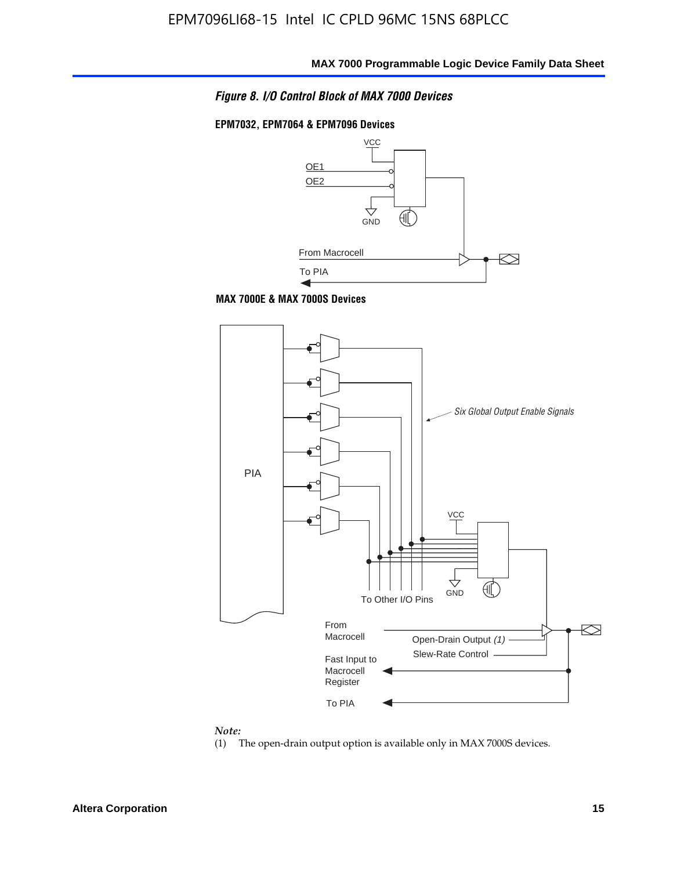

### **EPM7032, EPM7064 & EPM7096 Devices**



**MAX 7000E & MAX 7000S Devices**



#### *Note:*

(1) The open-drain output option is available only in MAX 7000S devices.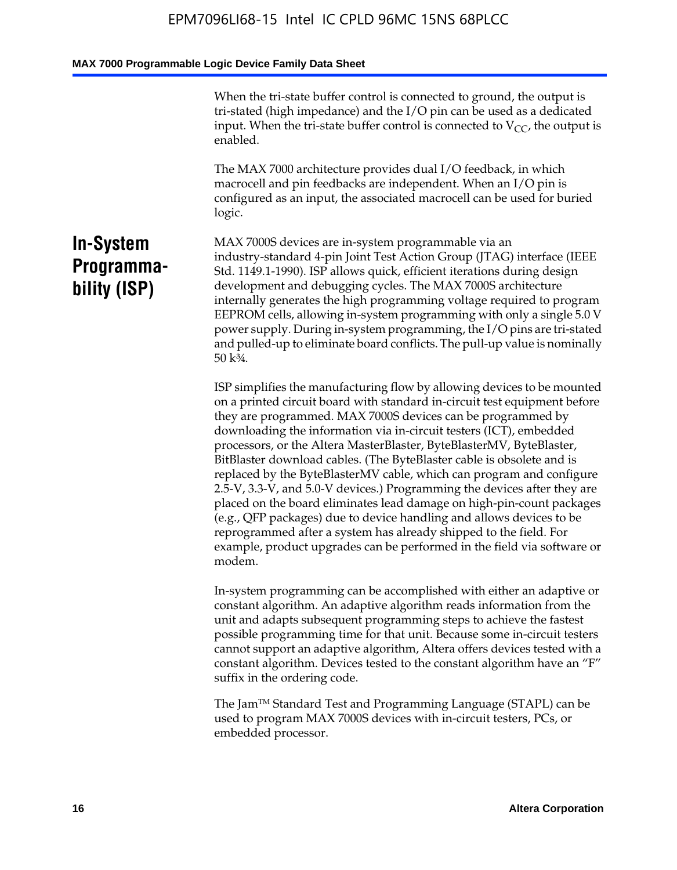When the tri-state buffer control is connected to ground, the output is tri-stated (high impedance) and the I/O pin can be used as a dedicated input. When the tri-state buffer control is connected to  $V_{CC}$ , the output is enabled.

The MAX 7000 architecture provides dual I/O feedback, in which macrocell and pin feedbacks are independent. When an I/O pin is configured as an input, the associated macrocell can be used for buried logic.

## **In-System Programmability (ISP)**

MAX 7000S devices are in-system programmable via an industry-standard 4-pin Joint Test Action Group (JTAG) interface (IEEE Std. 1149.1-1990). ISP allows quick, efficient iterations during design development and debugging cycles. The MAX 7000S architecture internally generates the high programming voltage required to program EEPROM cells, allowing in-system programming with only a single 5.0 V power supply. During in-system programming, the I/O pins are tri-stated and pulled-up to eliminate board conflicts. The pull-up value is nominally 50 k¾.

ISP simplifies the manufacturing flow by allowing devices to be mounted on a printed circuit board with standard in-circuit test equipment before they are programmed. MAX 7000S devices can be programmed by downloading the information via in-circuit testers (ICT), embedded processors, or the Altera MasterBlaster, ByteBlasterMV, ByteBlaster, BitBlaster download cables. (The ByteBlaster cable is obsolete and is replaced by the ByteBlasterMV cable, which can program and configure 2.5-V, 3.3-V, and 5.0-V devices.) Programming the devices after they are placed on the board eliminates lead damage on high-pin-count packages (e.g., QFP packages) due to device handling and allows devices to be reprogrammed after a system has already shipped to the field. For example, product upgrades can be performed in the field via software or modem.

In-system programming can be accomplished with either an adaptive or constant algorithm. An adaptive algorithm reads information from the unit and adapts subsequent programming steps to achieve the fastest possible programming time for that unit. Because some in-circuit testers cannot support an adaptive algorithm, Altera offers devices tested with a constant algorithm. Devices tested to the constant algorithm have an "F" suffix in the ordering code.

The Jam™ Standard Test and Programming Language (STAPL) can be used to program MAX 7000S devices with in-circuit testers, PCs, or embedded processor.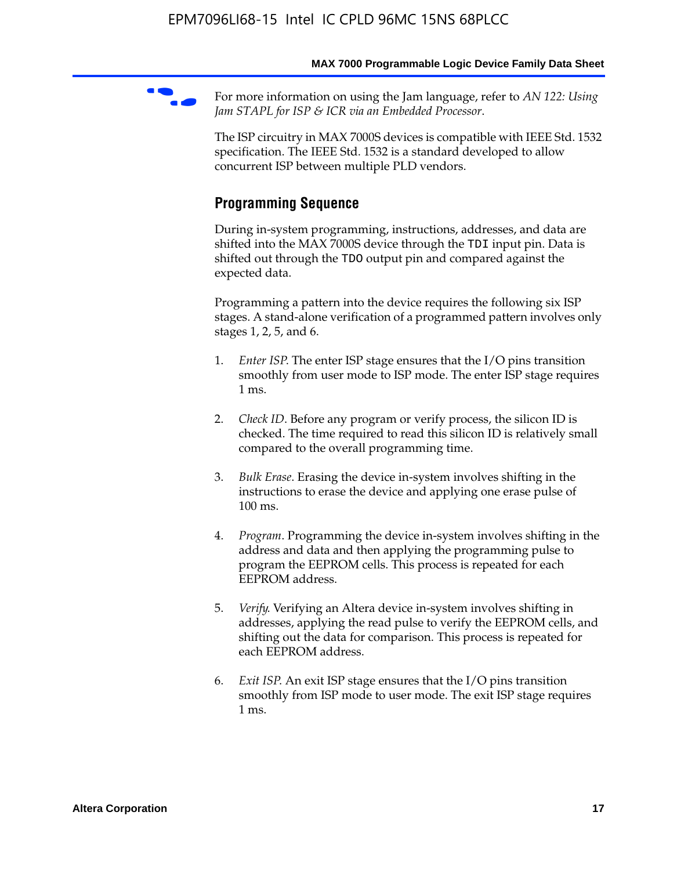For more information on using the Jam language, refer to *AN* 122: Using *Jam STAPL for ISP & ICR via an Embedded Processor*.

The ISP circuitry in MAX 7000S devices is compatible with IEEE Std. 1532 specification. The IEEE Std. 1532 is a standard developed to allow concurrent ISP between multiple PLD vendors.

## **Programming Sequence**

During in-system programming, instructions, addresses, and data are shifted into the MAX 7000S device through the TDI input pin. Data is shifted out through the TDO output pin and compared against the expected data.

Programming a pattern into the device requires the following six ISP stages. A stand-alone verification of a programmed pattern involves only stages 1, 2, 5, and 6.

- 1. *Enter ISP*. The enter ISP stage ensures that the I/O pins transition smoothly from user mode to ISP mode. The enter ISP stage requires 1 ms.
- 2. *Check ID*. Before any program or verify process, the silicon ID is checked. The time required to read this silicon ID is relatively small compared to the overall programming time.
- 3. *Bulk Erase*. Erasing the device in-system involves shifting in the instructions to erase the device and applying one erase pulse of 100 ms.
- 4. *Program*. Programming the device in-system involves shifting in the address and data and then applying the programming pulse to program the EEPROM cells. This process is repeated for each EEPROM address.
- 5. *Verify*. Verifying an Altera device in-system involves shifting in addresses, applying the read pulse to verify the EEPROM cells, and shifting out the data for comparison. This process is repeated for each EEPROM address.
- 6. *Exit ISP*. An exit ISP stage ensures that the I/O pins transition smoothly from ISP mode to user mode. The exit ISP stage requires 1 ms.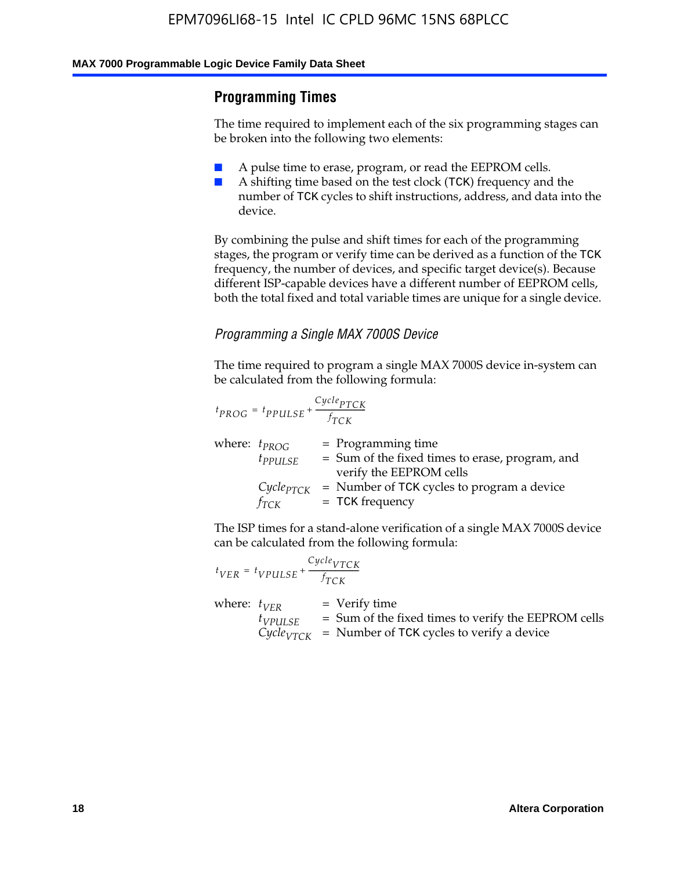## **Programming Times**

The time required to implement each of the six programming stages can be broken into the following two elements:

- A pulse time to erase, program, or read the EEPROM cells.
- A shifting time based on the test clock (TCK) frequency and the number of TCK cycles to shift instructions, address, and data into the device.

By combining the pulse and shift times for each of the programming stages, the program or verify time can be derived as a function of the TCK frequency, the number of devices, and specific target device(s). Because different ISP-capable devices have a different number of EEPROM cells, both the total fixed and total variable times are unique for a single device.

### *Programming a Single MAX 7000S Device*

The time required to program a single MAX 7000S device in-system can be calculated from the following formula:

$$
t_{PROG} = t_{PPULSE} + \frac{C_{ycle_{PTCK}}}{f_{TCK}}
$$
  
where:  $t_{PROG}$  = Programming time  
 $t_{PPULSE}$  = Sum of the fixed times to erase, program, and  
verify the EEPROM cells  
 $C_{ycle_{PTCK}}$  = Number of TCK cycles to program a device  
 $f_{TCK}$  = TCK frequency

The ISP times for a stand-alone verification of a single MAX 7000S device can be calculated from the following formula:

|                  | $t_{VER} = t_{VPULSE} + \frac{Cycle_{VTCK}}{f_{TCK}}$ |                                                                                                                                 |
|------------------|-------------------------------------------------------|---------------------------------------------------------------------------------------------------------------------------------|
| where: $t_{VFR}$ | $t_{VPULSE}$                                          | = Verify time<br>$=$ Sum of the fixed times to verify the EEPROM cells<br>$CycleVTCK$ = Number of TCK cycles to verify a device |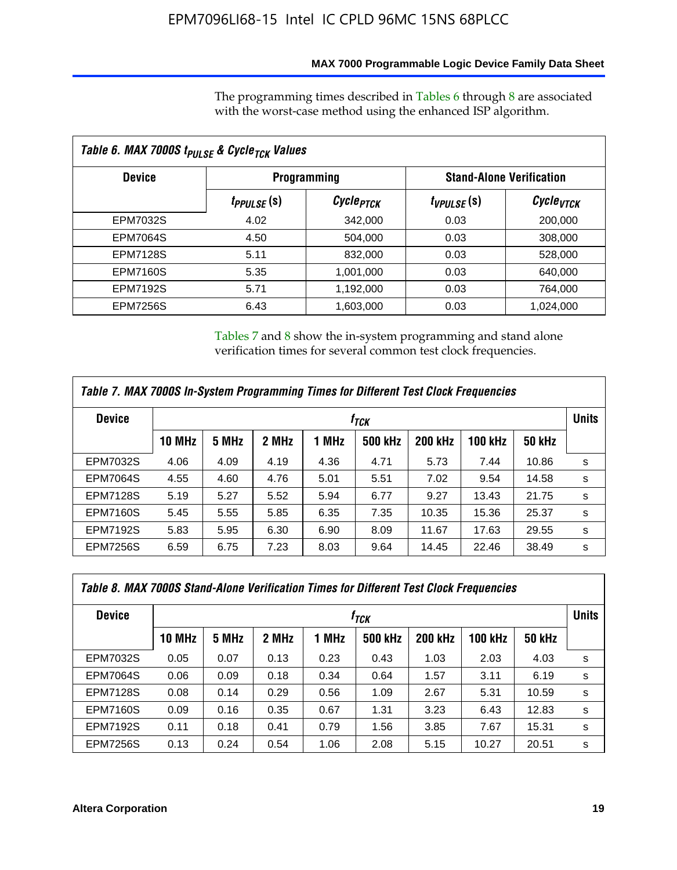### **MAX 7000 Programmable Logic Device Family Data Sheet**

The programming times described in Tables 6 through 8 are associated with the worst-case method using the enhanced ISP algorithm.

| Table 6. MAX 7000S t <sub>PULSE</sub> & Cycle <sub>TCK</sub> Values |                               |                       |                 |                                 |  |  |  |
|---------------------------------------------------------------------|-------------------------------|-----------------------|-----------------|---------------------------------|--|--|--|
| <b>Device</b>                                                       | <b>Programming</b>            |                       |                 | <b>Stand-Alone Verification</b> |  |  |  |
|                                                                     | <i>t<sub>PPULSE</sub></i> (S) | Cycle <sub>PTCK</sub> | $t_{VPULSE}(s)$ | Cycle <sub>VTCK</sub>           |  |  |  |
| EPM7032S                                                            | 4.02                          | 342,000               | 0.03            | 200,000                         |  |  |  |
| <b>EPM7064S</b>                                                     | 4.50                          | 504.000               | 0.03            | 308,000                         |  |  |  |
| <b>EPM7128S</b>                                                     | 5.11                          | 832,000               | 0.03            | 528,000                         |  |  |  |
| <b>EPM7160S</b>                                                     | 5.35                          | 1,001,000             | 0.03            | 640,000                         |  |  |  |
| <b>EPM7192S</b>                                                     | 5.71                          | 1,192,000             | 0.03            | 764,000                         |  |  |  |
| <b>EPM7256S</b>                                                     | 6.43                          | 1,603,000             | 0.03            | 1,024,000                       |  |  |  |

Tables 7 and 8 show the in-system programming and stand alone verification times for several common test clock frequencies.

| Table 7. MAX 7000S In-System Programming Times for Different Test Clock Frequencies |                  |       |       |       |                |                |                |               |              |
|-------------------------------------------------------------------------------------|------------------|-------|-------|-------|----------------|----------------|----------------|---------------|--------------|
| <b>Device</b>                                                                       | † <sub>TCK</sub> |       |       |       |                |                |                |               | <b>Units</b> |
|                                                                                     | <b>10 MHz</b>    | 5 MHz | 2 MHz | 1 MHz | <b>500 kHz</b> | <b>200 kHz</b> | <b>100 kHz</b> | <b>50 kHz</b> |              |
| <b>EPM7032S</b>                                                                     | 4.06             | 4.09  | 4.19  | 4.36  | 4.71           | 5.73           | 7.44           | 10.86         | s            |
| <b>EPM7064S</b>                                                                     | 4.55             | 4.60  | 4.76  | 5.01  | 5.51           | 7.02           | 9.54           | 14.58         | s            |
| <b>EPM7128S</b>                                                                     | 5.19             | 5.27  | 5.52  | 5.94  | 6.77           | 9.27           | 13.43          | 21.75         | s            |
| <b>EPM7160S</b>                                                                     | 5.45             | 5.55  | 5.85  | 6.35  | 7.35           | 10.35          | 15.36          | 25.37         | s            |
| <b>EPM7192S</b>                                                                     | 5.83             | 5.95  | 6.30  | 6.90  | 8.09           | 11.67          | 17.63          | 29.55         | s            |
| <b>EPM7256S</b>                                                                     | 6.59             | 6.75  | 7.23  | 8.03  | 9.64           | 14.45          | 22.46          | 38.49         | s            |

| Table 8. MAX 7000S Stand-Alone Verification Times for Different Test Clock Frequencies |               |                  |       |       |                |                |                |               |              |
|----------------------------------------------------------------------------------------|---------------|------------------|-------|-------|----------------|----------------|----------------|---------------|--------------|
| <b>Device</b>                                                                          |               | † <sub>TCK</sub> |       |       |                |                |                |               | <b>Units</b> |
|                                                                                        | <b>10 MHz</b> | 5 MHz            | 2 MHz | 1 MHz | <b>500 kHz</b> | <b>200 kHz</b> | <b>100 kHz</b> | <b>50 kHz</b> |              |
| <b>EPM7032S</b>                                                                        | 0.05          | 0.07             | 0.13  | 0.23  | 0.43           | 1.03           | 2.03           | 4.03          | s            |
| <b>EPM7064S</b>                                                                        | 0.06          | 0.09             | 0.18  | 0.34  | 0.64           | 1.57           | 3.11           | 6.19          | s            |
| <b>EPM7128S</b>                                                                        | 0.08          | 0.14             | 0.29  | 0.56  | 1.09           | 2.67           | 5.31           | 10.59         | s            |
| <b>EPM7160S</b>                                                                        | 0.09          | 0.16             | 0.35  | 0.67  | 1.31           | 3.23           | 6.43           | 12.83         | s            |
| <b>EPM7192S</b>                                                                        | 0.11          | 0.18             | 0.41  | 0.79  | 1.56           | 3.85           | 7.67           | 15.31         | s            |
| <b>EPM7256S</b>                                                                        | 0.13          | 0.24             | 0.54  | 1.06  | 2.08           | 5.15           | 10.27          | 20.51         | s            |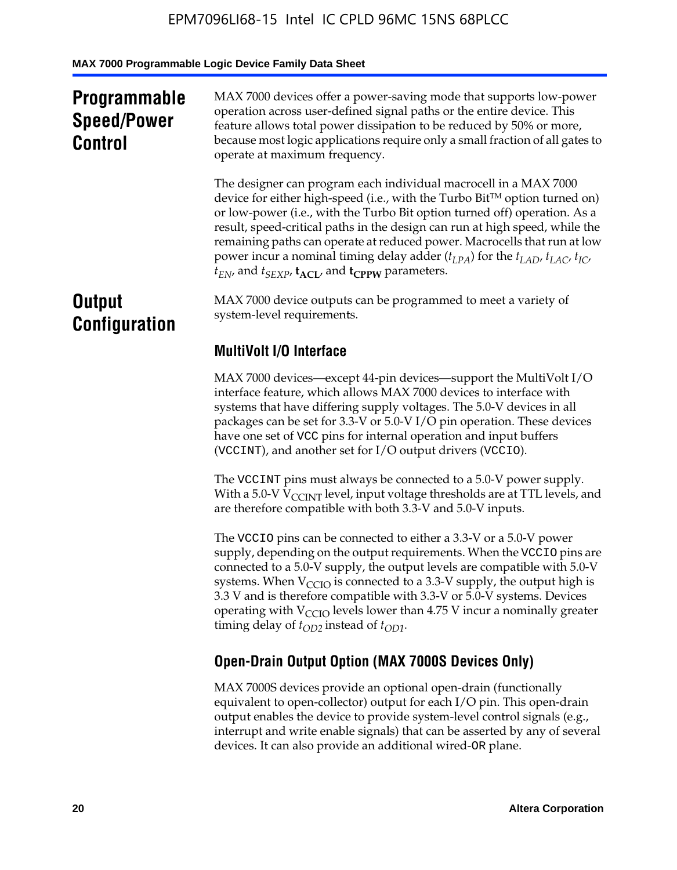## **Programmable Speed/Power Control**

MAX 7000 devices offer a power-saving mode that supports low-power operation across user-defined signal paths or the entire device. This feature allows total power dissipation to be reduced by 50% or more, because most logic applications require only a small fraction of all gates to operate at maximum frequency.

The designer can program each individual macrocell in a MAX 7000 device for either high-speed (i.e., with the Turbo  $Bit^{TM}$  option turned on) or low-power (i.e., with the Turbo Bit option turned off) operation. As a result, speed-critical paths in the design can run at high speed, while the remaining paths can operate at reduced power. Macrocells that run at low power incur a nominal timing delay adder  $(t_{LPA})$  for the  $t_{LAD}$ ,  $t_{LAC}$ ,  $t_{IC}$ ,  $t_{EN}$ , and  $t_{SEXP}$ ,  $t_{ACL}$ , and  $t_{CPPW}$  parameters.

## **Output Configuration**

MAX 7000 device outputs can be programmed to meet a variety of system-level requirements.

## **MultiVolt I/O Interface**

MAX 7000 devices—except 44-pin devices—support the MultiVolt I/O interface feature, which allows MAX 7000 devices to interface with systems that have differing supply voltages. The 5.0-V devices in all packages can be set for 3.3-V or 5.0-V I/O pin operation. These devices have one set of VCC pins for internal operation and input buffers (VCCINT), and another set for I/O output drivers (VCCIO).

The VCCINT pins must always be connected to a 5.0-V power supply. With a 5.0-V  $V_{\text{CCINT}}$  level, input voltage thresholds are at TTL levels, and are therefore compatible with both 3.3-V and 5.0-V inputs.

The VCCIO pins can be connected to either a 3.3-V or a 5.0-V power supply, depending on the output requirements. When the VCCIO pins are connected to a 5.0-V supply, the output levels are compatible with 5.0-V systems. When  $V_{\text{CGO}}$  is connected to a 3.3-V supply, the output high is 3.3 V and is therefore compatible with 3.3-V or 5.0-V systems. Devices operating with  $V_{\text{CCIO}}$  levels lower than 4.75 V incur a nominally greater timing delay of  $t_{OD2}$  instead of  $t_{OD1}$ .

## **Open-Drain Output Option (MAX 7000S Devices Only)**

MAX 7000S devices provide an optional open-drain (functionally equivalent to open-collector) output for each I/O pin. This open-drain output enables the device to provide system-level control signals (e.g., interrupt and write enable signals) that can be asserted by any of several devices. It can also provide an additional wired-OR plane.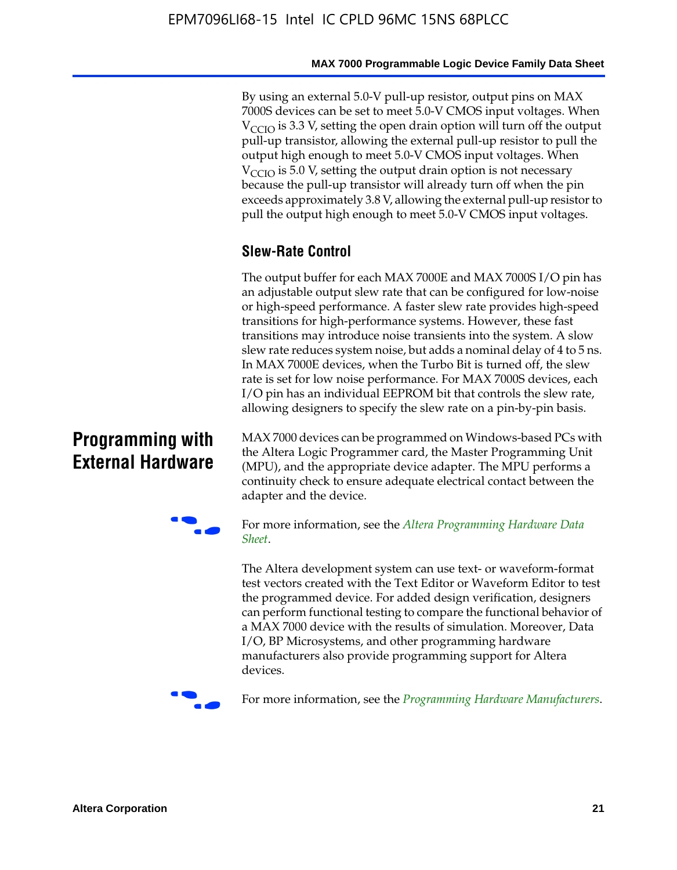By using an external 5.0-V pull-up resistor, output pins on MAX 7000S devices can be set to meet 5.0-V CMOS input voltages. When  $V_{\text{CCIO}}$  is 3.3 V, setting the open drain option will turn off the output pull-up transistor, allowing the external pull-up resistor to pull the output high enough to meet 5.0-V CMOS input voltages. When  $V_{\text{CCIO}}$  is 5.0 V, setting the output drain option is not necessary because the pull-up transistor will already turn off when the pin exceeds approximately 3.8 V, allowing the external pull-up resistor to pull the output high enough to meet 5.0-V CMOS input voltages.

## **Slew-Rate Control**

The output buffer for each MAX 7000E and MAX 7000S I/O pin has an adjustable output slew rate that can be configured for low-noise or high-speed performance. A faster slew rate provides high-speed transitions for high-performance systems. However, these fast transitions may introduce noise transients into the system. A slow slew rate reduces system noise, but adds a nominal delay of 4 to 5 ns. In MAX 7000E devices, when the Turbo Bit is turned off, the slew rate is set for low noise performance. For MAX 7000S devices, each I/O pin has an individual EEPROM bit that controls the slew rate, allowing designers to specify the slew rate on a pin-by-pin basis.

## **Programming with External Hardware**

[MAX](http://www.altera.com/literature/ds/dspghd.pdf) 7000 devices can be prog[rammed on Windows-based PCs with](http://www.altera.com/literature/ds/dspghd.pdf)  the Altera Logic Programmer card, the Master Programming Unit (MPU), and the appropriate device adapter. The MPU performs a continuity check to ensure adequate electrical contact between the adapter and the device.



For more information, see the *Altera Programming Hardware Data Sheet*.

The Altera development system can use text- or waveform-format test vectors created with the Text Editor or Waveform Editor to test the programmed device. For added design verification, designers can perform functional testing to compare the functional behavior of a MAX 7000 device with the results of simulation. Moreover, Data I/O, BP Microsystems, and other programming hardware manufacturers also provide programming support for Altera devices.



For more information, see the *Programming Hardware Manufacturers*.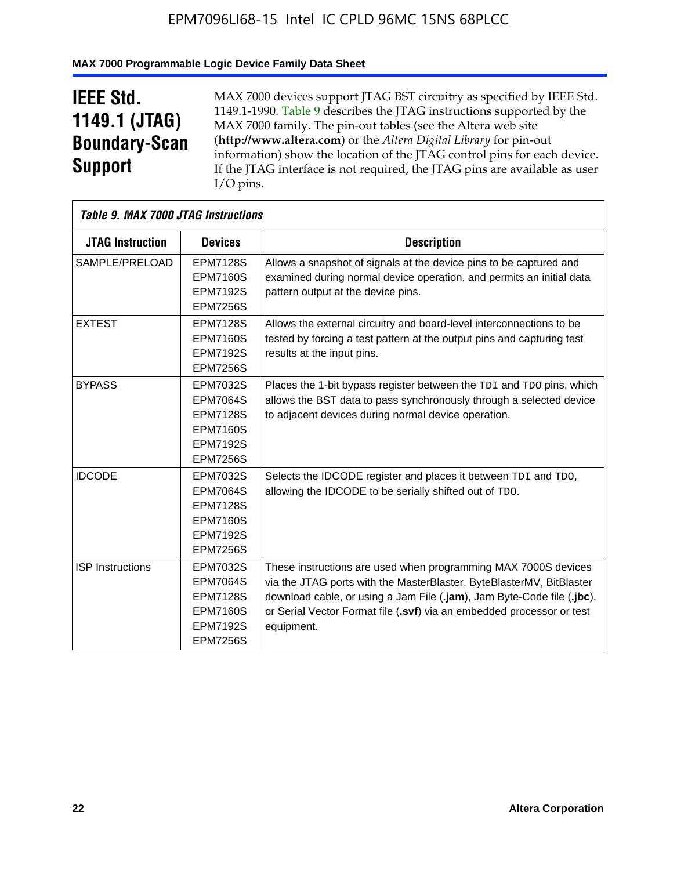### **MAX 7000 Programmable Logic Device Family Data Sheet**

## **IEEE Std. 1149.1 (JTAG) Boundary-Scan Support**

 $\mathsf{r}$ 

MAX 7000 devices support JTAG BST circuitry as specified by IEEE Std. 1149.1-1990. Table 9 describes the JTAG instructions supported by the MAX 7000 family. The pin-out tables (see the Altera web site (**http://www.altera.com**) or the *Altera Digital Library* for pin-out information) show the location of the JTAG control pins for each device. If the JTAG interface is not required, the JTAG pins are available as user I/O pins.

|                         | Table 9. MAX 7000 JTAG Instructions                                                                            |                                                                                                                                                                                                                                                                                                         |  |  |  |  |  |  |
|-------------------------|----------------------------------------------------------------------------------------------------------------|---------------------------------------------------------------------------------------------------------------------------------------------------------------------------------------------------------------------------------------------------------------------------------------------------------|--|--|--|--|--|--|
| <b>JTAG Instruction</b> | <b>Devices</b>                                                                                                 | <b>Description</b>                                                                                                                                                                                                                                                                                      |  |  |  |  |  |  |
| SAMPLE/PRELOAD          | <b>EPM7128S</b><br><b>EPM7160S</b><br><b>EPM7192S</b><br><b>EPM7256S</b>                                       | Allows a snapshot of signals at the device pins to be captured and<br>examined during normal device operation, and permits an initial data<br>pattern output at the device pins.                                                                                                                        |  |  |  |  |  |  |
| <b>EXTEST</b>           | <b>EPM7128S</b><br><b>EPM7160S</b><br><b>EPM7192S</b><br><b>EPM7256S</b>                                       | Allows the external circuitry and board-level interconnections to be<br>tested by forcing a test pattern at the output pins and capturing test<br>results at the input pins.                                                                                                                            |  |  |  |  |  |  |
| <b>BYPASS</b>           | EPM7032S<br><b>EPM7064S</b><br><b>EPM7128S</b><br><b>EPM7160S</b><br><b>EPM7192S</b><br><b>EPM7256S</b>        | Places the 1-bit bypass register between the TDI and TDO pins, which<br>allows the BST data to pass synchronously through a selected device<br>to adjacent devices during normal device operation.                                                                                                      |  |  |  |  |  |  |
| <b>IDCODE</b>           | EPM7032S<br><b>EPM7064S</b><br><b>EPM7128S</b><br><b>EPM7160S</b><br><b>EPM7192S</b><br><b>EPM7256S</b>        | Selects the IDCODE register and places it between TDI and TDO,<br>allowing the IDCODE to be serially shifted out of TDO.                                                                                                                                                                                |  |  |  |  |  |  |
| <b>ISP</b> Instructions | <b>EPM7032S</b><br><b>EPM7064S</b><br><b>EPM7128S</b><br><b>EPM7160S</b><br><b>EPM7192S</b><br><b>EPM7256S</b> | These instructions are used when programming MAX 7000S devices<br>via the JTAG ports with the MasterBlaster, ByteBlasterMV, BitBlaster<br>download cable, or using a Jam File (.jam), Jam Byte-Code file (.jbc),<br>or Serial Vector Format file (.svf) via an embedded processor or test<br>equipment. |  |  |  |  |  |  |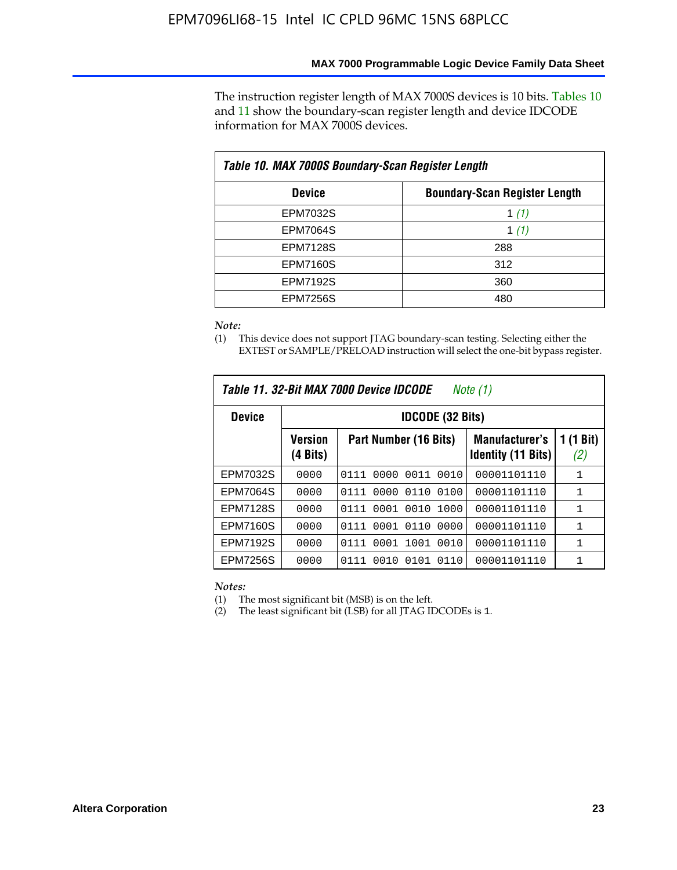### **MAX 7000 Programmable Logic Device Family Data Sheet**

The instruction register length of MAX 7000S devices is 10 bits. Tables 10 and 11 show the boundary-scan register length and device IDCODE information for MAX 7000S devices.

| Table 10. MAX 7000S Boundary-Scan Register Length |                                      |  |  |  |  |  |
|---------------------------------------------------|--------------------------------------|--|--|--|--|--|
| <b>Device</b>                                     | <b>Boundary-Scan Register Length</b> |  |  |  |  |  |
| EPM7032S                                          | 1 $(1)$                              |  |  |  |  |  |
| <b>EPM7064S</b>                                   | 1 $(1)$                              |  |  |  |  |  |
| <b>EPM7128S</b>                                   | 288                                  |  |  |  |  |  |
| <b>EPM7160S</b>                                   | 312                                  |  |  |  |  |  |
| <b>EPM7192S</b>                                   | 360                                  |  |  |  |  |  |
| <b>EPM7256S</b>                                   | 480                                  |  |  |  |  |  |

#### *Note:*

(1) This device does not support JTAG boundary-scan testing. Selecting either the EXTEST or SAMPLE/PRELOAD instruction will select the one-bit bypass register.

| Table 11. 32-Bit MAX 7000 Device IDCODE<br>Note $(1)$ |                            |                              |                                                    |                  |  |  |  |
|-------------------------------------------------------|----------------------------|------------------------------|----------------------------------------------------|------------------|--|--|--|
| <b>IDCODE (32 Bits)</b><br><b>Device</b>              |                            |                              |                                                    |                  |  |  |  |
|                                                       | <b>Version</b><br>(4 Bits) | Part Number (16 Bits)        | <b>Manufacturer's</b><br><b>Identity (11 Bits)</b> | 1 (1 Bit)<br>(2) |  |  |  |
| EPM7032S                                              | 0000                       | 0000<br>0011<br>0111<br>0010 | 00001101110                                        | $\mathbf{1}$     |  |  |  |
| <b>EPM7064S</b>                                       | 0000                       | 0000<br>0110<br>0100<br>0111 | 00001101110                                        | 1                |  |  |  |
| <b>EPM7128S</b>                                       | 0000                       | 0001 0010<br>1000<br>0111    | 00001101110                                        | 1                |  |  |  |
| <b>EPM7160S</b>                                       | 0000                       | 0001 0110<br>0000<br>0111    | 00001101110                                        | $\mathbf{1}$     |  |  |  |
| <b>EPM7192S</b>                                       | 0000                       | 0001<br>1001<br>0010<br>0111 | 00001101110                                        | $\mathbf{1}$     |  |  |  |
| <b>EPM7256S</b>                                       | 0000                       | 0111<br>0101<br>0110<br>0010 | 00001101110                                        | 1                |  |  |  |

*Notes:*

(1) The most significant bit (MSB) is on the left.

(2) The least significant bit (LSB) for all JTAG IDCODEs is 1.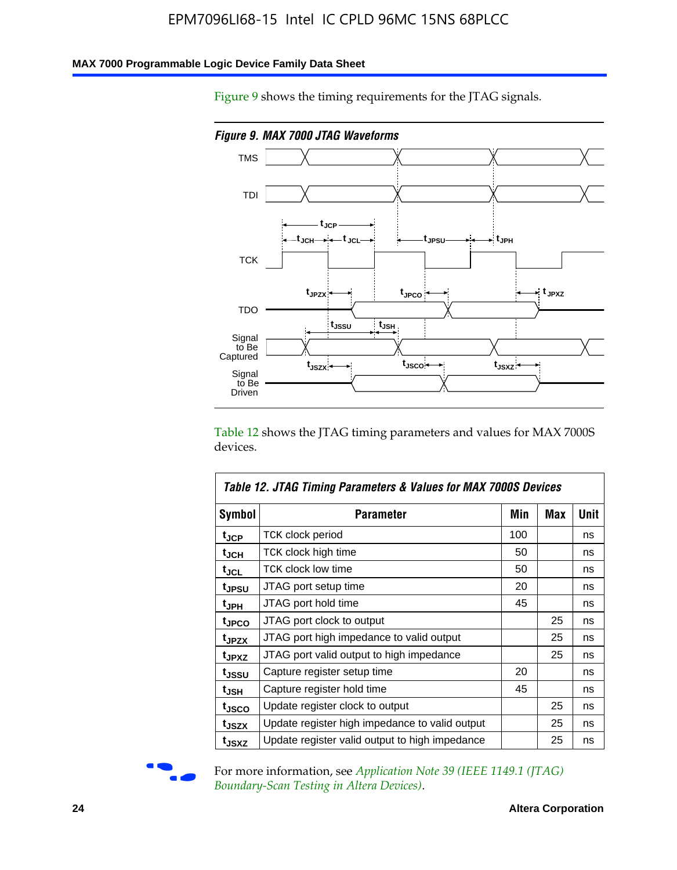### **MAX 7000 Programmable Logic Device Family Data Sheet**

Figure 9 shows the timing requirements for the JTAG signals.



Table 12 shows the JTAG timing parameters and values for MAX 7000S devices.

|                   | Table 12. JTAG Timing Parameters & Values for MAX 7000S Devices |     |            |      |  |  |  |
|-------------------|-----------------------------------------------------------------|-----|------------|------|--|--|--|
| <b>Symbol</b>     | Parameter                                                       | Min | <b>Max</b> | Unit |  |  |  |
| t <sub>JCP</sub>  | TCK clock period                                                | 100 |            | ns   |  |  |  |
| t <sub>JCH</sub>  | TCK clock high time                                             | 50  |            | ns   |  |  |  |
| t <sub>JCL</sub>  | <b>TCK clock low time</b>                                       | 50  |            | ns   |  |  |  |
| t <sub>JPSU</sub> | JTAG port setup time                                            | 20  |            | ns   |  |  |  |
| t <sub>JPH</sub>  | JTAG port hold time                                             | 45  |            | ns   |  |  |  |
| t <sub>JPCO</sub> | JTAG port clock to output                                       |     | 25         | ns   |  |  |  |
| t <sub>JPZX</sub> | JTAG port high impedance to valid output                        |     | 25         | ns   |  |  |  |
| t <sub>JPXZ</sub> | JTAG port valid output to high impedance                        |     | 25         | ns   |  |  |  |
| t <sub>JSSU</sub> | Capture register setup time                                     | 20  |            | ns   |  |  |  |
| t <sub>JSH</sub>  | Capture register hold time                                      | 45  |            | ns   |  |  |  |
| t <sub>JSCO</sub> | Update register clock to output                                 |     | 25         | ns   |  |  |  |
| t <sub>JSZX</sub> | Update register high impedance to valid output                  |     | 25         | ns   |  |  |  |
| t <sub>JSXZ</sub> | Update register valid output to high impedance                  |     | 25         | ns   |  |  |  |



For more information, see *Application Note 39* (IEEE 1149.1 (JTAG) *Boundary-Scan Testing in Altera Devices)*.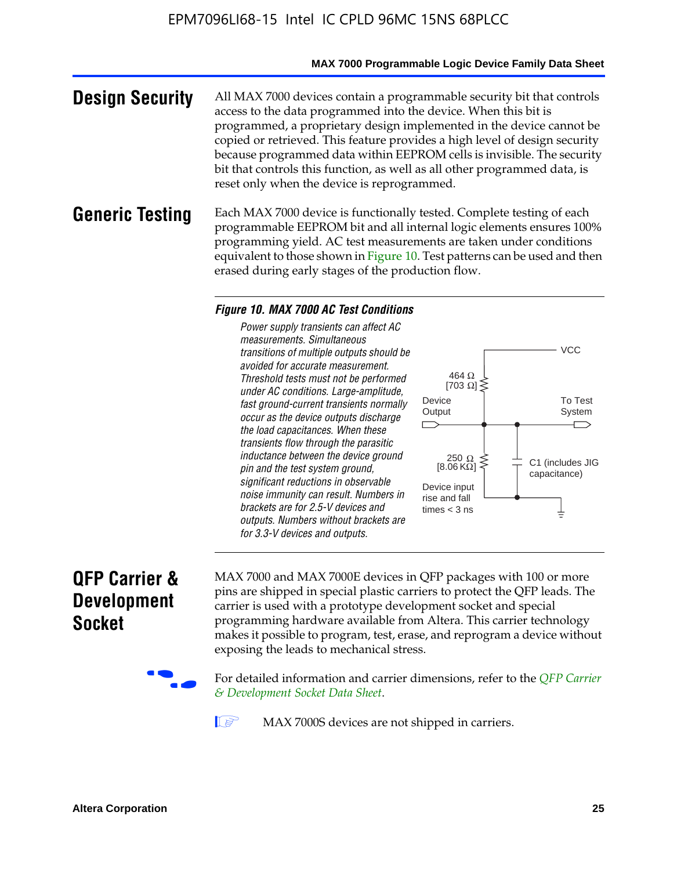### **MAX 7000 Programmable Logic Device Family Data Sheet**

**Design Security** All MAX 7000 devices contain a programmable security bit that controls access to the data programmed into the device. When this bit is programmed, a proprietary design implemented in the device cannot be copied or retrieved. This feature provides a high level of design security because programmed data within EEPROM cells is invisible. The security bit that controls this function, as well as all other programmed data, is reset only when the device is reprogrammed.

### **Generic Testing** Each MAX 7000 device is functionally tested. Complete testing of each programmable EEPROM bit and all internal logic elements ensures 100% programming yield. AC test measurements are taken under conditions equivalent to those shown in Figure 10. Test patterns can be used and then erased during early stages of the production flow.

#### *Figure 10. MAX 7000 AC Test Conditions*

*Power supply transients can affect AC measurements. Simultaneous transitions of multiple outputs should be avoided for accurate measurement. Threshold tests must not be performed under AC conditions. Large-amplitude, fast ground-current transients normally occur as the device outputs discharge the load capacitances. When these transients flow through the parasitic inductance between the device ground pin and the test system ground, significant reductions in observable noise immunity can result. Numbers in brackets are for 2.5-V devices and outputs. Numbers without brackets are for 3.3-V devices and outputs.*



## **QFP Carrier & Development Socket**

MAX 7000 and MAX 7000E devices in QFP packages with 10[0 or more](http://www.altera.com/literature/ds/dsqfp.pdf)  [pins are shipped in special plas](http://www.altera.com/literature/ds/dsqfp.pdf)tic carriers to protect the QFP leads. The carrier is used with a prototype development socket and special programming hardware available from Altera. This carrier technology makes it possible to program, test, erase, and reprogram a device without exposing the leads to mechanical stress.

For detailed information and carrier dimensions, refer to the *QFP Carrier & Development Socket Data Sheet*.

MAX 7000S devices are not shipped in carriers.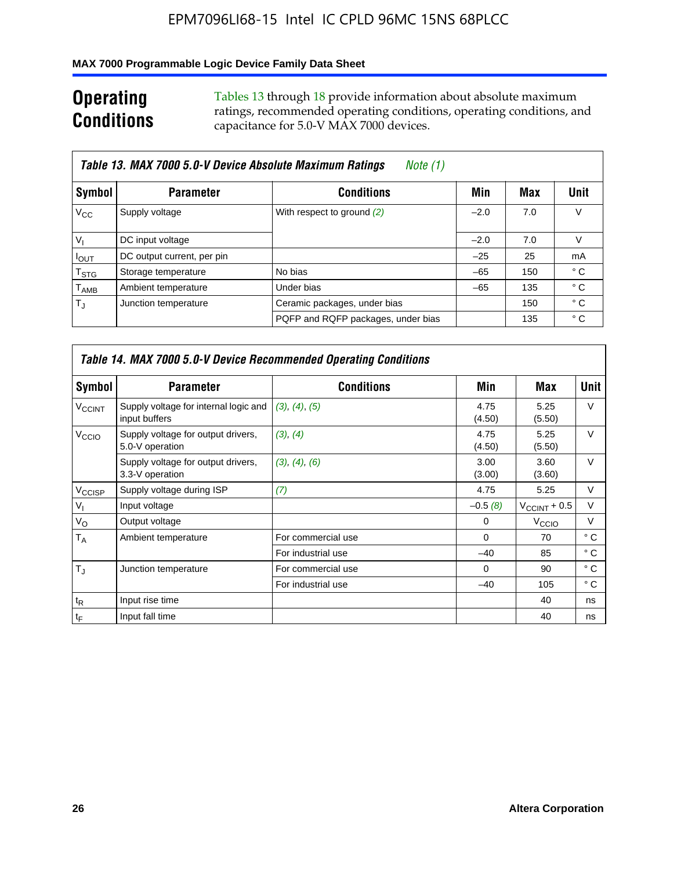### **MAX 7000 Programmable Logic Device Family Data Sheet**

## **Operating Conditions**

Tables 13 through 18 provide information about absolute maximum ratings, recommended operating conditions, operating conditions, and capacitance for 5.0-V MAX 7000 devices.

|                             | Table 13. MAX 7000 5.0-V Device Absolute Maximum Ratings<br>Note (1) |                                    |        |     |      |  |  |  |  |
|-----------------------------|----------------------------------------------------------------------|------------------------------------|--------|-----|------|--|--|--|--|
| Symbol                      | <b>Parameter</b>                                                     | <b>Conditions</b>                  | Min    | Max | Unit |  |  |  |  |
| $V_{\rm CC}$                | Supply voltage                                                       | With respect to ground (2)         | $-2.0$ | 7.0 | V    |  |  |  |  |
| $V_{1}$                     | DC input voltage                                                     |                                    | $-2.0$ | 7.0 | V    |  |  |  |  |
| $I_{\text{OUT}}$            | DC output current, per pin                                           |                                    | $-25$  | 25  | mA   |  |  |  |  |
| $\mathsf{T}_{\text{STG}}$   | Storage temperature                                                  | No bias                            | $-65$  | 150 | ° C  |  |  |  |  |
| $\mathsf{T}_{\mathsf{AMB}}$ | Ambient temperature                                                  | Under bias                         | $-65$  | 135 | ° C  |  |  |  |  |
| $T_{\rm J}$                 | Junction temperature                                                 | Ceramic packages, under bias       |        | 150 | ° C  |  |  |  |  |
|                             |                                                                      | PQFP and RQFP packages, under bias |        | 135 | ° C  |  |  |  |  |

|                          | <b>Table 14. MAX 7000 5.0-V Device Recommended Operating Conditions</b> |                    |                |                       |              |  |  |  |
|--------------------------|-------------------------------------------------------------------------|--------------------|----------------|-----------------------|--------------|--|--|--|
| Symbol                   | <b>Parameter</b>                                                        | <b>Conditions</b>  | Min            | Max                   | <b>Unit</b>  |  |  |  |
| <b>V<sub>CCINT</sub></b> | Supply voltage for internal logic and<br>input buffers                  | (3), (4), (5)      | 4.75<br>(4.50) | 5.25<br>(5.50)        | $\vee$       |  |  |  |
| V <sub>CCIO</sub>        | Supply voltage for output drivers,<br>5.0-V operation                   | (3), (4)           | 4.75<br>(4.50) | 5.25<br>(5.50)        | $\vee$       |  |  |  |
|                          | Supply voltage for output drivers,<br>3.3-V operation                   | (3), (4), (6)      | 3.00<br>(3.00) | 3.60<br>(3.60)        | $\vee$       |  |  |  |
| V <sub>CCISP</sub>       | Supply voltage during ISP                                               | (7)                | 4.75           | 5.25                  | V            |  |  |  |
| $V_{1}$                  | Input voltage                                                           |                    | $-0.5(8)$      | $V_{\rm CCINT}$ + 0.5 | V            |  |  |  |
| $V_{\rm O}$              | Output voltage                                                          |                    | 0              | V <sub>CCIO</sub>     | v            |  |  |  |
| T <sub>A</sub>           | Ambient temperature                                                     | For commercial use | $\Omega$       | 70                    | $^{\circ}$ C |  |  |  |
|                          |                                                                         | For industrial use | $-40$          | 85                    | $^{\circ}$ C |  |  |  |
| $T_{\rm J}$              | Junction temperature                                                    | For commercial use | $\Omega$       | 90                    | ° C          |  |  |  |
|                          |                                                                         | For industrial use | $-40$          | 105                   | ° C          |  |  |  |
| $t_{\mathsf{R}}$         | Input rise time                                                         |                    |                | 40                    | ns           |  |  |  |
| $t_{\mathsf{F}}$         | Input fall time                                                         |                    |                | 40                    | ns           |  |  |  |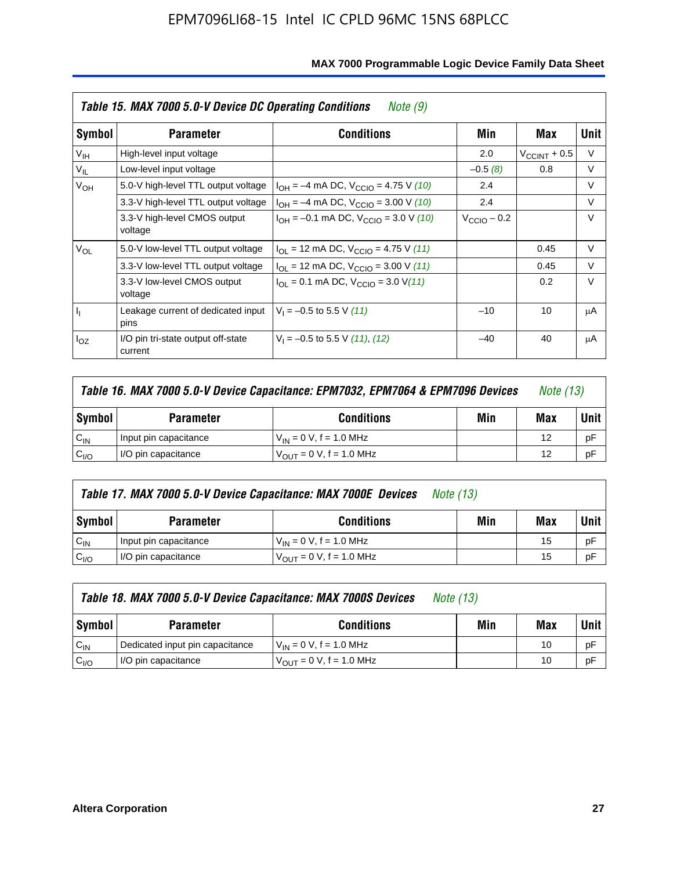|                 | Table 15. MAX 7000 5.0-V Device DC Operating Conditions<br>Note (9) |                                                                           |                 |                          |        |  |  |  |
|-----------------|---------------------------------------------------------------------|---------------------------------------------------------------------------|-----------------|--------------------------|--------|--|--|--|
| Symbol          | <b>Parameter</b>                                                    | <b>Conditions</b>                                                         | Min             | Max                      | Unit   |  |  |  |
| V <sub>IH</sub> | High-level input voltage                                            |                                                                           | 2.0             | $V_{\text{CCINT}} + 0.5$ | $\vee$ |  |  |  |
| $V_{IL}$        | Low-level input voltage                                             |                                                                           | $-0.5(8)$       | 0.8                      | V      |  |  |  |
| $V_{OH}$        | 5.0-V high-level TTL output voltage                                 | $I_{OH} = -4$ mA DC, $V_{CCIO} = 4.75$ V (10)                             | 2.4             |                          | $\vee$ |  |  |  |
|                 | 3.3-V high-level TTL output voltage                                 | $I_{OH} = -4$ mA DC, $V_{CClO} = 3.00$ V (10)                             | 2.4             |                          | $\vee$ |  |  |  |
|                 | 3.3-V high-level CMOS output<br>voltage                             | $I_{OH} = -0.1$ mA DC, $V_{CClO} = 3.0$ V (10)                            | $V_{CCD}$ – 0.2 |                          | $\vee$ |  |  |  |
| $V_{OL}$        | 5.0-V low-level TTL output voltage                                  | $I_{\text{OI}}$ = 12 mA DC, $V_{\text{CCIO}}$ = 4.75 V (11)               |                 | 0.45                     | $\vee$ |  |  |  |
|                 | 3.3-V low-level TTL output voltage                                  | $I_{OL}$ = 12 mA DC, $V_{CCIO}$ = 3.00 V (11)                             |                 | 0.45                     | $\vee$ |  |  |  |
|                 | 3.3-V low-level CMOS output<br>voltage                              | $I_{\text{OI}} = 0.1 \text{ mA DC}, V_{\text{CCIO}} = 3.0 \text{ V} (11)$ |                 | 0.2                      | $\vee$ |  |  |  |
| J <sub>I</sub>  | Leakage current of dedicated input<br>pins                          | $V_1 = -0.5$ to 5.5 V (11)                                                | $-10$           | 10                       | μA     |  |  |  |
| $I_{OZ}$        | I/O pin tri-state output off-state<br>current                       | $V_1 = -0.5$ to 5.5 V (11), (12)                                          | $-40$           | 40                       | μA     |  |  |  |

| Table 16. MAX 7000 5.0-V Device Capacitance: EPM7032, EPM7064 & EPM7096 Devices |                                                     |                                     |  |    | <i>Note (13)</i> |
|---------------------------------------------------------------------------------|-----------------------------------------------------|-------------------------------------|--|----|------------------|
| Symbol                                                                          | Min<br><b>Conditions</b><br><b>Parameter</b><br>Max |                                     |  |    |                  |
| $C_{IN}$                                                                        | Input pin capacitance                               | $V_{IN} = 0 V$ , f = 1.0 MHz        |  | 12 | pF               |
| C <sub>I/O</sub>                                                                | I/O pin capacitance                                 | $V_{\text{OUT}} = 0$ V, f = 1.0 MHz |  | 12 | рF               |

| Table 17. MAX 7000 5.0-V Device Capacitance: MAX 7000E Devices<br><i>Note (13)</i> |                       |                               |     |             |    |
|------------------------------------------------------------------------------------|-----------------------|-------------------------------|-----|-------------|----|
| Symbol                                                                             | <b>Parameter</b>      | Min                           | Max | <b>Unit</b> |    |
| $C_{IN}$                                                                           | Input pin capacitance | $V_{IN} = 0 V$ , f = 1.0 MHz  |     | 15          | pF |
| C <sub>I/O</sub>                                                                   | I/O pin capacitance   | $V_{OUT} = 0 V$ , f = 1.0 MHz |     | 15          | pF |

|                  | Table 18. MAX 7000 5.0-V Device Capacitance: MAX 7000S Devices | <i>Note (13)</i>                                    |  |     |             |
|------------------|----------------------------------------------------------------|-----------------------------------------------------|--|-----|-------------|
| Symbol           | <b>Parameter</b>                                               | <b>Conditions</b>                                   |  | Max | <b>Unit</b> |
| $C_{IN}$         | Dedicated input pin capacitance                                | $V_{IN} = 0 V$ , f = 1.0 MHz                        |  | 10  | pF          |
| C <sub>I/O</sub> | I/O pin capacitance                                            | $V_{\text{OUT}} = 0 \text{ V}, f = 1.0 \text{ MHz}$ |  | 10  | pF          |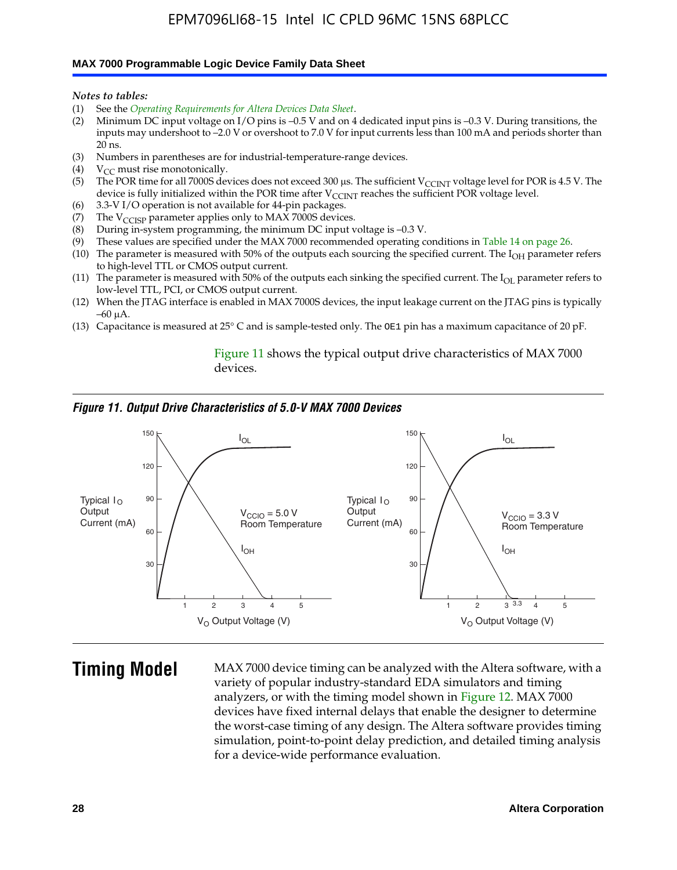#### **MAX 7000 Programmable Logic Device Family Data Sheet**

*Notes to tables:*

- (1) See the *Operating Requirements for Altera Devices Data Sheet*.
- (2) Minimum DC input voltage on I/O pins is –0.5 V and on 4 dedicated input pins is –0.3 V. During transitions, the inputs may undershoot to –2.0 V or overshoot to 7.0 V for input currents less than 100 mA and periods shorter than  $20$  ns.
- (3) Numbers in parentheses are for industrial-temperature-range devices.<br>(4)  ${\rm V}_{CC}$  must rise monotonically.
- $V_{CC}$  must rise monotonically.
- (5) The POR time for all 7000S devices does not exceed 300 µs. The sufficient V<sub>CCINT</sub> voltage level for POR is 4.5 V. The device is fully initialized within the POR time after  $V_{\text{CCINT}}$  reaches the sufficient POR voltage level.
- (6) 3.3-V I/O operation is not available for 44-pin packages.
- (7) The  $V_{\text{CCISP}}$  parameter applies only to MAX 7000S devices.
- (8) During in-system programming, the minimum DC input voltage is –0.3 V.
- (9) These values are specified under the MAX 7000 recommended operating conditions in Table 14 on page 26.
- (10) The parameter is measured with 50% of the outputs each sourcing the specified current. The  $I_{OH}$  parameter refers to high-level TTL or CMOS output current.
- (11) The parameter is measured with 50% of the outputs each sinking the specified current. The  $I_{OL}$  parameter refers to low-level TTL, PCI, or CMOS output current.
- (12) When the JTAG interface is enabled in MAX 7000S devices, the input leakage current on the JTAG pins is typically –60 μA.
- (13) Capacitance is measured at 25° C and is sample-tested only. The OE1 pin has a maximum capacitance of 20 pF.

Figure 11 shows the typical output drive characteristics of MAX 7000 devices.

### *Figure 11. Output Drive Characteristics of 5.0-V MAX 7000 Devices*



**Timing Model** MAX 7000 device timing can be analyzed with the Altera software, with a variety of popular industry-standard EDA simulators and timing analyzers, or with the timing model shown in Figure 12. MAX 7000 devices have fixed internal delays that enable the designer to determine the worst-case timing of any design. The Altera software provides timing simulation, point-to-point delay prediction, and detailed timing analysis for a device-wide performance evaluation.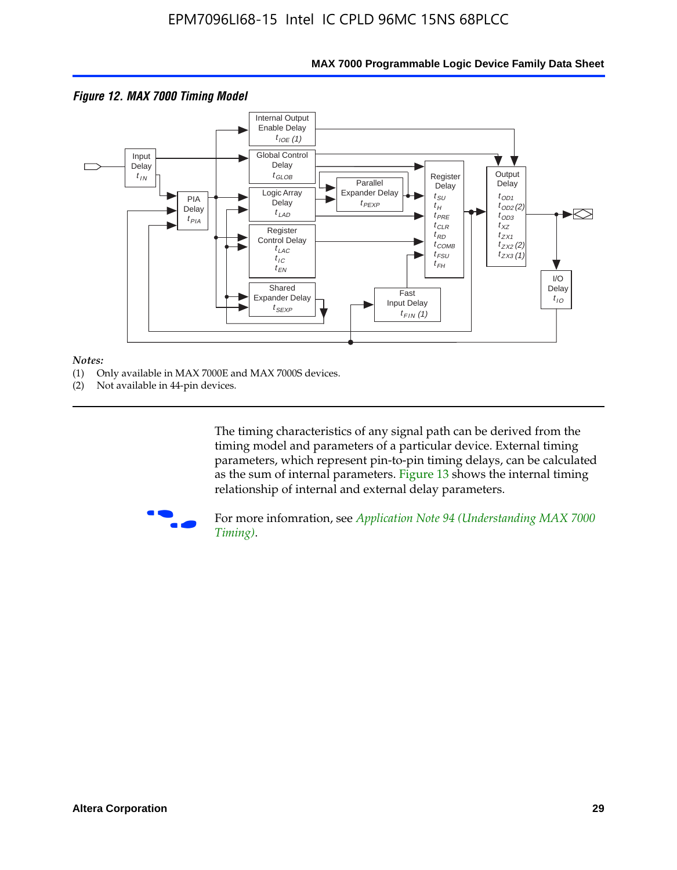

### **MAX 7000 Programmable Logic Device Family Data Sheet**

#### *Notes:*

- (1) Only available in MAX 7000E and MAX 7000S devices.
- (2) Not available in 44-pin devices.

[The tim](http://www.altera.com/literature/an/an094.pdf)ing characteristics [of any signal path can be derived from the](http://www.altera.com/literature/an/an094.pdf)  timing model and parameters of a particular device. External timing parameters, which represent pin-to-pin timing delays, can be calculated as the sum of internal parameters. Figure 13 shows the internal timing relationship of internal and external delay parameters.



For more infomration, see *Application Note 94 (Understanding MAX 7000 Timing)*.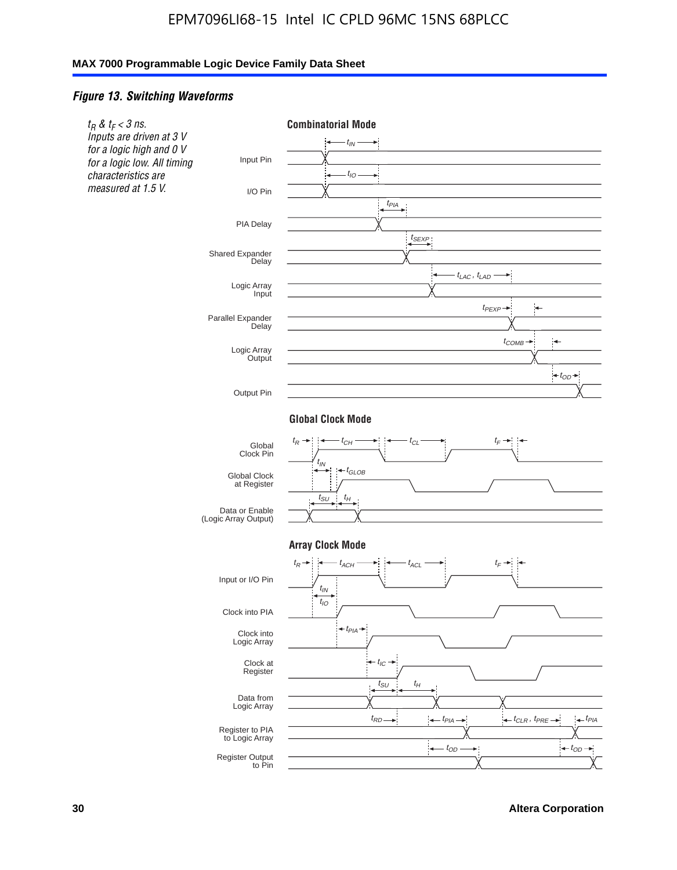### *Figure 13. Switching Waveforms*

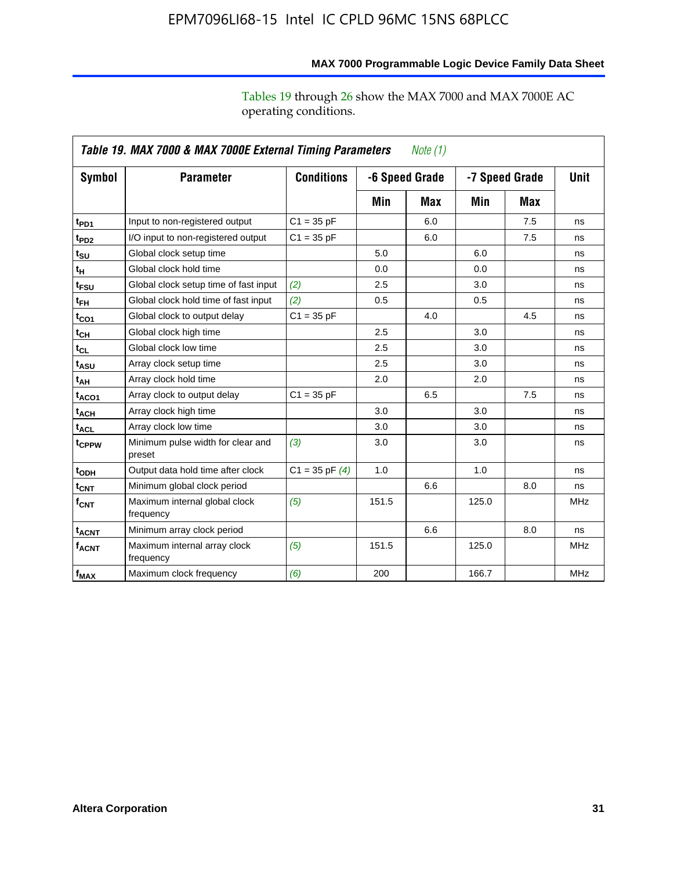|                         | Table 19. MAX 7000 & MAX 7000E External Timing Parameters<br>Note (1) |                    |       |                                  |       |             |            |  |  |
|-------------------------|-----------------------------------------------------------------------|--------------------|-------|----------------------------------|-------|-------------|------------|--|--|
| Symbol                  | <b>Parameter</b>                                                      | <b>Conditions</b>  |       | -6 Speed Grade<br>-7 Speed Grade |       | <b>Unit</b> |            |  |  |
|                         |                                                                       |                    | Min   | Max                              | Min   | Max         |            |  |  |
| t <sub>PD1</sub>        | Input to non-registered output                                        | $C1 = 35 pF$       |       | 6.0                              |       | 7.5         | ns         |  |  |
| t <sub>PD2</sub>        | I/O input to non-registered output                                    | $C1 = 35 pF$       |       | 6.0                              |       | 7.5         | ns         |  |  |
| t <sub>su</sub>         | Global clock setup time                                               |                    | 5.0   |                                  | 6.0   |             | ns         |  |  |
| tμ                      | Global clock hold time                                                |                    | 0.0   |                                  | 0.0   |             | ns         |  |  |
| t <sub>FSU</sub>        | Global clock setup time of fast input                                 | (2)                | 2.5   |                                  | 3.0   |             | ns         |  |  |
| $t_{FH}$                | Global clock hold time of fast input                                  | (2)                | 0.5   |                                  | 0.5   |             | ns         |  |  |
| t <sub>CO1</sub>        | Global clock to output delay                                          | $C1 = 35 pF$       |       | 4.0                              |       | 4.5         | ns         |  |  |
| $t_{\mathsf{CH}}$       | Global clock high time                                                |                    | 2.5   |                                  | 3.0   |             | ns         |  |  |
| $t_{CL}$                | Global clock low time                                                 |                    | 2.5   |                                  | 3.0   |             | ns         |  |  |
| t <sub>ASU</sub>        | Array clock setup time                                                |                    | 2.5   |                                  | 3.0   |             | ns         |  |  |
| t <sub>АН</sub>         | Array clock hold time                                                 |                    | 2.0   |                                  | 2.0   |             | ns         |  |  |
| t <sub>ACO1</sub>       | Array clock to output delay                                           | $C1 = 35 pF$       |       | 6.5                              |       | 7.5         | ns         |  |  |
| $t_{\sf ACH}$           | Array clock high time                                                 |                    | 3.0   |                                  | 3.0   |             | ns         |  |  |
| $t_{\sf ACL}$           | Array clock low time                                                  |                    | 3.0   |                                  | 3.0   |             | ns         |  |  |
| t <sub>CPPW</sub>       | Minimum pulse width for clear and<br>preset                           | (3)                | 3.0   |                                  | 3.0   |             | ns         |  |  |
| t <sub>ODH</sub>        | Output data hold time after clock                                     | $C1 = 35$ pF $(4)$ | 1.0   |                                  | 1.0   |             | ns         |  |  |
| $t_{\mathsf{CNT}}$      | Minimum global clock period                                           |                    |       | 6.6                              |       | 8.0         | ns         |  |  |
| $f_{\mathsf{CNT}}$      | Maximum internal global clock<br>frequency                            | (5)                | 151.5 |                                  | 125.0 |             | <b>MHz</b> |  |  |
| <b>t<sub>ACNT</sub></b> | Minimum array clock period                                            |                    |       | 6.6                              |       | 8.0         | ns         |  |  |
| <b>f<sub>ACNT</sub></b> | Maximum internal array clock<br>frequency                             | (5)                | 151.5 |                                  | 125.0 |             | <b>MHz</b> |  |  |
| $f_{MAX}$               | Maximum clock frequency                                               | (6)                | 200   |                                  | 166.7 |             | <b>MHz</b> |  |  |

**MAX 7000 Programmable Logic Device Family Data Sheet**

Tables 19 through 26 show the MAX 7000 and MAX 7000E AC operating conditions.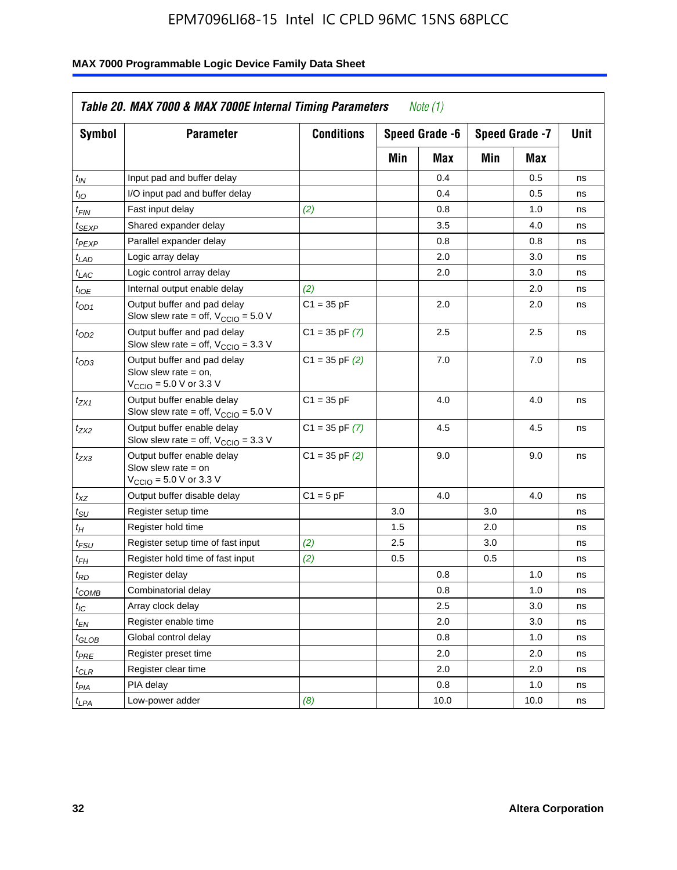| <b>Symbol</b>               | <b>Parameter</b>                                                                                             | <b>Conditions</b>  |     | Speed Grade -6 |     | Speed Grade -7 | Unit |
|-----------------------------|--------------------------------------------------------------------------------------------------------------|--------------------|-----|----------------|-----|----------------|------|
|                             |                                                                                                              |                    | Min | Max            | Min | Max            |      |
| $t_{IN}$                    | Input pad and buffer delay                                                                                   |                    |     | 0.4            |     | 0.5            | ns   |
| $t_{IO}$                    | I/O input pad and buffer delay                                                                               |                    |     | 0.4            |     | 0.5            | ns   |
| $t_{FIN}$                   | Fast input delay                                                                                             | (2)                |     | 0.8            |     | 1.0            | ns   |
| <sup>t</sup> SEXP           | Shared expander delay                                                                                        |                    |     | 3.5            |     | 4.0            | ns   |
| t <sub>PEXP</sub>           | Parallel expander delay                                                                                      |                    |     | 0.8            |     | 0.8            | ns   |
| $t_{LAD}$                   | Logic array delay                                                                                            |                    |     | 2.0            |     | 3.0            | ns   |
| $t_{LAC}$                   | Logic control array delay                                                                                    |                    |     | 2.0            |     | 3.0            | ns   |
| $t_{IOE}$                   | Internal output enable delay                                                                                 | (2)                |     |                |     | 2.0            | ns   |
| $t_{OD1}$                   | Output buffer and pad delay<br>Slow slew rate = off, $V_{\text{CCIO}} = 5.0 V$                               | $C1 = 35 pF$       |     | 2.0            |     | 2.0            | ns   |
| $t_{OD2}$                   | Output buffer and pad delay<br>Slow slew rate = off, $V_{\text{CCIO}} = 3.3$ V                               | $C1 = 35$ pF $(7)$ |     | 2.5            |     | 2.5            | ns   |
| $t_{OD3}$                   | Output buffer and pad delay<br>Slow slew rate $=$ on,<br>$V_{\text{CCIO}} = 5.0 \text{ V or } 3.3 \text{ V}$ | $C1 = 35$ pF $(2)$ |     | 7.0            |     | 7.0            | ns   |
| $t_{ZX1}$                   | Output buffer enable delay<br>Slow slew rate = off, $V_{\text{CCIO}} = 5.0 V$                                | $C1 = 35 pF$       |     | 4.0            |     | 4.0            | ns   |
| $t_{ZX2}$                   | Output buffer enable delay<br>Slow slew rate = off, $V_{\text{CCIO}} = 3.3 \text{ V}$                        | $C1 = 35$ pF $(7)$ |     | 4.5            |     | 4.5            | ns   |
| t <sub>ZX3</sub>            | Output buffer enable delay<br>Slow slew rate $=$ on<br>$V_{\text{CCIO}} = 5.0 \text{ V or } 3.3 \text{ V}$   | $C1 = 35$ pF $(2)$ |     | 9.0            |     | 9.0            | ns   |
| $t_{\text{XZ}}$             | Output buffer disable delay                                                                                  | $C1 = 5 pF$        |     | 4.0            |     | 4.0            | ns   |
| $t_{\scriptstyle\text{SU}}$ | Register setup time                                                                                          |                    | 3.0 |                | 3.0 |                | ns   |
| $t_H$                       | Register hold time                                                                                           |                    | 1.5 |                | 2.0 |                | ns   |
| t <sub>FSU</sub>            | Register setup time of fast input                                                                            | (2)                | 2.5 |                | 3.0 |                | ns   |
| $t_{FH}$                    | Register hold time of fast input                                                                             | (2)                | 0.5 |                | 0.5 |                | ns   |
| t <sub>RD</sub>             | Register delay                                                                                               |                    |     | 0.8            |     | 1.0            | ns   |
| $t_{\mathsf{COMB}}$         | Combinatorial delay                                                                                          |                    |     | 0.8            |     | 1.0            | ns   |
| $t_{IC}$                    | Array clock delay                                                                                            |                    |     | 2.5            |     | 3.0            | ns   |
| $t_{EN}$                    | Register enable time                                                                                         |                    |     | 2.0            |     | 3.0            | ns   |
| t <sub>GLOB</sub>           | Global control delay                                                                                         |                    |     | 0.8            |     | 1.0            | ns   |
| $t_{PRE}$                   | Register preset time                                                                                         |                    |     | 2.0            |     | 2.0            | ns   |
| $t_{\sf CLR}$               | Register clear time                                                                                          |                    |     | 2.0            |     | 2.0            | ns   |
| $t_{PIA}$                   | PIA delay                                                                                                    |                    |     | 0.8            |     | 1.0            | ns   |
| $t_{LPA}$                   | Low-power adder                                                                                              | (8)                |     | 10.0           |     | 10.0           | ns   |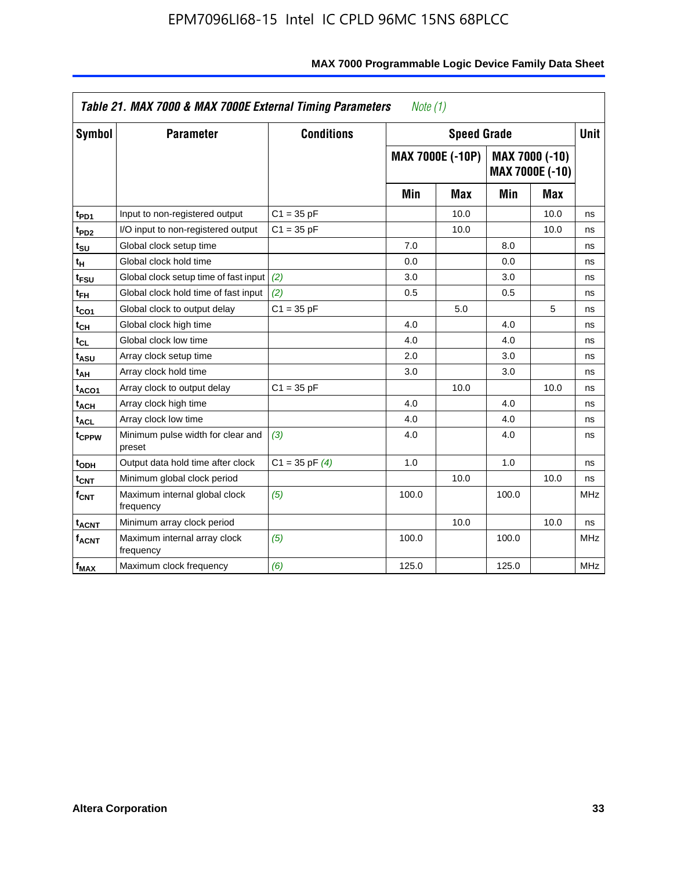| Symbol                  | <b>Parameter</b>                            | <b>Conditions</b>  |       | <b>Speed Grade</b>      |       |                                          | <b>Unit</b> |
|-------------------------|---------------------------------------------|--------------------|-------|-------------------------|-------|------------------------------------------|-------------|
|                         |                                             |                    |       | <b>MAX 7000E (-10P)</b> |       | MAX 7000 (-10)<br><b>MAX 7000E (-10)</b> |             |
|                         |                                             |                    | Min   | <b>Max</b>              | Min   | Max                                      |             |
| t <sub>PD1</sub>        | Input to non-registered output              | $C1 = 35 pF$       |       | 10.0                    |       | 10.0                                     | ns          |
| t <sub>PD2</sub>        | I/O input to non-registered output          | $C1 = 35 pF$       |       | 10.0                    |       | 10.0                                     | ns          |
| t <sub>su</sub>         | Global clock setup time                     |                    | 7.0   |                         | 8.0   |                                          | ns          |
| tμ                      | Global clock hold time                      |                    | 0.0   |                         | 0.0   |                                          | ns          |
| t <sub>FSU</sub>        | Global clock setup time of fast input (2)   |                    | 3.0   |                         | 3.0   |                                          | ns          |
| t <sub>FH</sub>         | Global clock hold time of fast input        | (2)                | 0.5   |                         | 0.5   |                                          | ns          |
| t <sub>CO1</sub>        | Global clock to output delay                | $C1 = 35 pF$       |       | 5.0                     |       | 5                                        | ns          |
| $t_{\mathsf{CH}}$       | Global clock high time                      |                    | 4.0   |                         | 4.0   |                                          | ns          |
| t <sub>CL</sub>         | Global clock low time                       |                    | 4.0   |                         | 4.0   |                                          | ns          |
| t <sub>ASU</sub>        | Array clock setup time                      |                    | 2.0   |                         | 3.0   |                                          | ns          |
| t <sub>АН</sub>         | Array clock hold time                       |                    | 3.0   |                         | 3.0   |                                          | ns          |
| t <sub>ACO1</sub>       | Array clock to output delay                 | $C1 = 35 pF$       |       | 10.0                    |       | 10.0                                     | ns          |
| t <sub>ACH</sub>        | Array clock high time                       |                    | 4.0   |                         | 4.0   |                                          | ns          |
| $t_{\sf ACL}$           | Array clock low time                        |                    | 4.0   |                         | 4.0   |                                          | ns          |
| t <sub>CPPW</sub>       | Minimum pulse width for clear and<br>preset | (3)                | 4.0   |                         | 4.0   |                                          | ns          |
| t <sub>ODH</sub>        | Output data hold time after clock           | $C1 = 35$ pF $(4)$ | 1.0   |                         | 1.0   |                                          | ns          |
| $t_{\mathsf{CNT}}$      | Minimum global clock period                 |                    |       | 10.0                    |       | 10.0                                     | ns          |
| $f_{\mathsf{CNT}}$      | Maximum internal global clock<br>frequency  | (5)                | 100.0 |                         | 100.0 |                                          | <b>MHz</b>  |
| <b>t<sub>ACNT</sub></b> | Minimum array clock period                  |                    |       | 10.0                    |       | 10.0                                     | ns          |
| f <sub>ACNT</sub>       | Maximum internal array clock<br>frequency   | (5)                | 100.0 |                         | 100.0 |                                          | <b>MHz</b>  |
| f <sub>MAX</sub>        | Maximum clock frequency                     | (6)                | 125.0 |                         | 125.0 |                                          | <b>MHz</b>  |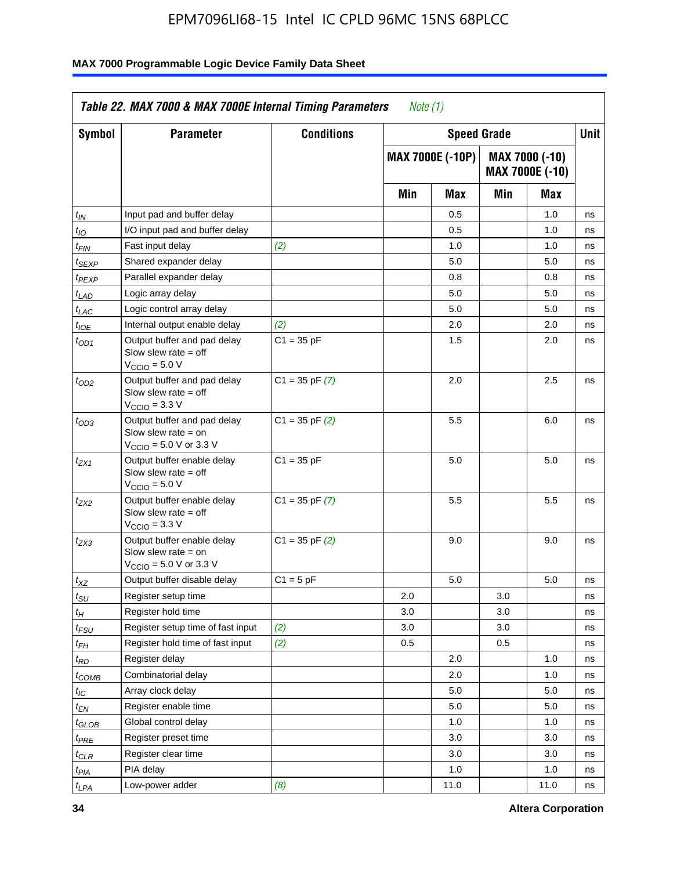| <b>Symbol</b>      | <b>Parameter</b>                                                                                            | <b>Conditions</b>  |     | <b>Speed Grade</b>      |     |                                   | Unit |
|--------------------|-------------------------------------------------------------------------------------------------------------|--------------------|-----|-------------------------|-----|-----------------------------------|------|
|                    |                                                                                                             |                    |     | <b>MAX 7000E (-10P)</b> |     | MAX 7000 (-10)<br>MAX 7000E (-10) |      |
|                    |                                                                                                             |                    | Min | Max                     | Min | Max                               |      |
| $t_{IN}$           | Input pad and buffer delay                                                                                  |                    |     | 0.5                     |     | 1.0                               | ns   |
| $t_{IO}$           | I/O input pad and buffer delay                                                                              |                    |     | 0.5                     |     | 1.0                               | ns   |
| t <sub>FIN</sub>   | Fast input delay                                                                                            | (2)                |     | 1.0                     |     | 1.0                               | ns   |
| <sup>t</sup> SEXP  | Shared expander delay                                                                                       |                    |     | 5.0                     |     | 5.0                               | ns   |
| t <sub>PEXP</sub>  | Parallel expander delay                                                                                     |                    |     | 0.8                     |     | 0.8                               | ns   |
| t <sub>LAD</sub>   | Logic array delay                                                                                           |                    |     | 5.0                     |     | 5.0                               | ns   |
| $t_{LAC}$          | Logic control array delay                                                                                   |                    |     | 5.0                     |     | 5.0                               | ns   |
| $t_{\mathit{IOE}}$ | Internal output enable delay                                                                                | (2)                |     | 2.0                     |     | 2.0                               | ns   |
| $t_{OD1}$          | Output buffer and pad delay<br>Slow slew rate $=$ off<br>$V_{\text{CCIO}} = 5.0 V$                          | $C1 = 35 pF$       |     | 1.5                     |     | 2.0                               | ns   |
| $t_{OD2}$          | Output buffer and pad delay<br>Slow slew rate $=$ off<br>$VCCIO = 3.3 V$                                    | $C1 = 35$ pF $(7)$ |     | 2.0                     |     | 2.5                               | ns   |
| $t_{OD3}$          | Output buffer and pad delay<br>Slow slew rate $=$ on<br>$V_{\text{CCIO}} = 5.0 \text{ V or } 3.3 \text{ V}$ | $C1 = 35$ pF $(2)$ |     | 5.5                     |     | 6.0                               | ns   |
| tzx1               | Output buffer enable delay<br>Slow slew rate $=$ off<br>$V_{\text{CCIO}} = 5.0 V$                           | $C1 = 35 pF$       |     | 5.0                     |     | 5.0                               | ns   |
| t <sub>ZX2</sub>   | Output buffer enable delay<br>Slow slew rate $=$ off<br>$V_{\text{CCIO}} = 3.3 \text{ V}$                   | $C1 = 35$ pF $(7)$ |     | 5.5                     |     | 5.5                               | ns   |
| t <sub>ZX3</sub>   | Output buffer enable delay<br>Slow slew rate $=$ on<br>$V_{\text{CCIO}} = 5.0 \text{ V or } 3.3 \text{ V}$  | $C1 = 35$ pF $(2)$ |     | 9.0                     |     | 9.0                               | ns   |
| $t_{\mathsf{XZ}}$  | Output buffer disable delay                                                                                 | $C1 = 5$ pF        |     | 5.0                     |     | 5.0                               | ns   |
| $t_{\sf SU}$       | Register setup time                                                                                         |                    | 2.0 |                         | 3.0 |                                   | ns   |
| $t_H$              | Register hold time                                                                                          |                    | 3.0 |                         | 3.0 |                                   | ns   |
| t <sub>FSU</sub>   | Register setup time of fast input                                                                           | (2)                | 3.0 |                         | 3.0 |                                   | ns   |
| t <sub>FH</sub>    | Register hold time of fast input                                                                            | (2)                | 0.5 |                         | 0.5 |                                   | ns   |
| $t_{RD}$           | Register delay                                                                                              |                    |     | 2.0                     |     | 1.0                               | ns   |
| $t_{COMB}$         | Combinatorial delay                                                                                         |                    |     | 2.0                     |     | 1.0                               | ns   |
| $t_{\mathcal{IC}}$ | Array clock delay                                                                                           |                    |     | 5.0                     |     | 5.0                               | ns   |
| $t_{EN}$           | Register enable time                                                                                        |                    |     | 5.0                     |     | 5.0                               | ns   |
| t <sub>GLOB</sub>  | Global control delay                                                                                        |                    |     | 1.0                     |     | 1.0                               | ns   |
| $t_{PRE}$          | Register preset time                                                                                        |                    |     | 3.0                     |     | 3.0                               | ns   |
| $t_{\sf CLR}$      | Register clear time                                                                                         |                    |     | 3.0                     |     | 3.0                               | ns   |
| $t_{PIA}$          | PIA delay                                                                                                   |                    |     | 1.0                     |     | 1.0                               | ns   |
| $t_{LPA}$          | Low-power adder                                                                                             | (8)                |     | 11.0                    |     | 11.0                              | ns   |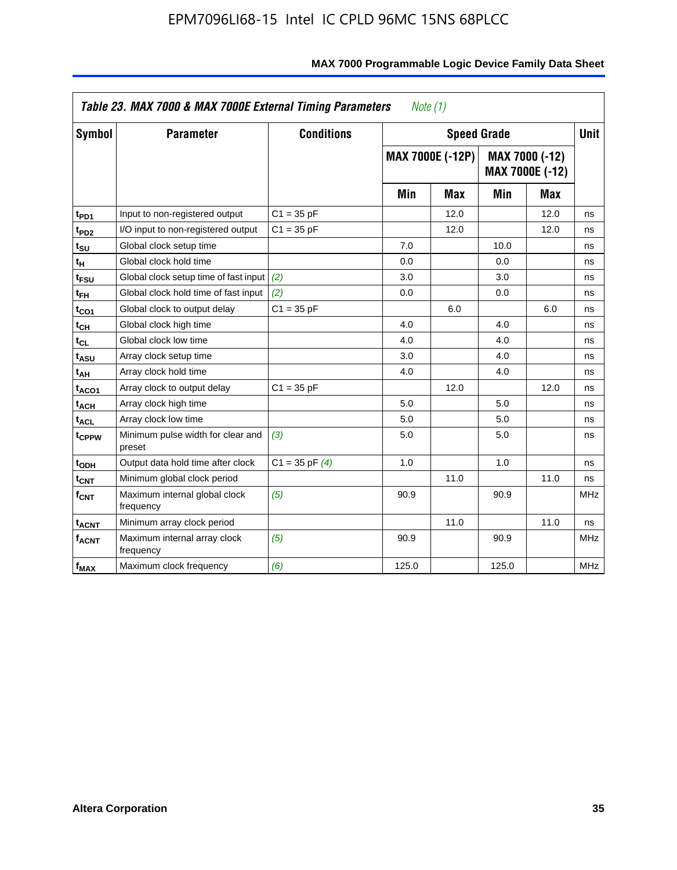| <b>Symbol</b>                | <b>Parameter</b>                            | <b>Conditions</b>  |       | <b>Speed Grade</b>      |       |                                          | <b>Unit</b> |
|------------------------------|---------------------------------------------|--------------------|-------|-------------------------|-------|------------------------------------------|-------------|
|                              |                                             |                    |       | <b>MAX 7000E (-12P)</b> |       | MAX 7000 (-12)<br><b>MAX 7000E (-12)</b> |             |
|                              |                                             |                    | Min   | Max                     | Min   | <b>Max</b>                               |             |
| t <sub>PD1</sub>             | Input to non-registered output              | $C1 = 35 pF$       |       | 12.0                    |       | 12.0                                     | ns          |
| t <sub>PD2</sub>             | I/O input to non-registered output          | $C1 = 35 pF$       |       | 12.0                    |       | 12.0                                     | ns          |
| t <sub>su</sub>              | Global clock setup time                     |                    | 7.0   |                         | 10.0  |                                          | ns          |
| tμ                           | Global clock hold time                      |                    | 0.0   |                         | 0.0   |                                          | ns          |
| t <sub>FSU</sub>             | Global clock setup time of fast input       | (2)                | 3.0   |                         | 3.0   |                                          | ns          |
| $t_{FH}$                     | Global clock hold time of fast input        | (2)                | 0.0   |                         | 0.0   |                                          | ns          |
| t <sub>CO1</sub>             | Global clock to output delay                | $C1 = 35 pF$       |       | 6.0                     |       | 6.0                                      | ns          |
| $t_{\mathsf{CH}}$            | Global clock high time                      |                    | 4.0   |                         | 4.0   |                                          | ns          |
| $\mathfrak{t}_{\texttt{CL}}$ | Global clock low time                       |                    | 4.0   |                         | 4.0   |                                          | ns          |
| t <sub>ASU</sub>             | Array clock setup time                      |                    | 3.0   |                         | 4.0   |                                          | ns          |
| t <sub>АН</sub>              | Array clock hold time                       |                    | 4.0   |                         | 4.0   |                                          | ns          |
| t <sub>ACO1</sub>            | Array clock to output delay                 | $C1 = 35 pF$       |       | 12.0                    |       | 12.0                                     | ns          |
| t <sub>ACH</sub>             | Array clock high time                       |                    | 5.0   |                         | 5.0   |                                          | ns          |
| $t_{\sf ACL}$                | Array clock low time                        |                    | 5.0   |                         | 5.0   |                                          | ns          |
| t <sub>CPPW</sub>            | Minimum pulse width for clear and<br>preset | (3)                | 5.0   |                         | 5.0   |                                          | ns          |
| t <sub>ODH</sub>             | Output data hold time after clock           | $C1 = 35$ pF $(4)$ | 1.0   |                         | 1.0   |                                          | ns          |
| $t_{\mathsf{CNT}}$           | Minimum global clock period                 |                    |       | 11.0                    |       | 11.0                                     | ns          |
| $f_{\mathsf{CNT}}$           | Maximum internal global clock<br>frequency  | (5)                | 90.9  |                         | 90.9  |                                          | <b>MHz</b>  |
| <b>t<sub>ACNT</sub></b>      | Minimum array clock period                  |                    |       | 11.0                    |       | 11.0                                     | ns          |
| f <sub>ACNT</sub>            | Maximum internal array clock<br>frequency   | (5)                | 90.9  |                         | 90.9  |                                          | <b>MHz</b>  |
| f <sub>MAX</sub>             | Maximum clock frequency                     | (6)                | 125.0 |                         | 125.0 |                                          | MHz         |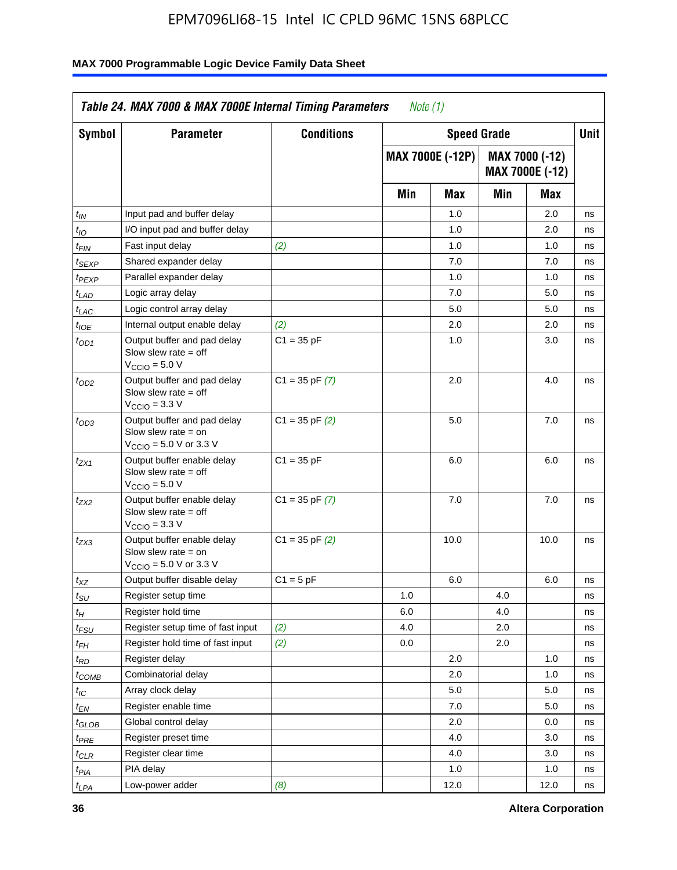| <b>Symbol</b>               | <b>Parameter</b>                                                                                            | <b>Conditions</b>  |     | <b>Speed Grade</b>      |     |                                   | Unit |
|-----------------------------|-------------------------------------------------------------------------------------------------------------|--------------------|-----|-------------------------|-----|-----------------------------------|------|
|                             |                                                                                                             |                    |     | <b>MAX 7000E (-12P)</b> |     | MAX 7000 (-12)<br>MAX 7000E (-12) |      |
|                             |                                                                                                             |                    | Min | Max                     | Min | Max                               |      |
| t <sub>IN</sub>             | Input pad and buffer delay                                                                                  |                    |     | 1.0                     |     | 2.0                               | ns   |
| $t_{IO}$                    | I/O input pad and buffer delay                                                                              |                    |     | 1.0                     |     | 2.0                               | ns   |
| $t_{\sf FIN}$               | Fast input delay                                                                                            | (2)                |     | 1.0                     |     | 1.0                               | ns   |
| t <sub>SEXP</sub>           | Shared expander delay                                                                                       |                    |     | 7.0                     |     | 7.0                               | ns   |
| $t_{PEXP}$                  | Parallel expander delay                                                                                     |                    |     | 1.0                     |     | 1.0                               | ns   |
| t <sub>LAD</sub>            | Logic array delay                                                                                           |                    |     | 7.0                     |     | 5.0                               | ns   |
| $t_{LAC}$                   | Logic control array delay                                                                                   |                    |     | 5.0                     |     | 5.0                               | ns   |
| $t_{\mathit{IOE}}$          | Internal output enable delay                                                                                | (2)                |     | 2.0                     |     | 2.0                               | ns   |
| $t_{OD1}$                   | Output buffer and pad delay<br>Slow slew rate $=$ off<br>$V_{\text{CCIO}} = 5.0 V$                          | $C1 = 35 pF$       |     | 1.0                     |     | 3.0                               | ns   |
| $t_{OD2}$                   | Output buffer and pad delay<br>Slow slew rate $=$ off<br>$V_{\text{CCIO}} = 3.3 \text{ V}$                  | $C1 = 35$ pF $(7)$ |     | 2.0                     |     | 4.0                               | ns   |
| $t_{OD3}$                   | Output buffer and pad delay<br>Slow slew rate $=$ on<br>$V_{\text{CCIO}} = 5.0 \text{ V or } 3.3 \text{ V}$ | $C1 = 35$ pF $(2)$ |     | 5.0                     |     | 7.0                               | ns   |
| $t_{ZX1}$                   | Output buffer enable delay<br>Slow slew rate $=$ off<br>$V_{\text{CCIO}} = 5.0 V$                           | $C1 = 35 pF$       |     | 6.0                     |     | 6.0                               | ns   |
| t <sub>ZX2</sub>            | Output buffer enable delay<br>Slow slew rate $=$ off<br>$V_{\text{CCIO}} = 3.3 \text{ V}$                   | $C1 = 35$ pF $(7)$ |     | 7.0                     |     | 7.0                               | ns   |
| $t_{ZX3}$                   | Output buffer enable delay<br>Slow slew rate $=$ on<br>$V_{\text{CCIO}} = 5.0 \text{ V or } 3.3 \text{ V}$  | $C1 = 35$ pF $(2)$ |     | 10.0                    |     | 10.0                              | ns   |
| $t_{XZ}$                    | Output buffer disable delay                                                                                 | $C1 = 5 pF$        |     | 6.0                     |     | 6.0                               | ns   |
| $t_{\scriptstyle\text{SU}}$ | Register setup time                                                                                         |                    | 1.0 |                         | 4.0 |                                   | ns   |
| $t_H$                       | Register hold time                                                                                          |                    | 6.0 |                         | 4.0 |                                   | ns   |
| $t_{\mathit{FSU}}$          | Register setup time of fast input                                                                           | (2)                | 4.0 |                         | 2.0 |                                   | ns   |
| t <sub>FH</sub>             | Register hold time of fast input                                                                            | (2)                | 0.0 |                         | 2.0 |                                   | ns   |
| $t_{RD}$                    | Register delay                                                                                              |                    |     | 2.0                     |     | 1.0                               | ns   |
| $t_{COMB}$                  | Combinatorial delay                                                                                         |                    |     | 2.0                     |     | 1.0                               | ns   |
| ЧC                          | Array clock delay                                                                                           |                    |     | 5.0                     |     | 5.0                               | 115  |
| $t_{EN}$                    | Register enable time                                                                                        |                    |     | 7.0                     |     | 5.0                               | ns   |
| $t_{GLOB}$                  | Global control delay                                                                                        |                    |     | 2.0                     |     | 0.0                               | ns   |
| t <sub>PRE</sub>            | Register preset time                                                                                        |                    |     | 4.0                     |     | 3.0                               | ns   |
| $t_{CLR}$                   | Register clear time                                                                                         |                    |     | 4.0                     |     | 3.0                               | ns   |
| t <sub>PIA</sub>            | PIA delay                                                                                                   |                    |     | 1.0                     |     | 1.0                               | ns   |
| $t_{LPA}$                   | Low-power adder                                                                                             | (8)                |     | 12.0                    |     | 12.0                              | ns   |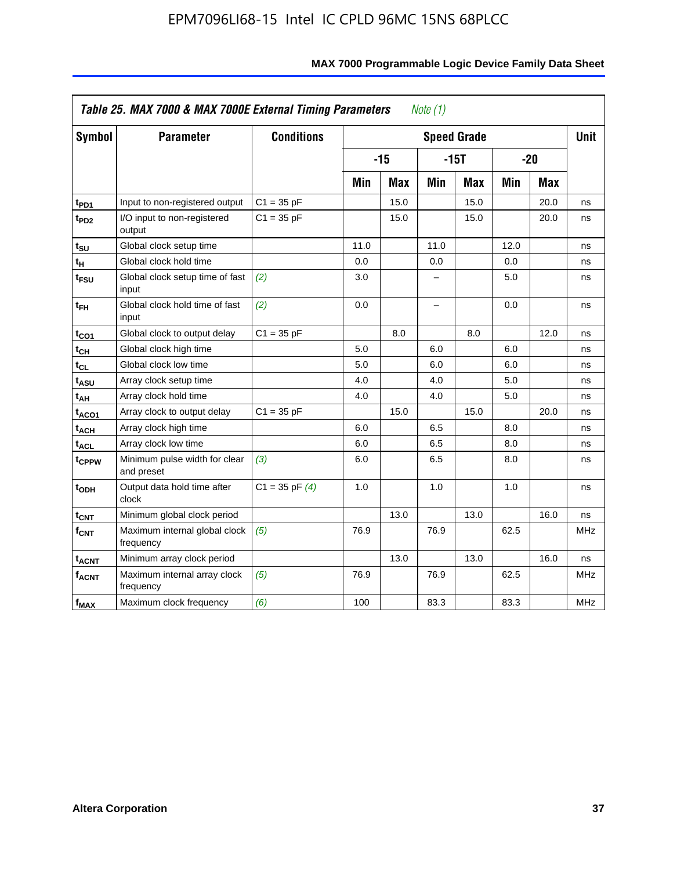| <b>Symbol</b>           | <b>Parameter</b>                            | <b>Conditions</b>  |      |            |      | <b>Speed Grade</b> |      |            | <b>Unit</b> |
|-------------------------|---------------------------------------------|--------------------|------|------------|------|--------------------|------|------------|-------------|
|                         |                                             |                    |      | $-15$      |      | $-15T$             |      | $-20$      |             |
|                         |                                             |                    | Min  | <b>Max</b> | Min  | <b>Max</b>         | Min  | <b>Max</b> |             |
| $t_{PD1}$               | Input to non-registered output              | $C1 = 35 pF$       |      | 15.0       |      | 15.0               |      | 20.0       | ns          |
| t <sub>PD2</sub>        | I/O input to non-registered<br>output       | $C1 = 35 pF$       |      | 15.0       |      | 15.0               |      | 20.0       | ns          |
| tsu                     | Global clock setup time                     |                    | 11.0 |            | 11.0 |                    | 12.0 |            | ns          |
| $t_H$                   | Global clock hold time                      |                    | 0.0  |            | 0.0  |                    | 0.0  |            | ns          |
| t <sub>FSU</sub>        | Global clock setup time of fast<br>input    | (2)                | 3.0  |            | -    |                    | 5.0  |            | ns          |
| $t_{FH}$                | Global clock hold time of fast<br>input     | (2)                | 0.0  |            | -    |                    | 0.0  |            | ns          |
| t <sub>CO1</sub>        | Global clock to output delay                | $C1 = 35 pF$       |      | 8.0        |      | 8.0                |      | 12.0       | ns          |
| $t_{\mathsf{CH}}$       | Global clock high time                      |                    | 5.0  |            | 6.0  |                    | 6.0  |            | ns          |
| $t_{CL}$                | Global clock low time                       |                    | 5.0  |            | 6.0  |                    | 6.0  |            | ns          |
| $t_{ASU}$               | Array clock setup time                      |                    | 4.0  |            | 4.0  |                    | 5.0  |            | ns          |
| t <sub>АН</sub>         | Array clock hold time                       |                    | 4.0  |            | 4.0  |                    | 5.0  |            | ns          |
| t <sub>ACO1</sub>       | Array clock to output delay                 | $C1 = 35 pF$       |      | 15.0       |      | 15.0               |      | 20.0       | ns          |
| $t_{\sf ACH}$           | Array clock high time                       |                    | 6.0  |            | 6.5  |                    | 8.0  |            | ns          |
| t <sub>ACL</sub>        | Array clock low time                        |                    | 6.0  |            | 6.5  |                    | 8.0  |            | ns          |
| t <sub>CPPW</sub>       | Minimum pulse width for clear<br>and preset | (3)                | 6.0  |            | 6.5  |                    | 8.0  |            | ns          |
| t <sub>ODH</sub>        | Output data hold time after<br>clock        | $C1 = 35$ pF $(4)$ | 1.0  |            | 1.0  |                    | 1.0  |            | ns          |
| $t_{\mathsf{CNT}}$      | Minimum global clock period                 |                    |      | 13.0       |      | 13.0               |      | 16.0       | ns          |
| $f_{\mathsf{CNT}}$      | Maximum internal global clock<br>frequency  | (5)                | 76.9 |            | 76.9 |                    | 62.5 |            | <b>MHz</b>  |
| <b>t<sub>ACNT</sub></b> | Minimum array clock period                  |                    |      | 13.0       |      | 13.0               |      | 16.0       | ns          |
| <b>fACNT</b>            | Maximum internal array clock<br>frequency   | (5)                | 76.9 |            | 76.9 |                    | 62.5 |            | <b>MHz</b>  |
| $f_{MAX}$               | Maximum clock frequency                     | (6)                | 100  |            | 83.3 |                    | 83.3 |            | MHz         |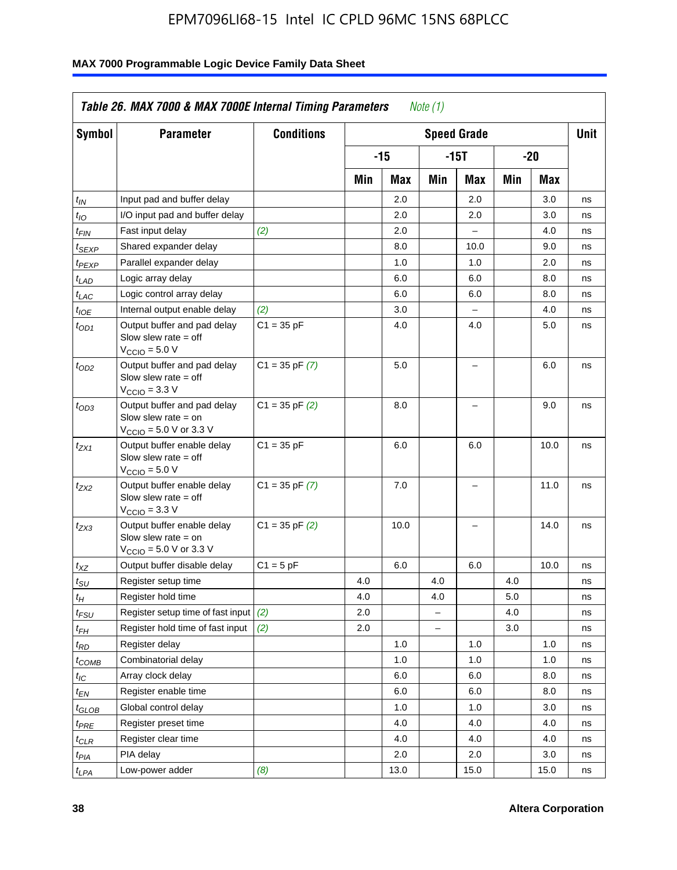| <b>Symbol</b>                 | <b>Parameter</b>                                                                                            | <b>Conditions</b>  |     |      |                          | <b>Speed Grade</b>       |     |      | <b>Unit</b> |
|-------------------------------|-------------------------------------------------------------------------------------------------------------|--------------------|-----|------|--------------------------|--------------------------|-----|------|-------------|
|                               |                                                                                                             |                    |     | -15  |                          | $-15T$                   |     | -20  |             |
|                               |                                                                                                             |                    | Min | Max  | Min                      | Max                      | Min | Max  |             |
| $t_{IN}$                      | Input pad and buffer delay                                                                                  |                    |     | 2.0  |                          | 2.0                      |     | 3.0  | ns          |
| $t_{IO}$                      | I/O input pad and buffer delay                                                                              |                    |     | 2.0  |                          | 2.0                      |     | 3.0  | ns          |
| $t_{\textit{FIN}}$            | Fast input delay                                                                                            | (2)                |     | 2.0  |                          | $\equiv$                 |     | 4.0  | ns          |
| $t_{SEXP}$                    | Shared expander delay                                                                                       |                    |     | 8.0  |                          | 10.0                     |     | 9.0  | ns          |
| t <sub>PEXP</sub>             | Parallel expander delay                                                                                     |                    |     | 1.0  |                          | 1.0                      |     | 2.0  | ns          |
| t <sub>LAD</sub>              | Logic array delay                                                                                           |                    |     | 6.0  |                          | 6.0                      |     | 8.0  | ns          |
| $t_{LAC}$                     | Logic control array delay                                                                                   |                    |     | 6.0  |                          | 6.0                      |     | 8.0  | ns          |
| $t_{IOE}$                     | Internal output enable delay                                                                                | (2)                |     | 3.0  |                          | $\overline{\phantom{0}}$ |     | 4.0  | ns          |
| $t_{OD1}$                     | Output buffer and pad delay<br>Slow slew rate $=$ off<br>$V_{\text{CCIO}} = 5.0 V$                          | $C1 = 35 pF$       |     | 4.0  |                          | 4.0                      |     | 5.0  | ns          |
| $t_{OD2}$                     | Output buffer and pad delay<br>Slow slew rate $=$ off<br>$V_{\text{CCIO}} = 3.3 \text{ V}$                  | $C1 = 35 pF(7)$    |     | 5.0  |                          | $\overline{\phantom{0}}$ |     | 6.0  | ns          |
| $t_{OD3}$                     | Output buffer and pad delay<br>Slow slew rate $=$ on<br>$V_{\text{CCIO}} = 5.0 \text{ V or } 3.3 \text{ V}$ | $C1 = 35$ pF $(2)$ |     | 8.0  |                          |                          |     | 9.0  | ns          |
| $t_{ZX1}$                     | Output buffer enable delay<br>Slow slew rate $=$ off<br>$V_{\text{CCIO}} = 5.0 V$                           | $C1 = 35 pF$       |     | 6.0  |                          | 6.0                      |     | 10.0 | ns          |
| t <sub>ZX2</sub>              | Output buffer enable delay<br>Slow slew rate $=$ off<br>$V_{\text{CCIO}} = 3.3 \text{ V}$                   | $C1 = 35$ pF $(7)$ |     | 7.0  |                          | L,                       |     | 11.0 | ns          |
| t <sub>ZX3</sub>              | Output buffer enable delay<br>Slow slew rate $=$ on<br>$V_{\text{CCIO}} = 5.0 \text{ V or } 3.3 \text{ V}$  | $C1 = 35$ pF $(2)$ |     | 10.0 |                          |                          |     | 14.0 | ns          |
| $t_{\mathsf{XZ}}$             | Output buffer disable delay                                                                                 | $C1 = 5pF$         |     | 6.0  |                          | 6.0                      |     | 10.0 | ns          |
| $t_{\scriptstyle\text{SU}}$   | Register setup time                                                                                         |                    | 4.0 |      | 4.0                      |                          | 4.0 |      | ns          |
| tμ                            | Register hold time                                                                                          |                    | 4.0 |      | 4.0                      |                          | 5.0 |      | ns          |
| t <sub>FSU</sub>              | Register setup time of fast input                                                                           | (2)                | 2.0 |      | $\overline{\phantom{0}}$ |                          | 4.0 |      | ns          |
| t <sub>FH</sub>               | Register hold time of fast input                                                                            | (2)                | 2.0 |      | L.                       |                          | 3.0 |      | ns          |
| $t_{RD}$                      | Register delay                                                                                              |                    |     | 1.0  |                          | 1.0                      |     | 1.0  | ns          |
| $t_{COMB}$                    | Combinatorial delay                                                                                         |                    |     | 1.0  |                          | 1.0                      |     | 1.0  | ns          |
| $t_{IC}$                      | Array clock delay                                                                                           |                    |     | 6.0  |                          | 6.0                      |     | 8.0  | ns          |
| $t_{EN}$                      | Register enable time                                                                                        |                    |     | 6.0  |                          | 6.0                      |     | 8.0  | ns          |
| $t_{\scriptstyle\text{GLOB}}$ | Global control delay                                                                                        |                    |     | 1.0  |                          | 1.0                      |     | 3.0  | ns          |
| $t_{PRE}$                     | Register preset time                                                                                        |                    |     | 4.0  |                          | 4.0                      |     | 4.0  | ns          |
| $t_{\sf CLR}$                 | Register clear time                                                                                         |                    |     | 4.0  |                          | 4.0                      |     | 4.0  | ns          |
| $t_{PIA}$                     | PIA delay                                                                                                   |                    |     | 2.0  |                          | 2.0                      |     | 3.0  | ns          |
| $t_{LPA}$                     | Low-power adder                                                                                             | (8)                |     | 13.0 |                          | 15.0                     |     | 15.0 | ns          |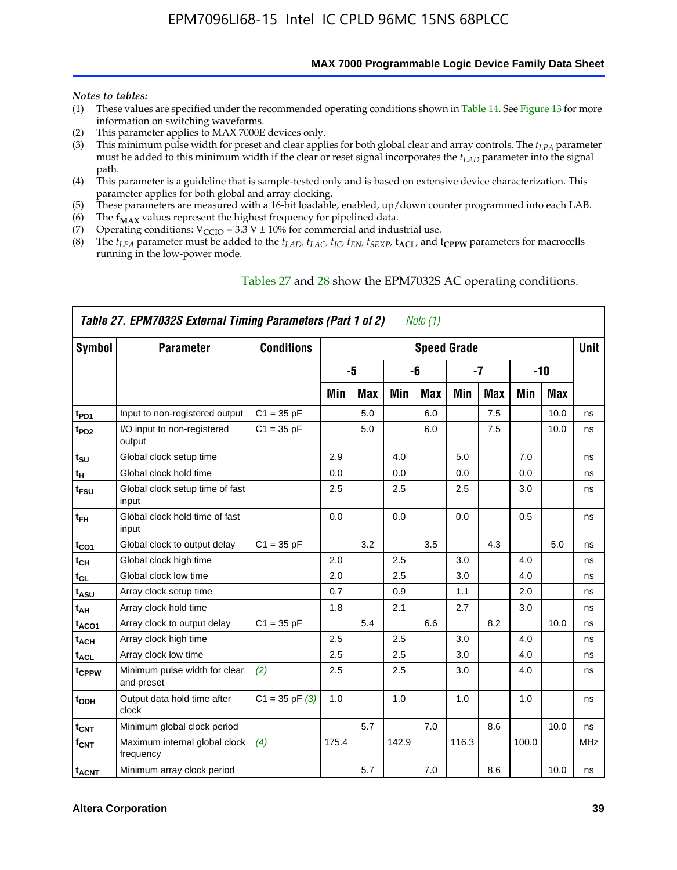**MAX 7000 Programmable Logic Device Family Data Sheet**

#### *Notes to tables:*

- (1) These values are specified under the recommended operating conditions shown in Table 14. See Figure 13 for more information on switching waveforms.
- (2) This parameter applies to MAX 7000E devices only.
- (3) This minimum pulse width for preset and clear applies for both global clear and array controls. The *tLPA* parameter must be added to this minimum width if the clear or reset signal incorporates the  $t_{LAD}$  parameter into the signal path.
- (4) This parameter is a guideline that is sample-tested only and is based on extensive device characterization. This parameter applies for both global and array clocking.
- (5) These parameters are measured with a 16-bit loadable, enabled, up/down counter programmed into each LAB.
- (6) The  $f_{MAX}$  values represent the highest frequency for pipelined data.
- (7) Operating conditions:  $V_{\text{CCIO}} = 3.3 \text{ V} \pm 10\%$  for commercial and industrial use.
- (8) The  $t_{LPA}$  parameter must be added to the  $t_{LAD}$ ,  $t_{LAC}$ ,  $t_{IC}$ ,  $t_{EN}$ ,  $t_{SEXP}$ ,  $t_{ACL}$ , and  $t_{CPPW}$  parameters for macrocells running in the low-power mode.

| Symbol                  | <b>Parameter</b>                            | <b>Conditions</b>  |       |            |       |            | <b>Speed Grade</b> |            |       |       | Unit       |
|-------------------------|---------------------------------------------|--------------------|-------|------------|-------|------------|--------------------|------------|-------|-------|------------|
|                         |                                             |                    |       | $-5$       |       | -6         |                    | $-7$       |       | $-10$ |            |
|                         |                                             |                    | Min   | <b>Max</b> | Min   | <b>Max</b> | Min                | <b>Max</b> | Min   | Max   |            |
| t <sub>PD1</sub>        | Input to non-registered output              | $C1 = 35 pF$       |       | 5.0        |       | 6.0        |                    | 7.5        |       | 10.0  | ns         |
| $t_{PD2}$               | I/O input to non-registered<br>output       | $C1 = 35 pF$       |       | 5.0        |       | 6.0        |                    | 7.5        |       | 10.0  | ns         |
| $t_{\text{SU}}$         | Global clock setup time                     |                    | 2.9   |            | 4.0   |            | 5.0                |            | 7.0   |       | ns         |
| $t_H$                   | Global clock hold time                      |                    | 0.0   |            | 0.0   |            | 0.0                |            | 0.0   |       | ns         |
| t <sub>FSU</sub>        | Global clock setup time of fast<br>input    |                    | 2.5   |            | 2.5   |            | 2.5                |            | 3.0   |       | ns         |
| $t_{FH}$                | Global clock hold time of fast<br>input     |                    | 0.0   |            | 0.0   |            | 0.0                |            | 0.5   |       | ns         |
| $t_{CO1}$               | Global clock to output delay                | $C1 = 35 pF$       |       | 3.2        |       | 3.5        |                    | 4.3        |       | 5.0   | ns         |
| $t_{CH}$                | Global clock high time                      |                    | 2.0   |            | 2.5   |            | 3.0                |            | 4.0   |       | ns         |
| $t_{CL}$                | Global clock low time                       |                    | 2.0   |            | 2.5   |            | 3.0                |            | 4.0   |       | ns         |
| t <sub>ASU</sub>        | Array clock setup time                      |                    | 0.7   |            | 0.9   |            | 1.1                |            | 2.0   |       | ns         |
| t <sub>АН</sub>         | Array clock hold time                       |                    | 1.8   |            | 2.1   |            | 2.7                |            | 3.0   |       | ns         |
| t <sub>ACO1</sub>       | Array clock to output delay                 | $C1 = 35 pF$       |       | 5.4        |       | 6.6        |                    | 8.2        |       | 10.0  | ns         |
| <b>t<sub>ACH</sub></b>  | Array clock high time                       |                    | 2.5   |            | 2.5   |            | 3.0                |            | 4.0   |       | ns         |
| t <sub>ACL</sub>        | Array clock low time                        |                    | 2.5   |            | 2.5   |            | 3.0                |            | 4.0   |       | ns         |
| tcppw                   | Minimum pulse width for clear<br>and preset | (2)                | 2.5   |            | 2.5   |            | 3.0                |            | 4.0   |       | ns         |
| t <sub>ODH</sub>        | Output data hold time after<br>clock        | $C1 = 35$ pF $(3)$ | 1.0   |            | 1.0   |            | 1.0                |            | 1.0   |       | ns         |
| $t_{\text{CNT}}$        | Minimum global clock period                 |                    |       | 5.7        |       | 7.0        |                    | 8.6        |       | 10.0  | ns         |
| $f_{\text{CNT}}$        | Maximum internal global clock<br>frequency  | (4)                | 175.4 |            | 142.9 |            | 116.3              |            | 100.0 |       | <b>MHz</b> |
| <b>t<sub>ACNT</sub></b> | Minimum array clock period                  |                    |       | 5.7        |       | 7.0        |                    | 8.6        |       | 10.0  | ns         |

### Tables 27 and 28 show the EPM7032S AC operating conditions.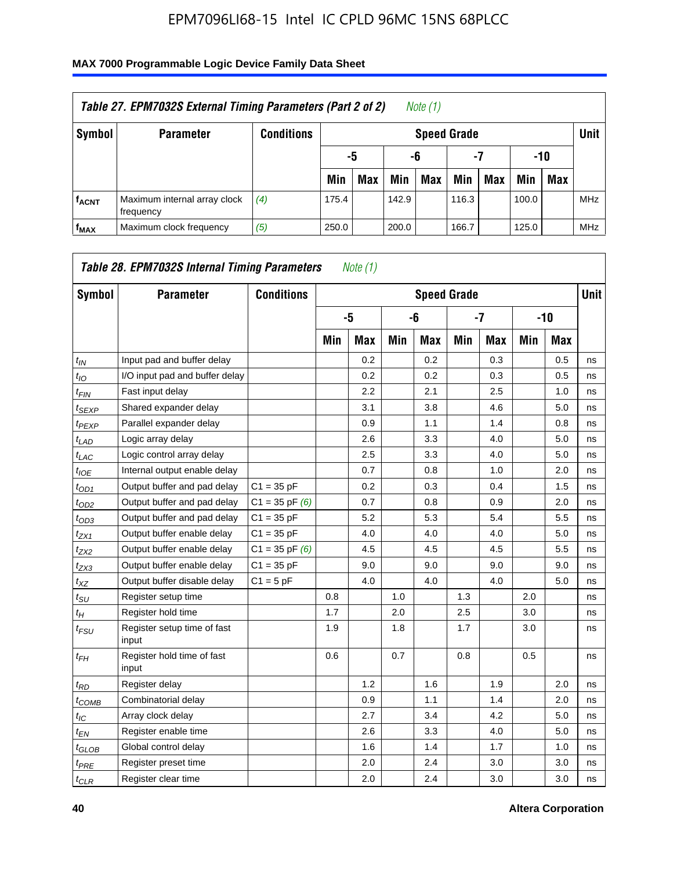| Table 27. EPM7032S External Timing Parameters (Part 2 of 2)<br>Note (1) |                                           |                   |       |                       |       |                    |       |     |       |            |            |  |
|-------------------------------------------------------------------------|-------------------------------------------|-------------------|-------|-----------------------|-------|--------------------|-------|-----|-------|------------|------------|--|
| Symbol                                                                  | <b>Parameter</b>                          | <b>Conditions</b> |       |                       |       | <b>Speed Grade</b> |       |     |       |            | Unit       |  |
|                                                                         |                                           |                   |       | -7<br>-10<br>-6<br>-5 |       |                    |       |     |       |            |            |  |
|                                                                         |                                           |                   | Min   | <b>Max</b>            | Min   | <b>Max</b>         | Min   | Max | Min   | <b>Max</b> |            |  |
| <b>fACNT</b>                                                            | Maximum internal array clock<br>frequency | (4)               | 175.4 |                       | 142.9 |                    | 116.3 |     | 100.0 |            | <b>MHz</b> |  |
| f <sub>MAX</sub>                                                        | Maximum clock frequency                   | (5)               | 250.0 |                       | 200.0 |                    | 166.7 |     | 125.0 |            | <b>MHz</b> |  |

| Symbol                        | <b>Parameter</b>                     | <b>Conditions</b>  |     |            |     | <b>Speed Grade</b> |     |            |     |            | <b>Unit</b> |
|-------------------------------|--------------------------------------|--------------------|-----|------------|-----|--------------------|-----|------------|-----|------------|-------------|
|                               |                                      |                    |     | -5         |     | -6                 |     | $-7$       |     | $-10$      |             |
|                               |                                      |                    | Min | <b>Max</b> | Min | <b>Max</b>         | Min | <b>Max</b> | Min | <b>Max</b> |             |
| $t_{IN}$                      | Input pad and buffer delay           |                    |     | 0.2        |     | 0.2                |     | 0.3        |     | 0.5        | ns          |
| $t_{IO}$                      | I/O input pad and buffer delay       |                    |     | 0.2        |     | 0.2                |     | 0.3        |     | 0.5        | ns          |
| $t_{\textit{FIN}}$            | Fast input delay                     |                    |     | 2.2        |     | 2.1                |     | 2.5        |     | 1.0        | ns          |
| $t_{SEXP}$                    | Shared expander delay                |                    |     | 3.1        |     | 3.8                |     | 4.6        |     | 5.0        | ns          |
| $t_{PEXP}$                    | Parallel expander delay              |                    |     | 0.9        |     | 1.1                |     | 1.4        |     | 0.8        | ns          |
| $t_{LAD}$                     | Logic array delay                    |                    |     | 2.6        |     | 3.3                |     | 4.0        |     | 5.0        | ns          |
| $t_{LAC}$                     | Logic control array delay            |                    |     | 2.5        |     | 3.3                |     | 4.0        |     | 5.0        | ns          |
| $t_{IOE}$                     | Internal output enable delay         |                    |     | 0.7        |     | 0.8                |     | 1.0        |     | 2.0        | ns          |
| $t_{OD1}$                     | Output buffer and pad delay          | $C1 = 35 pF$       |     | 0.2        |     | 0.3                |     | 0.4        |     | 1.5        | ns          |
| $t_{OD2}$                     | Output buffer and pad delay          | $C1 = 35$ pF $(6)$ |     | 0.7        |     | 0.8                |     | 0.9        |     | 2.0        | ns          |
| $t_{OD3}$                     | Output buffer and pad delay          | $C1 = 35 pF$       |     | 5.2        |     | 5.3                |     | 5.4        |     | 5.5        | ns          |
| $t_{ZX1}$                     | Output buffer enable delay           | $C1 = 35 pF$       |     | 4.0        |     | 4.0                |     | 4.0        |     | 5.0        | ns          |
| t <sub>ZX2</sub>              | Output buffer enable delay           | $C1 = 35$ pF $(6)$ |     | 4.5        |     | 4.5                |     | 4.5        |     | 5.5        | ns          |
| $t_{ZX3}$                     | Output buffer enable delay           | $C1 = 35 pF$       |     | 9.0        |     | 9.0                |     | 9.0        |     | 9.0        | ns          |
| $t_{XZ}$                      | Output buffer disable delay          | $C1 = 5pF$         |     | 4.0        |     | 4.0                |     | 4.0        |     | 5.0        | ns          |
| $t_{\rm SU}$                  | Register setup time                  |                    | 0.8 |            | 1.0 |                    | 1.3 |            | 2.0 |            | ns          |
| $t_{H}$                       | Register hold time                   |                    | 1.7 |            | 2.0 |                    | 2.5 |            | 3.0 |            | ns          |
| $t_{\mathit{FSU}}$            | Register setup time of fast<br>input |                    | 1.9 |            | 1.8 |                    | 1.7 |            | 3.0 |            | ns          |
| $t_{FH}$                      | Register hold time of fast<br>input  |                    | 0.6 |            | 0.7 |                    | 0.8 |            | 0.5 |            | ns          |
| $t_{RD}$                      | Register delay                       |                    |     | 1.2        |     | 1.6                |     | 1.9        |     | 2.0        | ns          |
| $t_{COMB}$                    | Combinatorial delay                  |                    |     | 0.9        |     | 1.1                |     | 1.4        |     | 2.0        | ns          |
| $t_{IC}$                      | Array clock delay                    |                    |     | 2.7        |     | 3.4                |     | 4.2        |     | 5.0        | ns          |
| $t_{EN}$                      | Register enable time                 |                    |     | 2.6        |     | 3.3                |     | 4.0        |     | 5.0        | ns          |
| $t_{\scriptstyle\text{GLOB}}$ | Global control delay                 |                    |     | 1.6        |     | 1.4                |     | 1.7        |     | 1.0        | ns          |
| $t_{PRE}$                     | Register preset time                 |                    |     | 2.0        |     | 2.4                |     | 3.0        |     | 3.0        | ns          |
| $t_{CLR}$                     | Register clear time                  |                    |     | 2.0        |     | 2.4                |     | 3.0        |     | 3.0        | ns          |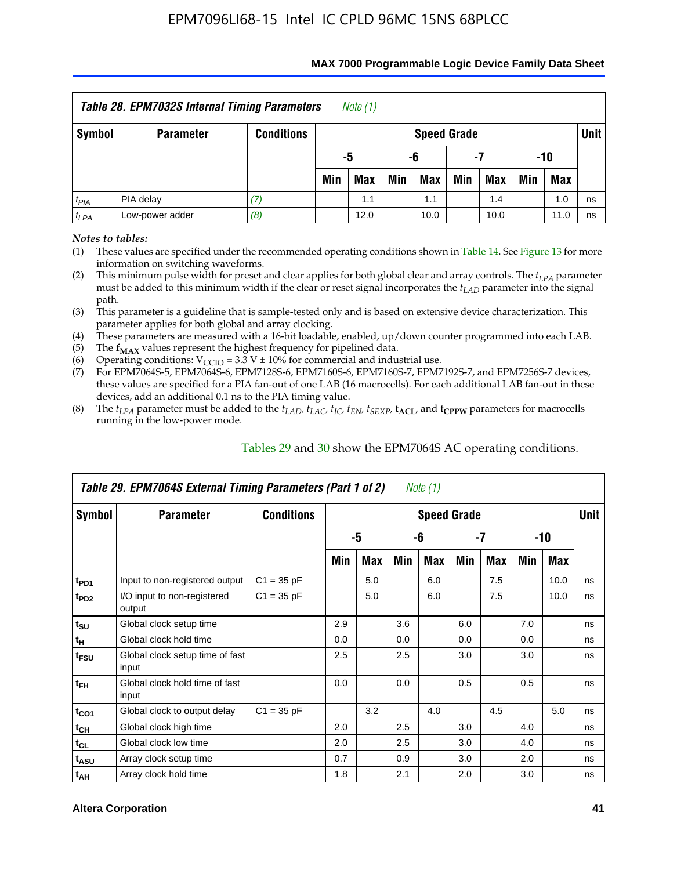| Table 28. EPM7032S Internal Timing Parameters<br>Note $(1)$               |                  |                   |                          |     |     |                    |     |     |     |            |        |  |  |
|---------------------------------------------------------------------------|------------------|-------------------|--------------------------|-----|-----|--------------------|-----|-----|-----|------------|--------|--|--|
| Symbol                                                                    | <b>Parameter</b> | <b>Conditions</b> |                          |     |     | <b>Speed Grade</b> |     |     |     |            | Unit I |  |  |
|                                                                           |                  |                   | -5<br>-10<br>-6<br>-7    |     |     |                    |     |     |     |            |        |  |  |
|                                                                           |                  |                   | Min                      | Max | Min | <b>Max</b>         | Min | Max | Min | <b>Max</b> |        |  |  |
| t <sub>PIA</sub>                                                          | PIA delay        | (7)               | 1.0<br>1.1<br>1.4<br>1.1 |     |     |                    |     |     |     |            | ns     |  |  |
| (8)<br>Low-power adder<br>12.0<br>10.0<br>10.0<br>11.0<br>$t_{LPA}$<br>ns |                  |                   |                          |     |     |                    |     |     |     |            |        |  |  |

#### **MAX 7000 Programmable Logic Device Family Data Sheet**

*Notes to tables:*

(1) These values are specified under the recommended operating conditions shown in Table 14. See Figure 13 for more information on switching waveforms.

(2) This minimum pulse width for preset and clear applies for both global clear and array controls. The  $t_{LPA}$  parameter must be added to this minimum width if the clear or reset signal incorporates the *tLAD* parameter into the signal path.

(3) This parameter is a guideline that is sample-tested only and is based on extensive device characterization. This parameter applies for both global and array clocking.

(4) These parameters are measured with a 16-bit loadable, enabled, up/down counter programmed into each LAB.

(5) The  $f_{MAX}$  values represent the highest frequency for pipelined data.

(6) Operating conditions:  $V_{\text{CCIO}} = 3.3 \text{ V} \pm 10\%$  for commercial and industrial use.

(7) For EPM7064S-5, EPM7064S-6, EPM7128S-6, EPM7160S-6, EPM7160S-7, EPM7192S-7, and EPM7256S-7 devices, these values are specified for a PIA fan-out of one LAB (16 macrocells). For each additional LAB fan-out in these devices, add an additional 0.1 ns to the PIA timing value.

(8) The  $t_{LPA}$  parameter must be added to the  $t_{LAD}$ ,  $t_{LAC}$ ,  $t_{IC}$ ,  $t_{EN}$ ,  $t_{SEXP}$ ,  $t_{ACL}$ , and  $t_{CPPW}$  parameters for macrocells running in the low-power mode.

|                  | Table 29. EPM7064S External Timing Parameters (Part 1 of 2) |                   |     |     |     | Note (1)           |     |     |     |      |      |
|------------------|-------------------------------------------------------------|-------------------|-----|-----|-----|--------------------|-----|-----|-----|------|------|
| Symbol           | <b>Parameter</b>                                            | <b>Conditions</b> |     |     |     | <b>Speed Grade</b> |     |     |     |      | Unit |
|                  |                                                             |                   |     | -5  |     | -6                 |     | -7  |     | -10  |      |
|                  |                                                             |                   | Min | Max | Min | Max                | Min | Max | Min | Max  |      |
| t <sub>PD1</sub> | Input to non-registered output                              | $C1 = 35 pF$      |     | 5.0 |     | 6.0                |     | 7.5 |     | 10.0 | ns   |
| t <sub>PD2</sub> | I/O input to non-registered<br>output                       | $C1 = 35 pF$      |     | 5.0 |     | 6.0                |     | 7.5 |     | 10.0 | ns   |
| $t_{\text{SU}}$  | Global clock setup time                                     |                   | 2.9 |     | 3.6 |                    | 6.0 |     | 7.0 |      | ns   |
| $t_H$            | Global clock hold time                                      |                   | 0.0 |     | 0.0 |                    | 0.0 |     | 0.0 |      | ns   |
| t <sub>FSU</sub> | Global clock setup time of fast<br>input                    |                   | 2.5 |     | 2.5 |                    | 3.0 |     | 3.0 |      | ns   |
| $t_{FH}$         | Global clock hold time of fast<br>input                     |                   | 0.0 |     | 0.0 |                    | 0.5 |     | 0.5 |      | ns   |
| $t_{CO1}$        | Global clock to output delay                                | $C1 = 35 pF$      |     | 3.2 |     | 4.0                |     | 4.5 |     | 5.0  | ns   |
| $t_{CH}$         | Global clock high time                                      |                   | 2.0 |     | 2.5 |                    | 3.0 |     | 4.0 |      | ns   |
| $t_{CL}$         | Global clock low time                                       |                   | 2.0 |     | 2.5 |                    | 3.0 |     | 4.0 |      | ns   |
| $t_{ASU}$        | Array clock setup time                                      |                   | 0.7 |     | 0.9 |                    | 3.0 |     | 2.0 |      | ns   |
| $t_{AH}$         | Array clock hold time                                       |                   | 1.8 |     | 2.1 |                    | 2.0 |     | 3.0 |      | ns   |

Tables 29 and 30 show the EPM7064S AC operating conditions.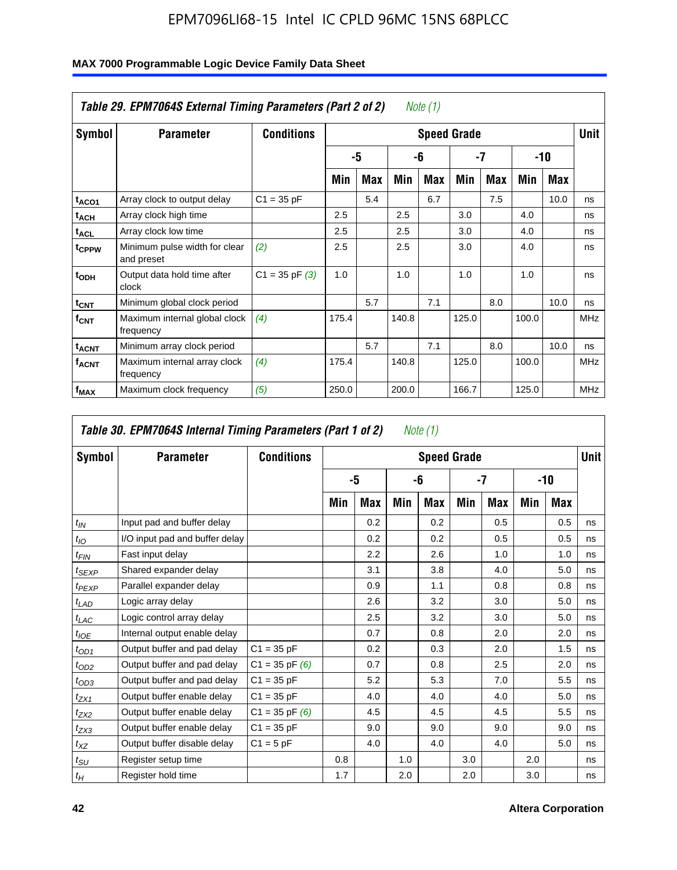| Symbol                         | <b>Parameter</b>                            | <b>Conditions</b>  |       |     |       |     | <b>Speed Grade</b> |     |       |      | <b>Unit</b> |
|--------------------------------|---------------------------------------------|--------------------|-------|-----|-------|-----|--------------------|-----|-------|------|-------------|
|                                |                                             |                    |       | -5  |       | -6  |                    | -7  |       | -10  |             |
|                                |                                             |                    | Min   | Max | Min   | Max | Min                | Max | Min   | Max  |             |
| t <sub>ACO1</sub>              | Array clock to output delay                 | $C1 = 35 pF$       |       | 5.4 |       | 6.7 |                    | 7.5 |       | 10.0 | ns          |
| $t_{\sf ACH}$                  | Array clock high time                       |                    | 2.5   |     | 2.5   |     | 3.0                |     | 4.0   |      | ns          |
| t <sub>ACL</sub>               | Array clock low time                        |                    | 2.5   |     | 2.5   |     | 3.0                |     | 4.0   |      | ns          |
| t <sub>CPPW</sub>              | Minimum pulse width for clear<br>and preset | (2)                | 2.5   |     | 2.5   |     | 3.0                |     | 4.0   |      | ns          |
| $t$ <sub>ODH</sub>             | Output data hold time after<br>clock        | $C1 = 35$ pF $(3)$ | 1.0   |     | 1.0   |     | 1.0                |     | 1.0   |      | ns          |
| $t_{\text{CNT}}$               | Minimum global clock period                 |                    |       | 5.7 |       | 7.1 |                    | 8.0 |       | 10.0 | ns          |
| $f_{CNT}$                      | Maximum internal global clock<br>frequency  | (4)                | 175.4 |     | 140.8 |     | 125.0              |     | 100.0 |      | <b>MHz</b>  |
| $\mathfrak{t}_{\mathsf{ACNT}}$ | Minimum array clock period                  |                    |       | 5.7 |       | 7.1 |                    | 8.0 |       | 10.0 | ns          |
| <b>f<sub>ACNT</sub></b>        | Maximum internal array clock<br>frequency   | (4)                | 175.4 |     | 140.8 |     | 125.0              |     | 100.0 |      | <b>MHz</b>  |
| $f_{MAX}$                      | Maximum clock frequency                     | (5)                | 250.0 |     | 200.0 |     | 166.7              |     | 125.0 |      | <b>MHz</b>  |

|                  | Table 30. EPM7064S Internal Timing Parameters (Part 1 of 2) |                    |     |     |     | Note $(1)$         |     |      |     |       |             |
|------------------|-------------------------------------------------------------|--------------------|-----|-----|-----|--------------------|-----|------|-----|-------|-------------|
| Symbol           | <b>Parameter</b>                                            | <b>Conditions</b>  |     |     |     | <b>Speed Grade</b> |     |      |     |       | <b>Unit</b> |
|                  |                                                             |                    |     | -5  |     | -6                 |     | $-7$ |     | $-10$ |             |
|                  |                                                             |                    | Min | Max | Min | Max                | Min | Max  | Min | Max   |             |
| $t_{IN}$         | Input pad and buffer delay                                  |                    |     | 0.2 |     | 0.2                |     | 0.5  |     | 0.5   | ns          |
| $t_{IO}$         | I/O input pad and buffer delay                              |                    |     | 0.2 |     | 0.2                |     | 0.5  |     | 0.5   | ns          |
| t <sub>FIN</sub> | Fast input delay                                            |                    |     | 2.2 |     | 2.6                |     | 1.0  |     | 1.0   | ns          |
| $t_{SEXP}$       | Shared expander delay                                       |                    |     | 3.1 |     | 3.8                |     | 4.0  |     | 5.0   | ns          |
| $t_{PEXP}$       | Parallel expander delay                                     |                    |     | 0.9 |     | 1.1                |     | 0.8  |     | 0.8   | ns          |
| $t_{LAD}$        | Logic array delay                                           |                    |     | 2.6 |     | 3.2                |     | 3.0  |     | 5.0   | ns          |
| $t_{LAC}$        | Logic control array delay                                   |                    |     | 2.5 |     | 3.2                |     | 3.0  |     | 5.0   | ns          |
| $t_{IOE}$        | Internal output enable delay                                |                    |     | 0.7 |     | 0.8                |     | 2.0  |     | 2.0   | ns          |
| $t_{OD1}$        | Output buffer and pad delay                                 | $C1 = 35 pF$       |     | 0.2 |     | 0.3                |     | 2.0  |     | 1.5   | ns          |
| $t_{OD2}$        | Output buffer and pad delay                                 | $C1 = 35$ pF $(6)$ |     | 0.7 |     | 0.8                |     | 2.5  |     | 2.0   | ns          |
| $t_{OD3}$        | Output buffer and pad delay                                 | $C1 = 35 pF$       |     | 5.2 |     | 5.3                |     | 7.0  |     | 5.5   | ns          |
| $t_{ZX1}$        | Output buffer enable delay                                  | $C1 = 35 pF$       |     | 4.0 |     | 4.0                |     | 4.0  |     | 5.0   | ns          |
| $t_{ZX2}$        | Output buffer enable delay                                  | $C1 = 35$ pF $(6)$ |     | 4.5 |     | 4.5                |     | 4.5  |     | 5.5   | ns          |
| $t_{ZX3}$        | Output buffer enable delay                                  | $C1 = 35 pF$       |     | 9.0 |     | 9.0                |     | 9.0  |     | 9.0   | ns          |
| $t_{XZ}$         | Output buffer disable delay                                 | $C1 = 5pF$         |     | 4.0 |     | 4.0                |     | 4.0  |     | 5.0   | ns          |
| $t_{\text{SU}}$  | Register setup time                                         |                    | 0.8 |     | 1.0 |                    | 3.0 |      | 2.0 |       | ns          |
| $t_H$            | Register hold time                                          |                    | 1.7 |     | 2.0 |                    | 2.0 |      | 3.0 |       | ns          |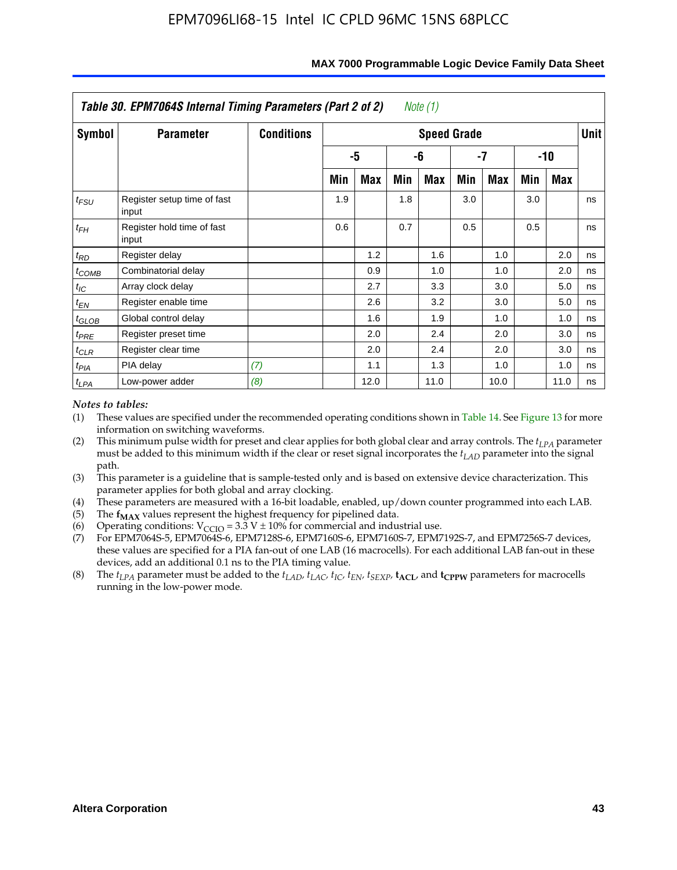|                   | Table 30. EPM7064S Internal Timing Parameters (Part 2 of 2) |                   |     |      |     | Note (1)           |     |      |     |            |             |
|-------------------|-------------------------------------------------------------|-------------------|-----|------|-----|--------------------|-----|------|-----|------------|-------------|
| Symbol            | <b>Parameter</b>                                            | <b>Conditions</b> |     |      |     | <b>Speed Grade</b> |     |      |     |            | <b>Unit</b> |
|                   |                                                             |                   |     | -5   |     | -6                 |     | -7   |     | $-10$      |             |
|                   |                                                             |                   | Min | Max  | Min | Max                | Min | Max  | Min | <b>Max</b> |             |
| $t_{FSU}$         | Register setup time of fast<br>input                        |                   | 1.9 |      | 1.8 |                    | 3.0 |      | 3.0 |            | ns          |
| $t_{FH}$          | Register hold time of fast<br>input                         |                   | 0.6 |      | 0.7 |                    | 0.5 |      | 0.5 |            | ns          |
| $t_{RD}$          | Register delay                                              |                   |     | 1.2  |     | 1.6                |     | 1.0  |     | 2.0        | ns          |
| $t_{COMB}$        | Combinatorial delay                                         |                   |     | 0.9  |     | 1.0                |     | 1.0  |     | 2.0        | ns          |
| $t_{IC}$          | Array clock delay                                           |                   |     | 2.7  |     | 3.3                |     | 3.0  |     | 5.0        | ns          |
| $t_{EN}$          | Register enable time                                        |                   |     | 2.6  |     | 3.2                |     | 3.0  |     | 5.0        | ns          |
| $t_{\text{GLOB}}$ | Global control delay                                        |                   |     | 1.6  |     | 1.9                |     | 1.0  |     | 1.0        | ns          |
| $t_{PRE}$         | Register preset time                                        |                   |     | 2.0  |     | 2.4                |     | 2.0  |     | 3.0        | ns          |
| $t_{CLR}$         | Register clear time                                         |                   |     | 2.0  |     | 2.4                |     | 2.0  |     | 3.0        | ns          |
| $t_{PIA}$         | PIA delay                                                   | (7)               |     | 1.1  |     | 1.3                |     | 1.0  |     | 1.0        | ns          |
| $t_{LPA}$         | Low-power adder                                             | (8)               |     | 12.0 |     | 11.0               |     | 10.0 |     | 11.0       | ns          |

#### **MAX 7000 Programmable Logic Device Family Data Sheet**

### *Notes to tables:*

- (1) These values are specified under the recommended operating conditions shown in Table 14. See Figure 13 for more information on switching waveforms.
- (2) This minimum pulse width for preset and clear applies for both global clear and array controls. The  $t_{LPA}$  parameter must be added to this minimum width if the clear or reset signal incorporates the *t<sub>LAD</sub>* parameter into the signal path.
- (3) This parameter is a guideline that is sample-tested only and is based on extensive device characterization. This parameter applies for both global and array clocking.
- (4) These parameters are measured with a 16-bit loadable, enabled, up/down counter programmed into each LAB.
- (5) The  $f_{MAX}$  values represent the highest frequency for pipelined data.
- (6) Operating conditions:  $V_{\text{CCIO}} = 3.3 \text{ V} \pm 10\%$  for commercial and industrial use.
- (7) For EPM7064S-5, EPM7064S-6, EPM7128S-6, EPM7160S-6, EPM7160S-7, EPM7192S-7, and EPM7256S-7 devices, these values are specified for a PIA fan-out of one LAB (16 macrocells). For each additional LAB fan-out in these devices, add an additional 0.1 ns to the PIA timing value.
- (8) The  $t_{LPA}$  parameter must be added to the  $t_{LAD}$ ,  $t_{LAC}$ ,  $t_{IC}$ ,  $t_{EN}$ ,  $t_{SEXP}$ ,  $t_{ACL}$ , and  $t_{CPPW}$  parameters for macrocells running in the low-power mode.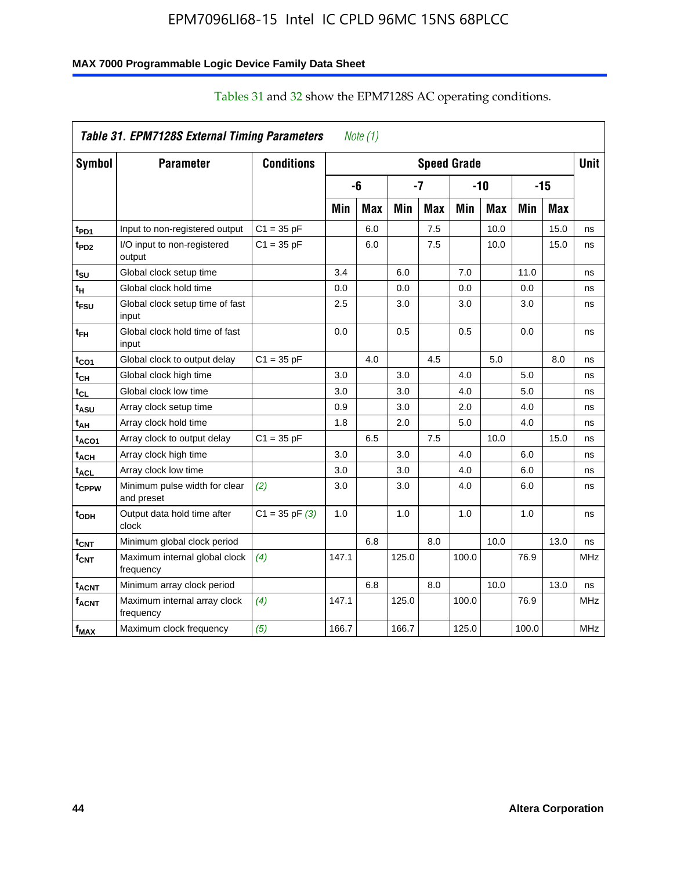### **MAX 7000 Programmable Logic Device Family Data Sheet**

|                           | Table 31. EPM7128S External Timing Parameters |                    |       | Note $(1)$ |            |            |                    |            |       |            |             |
|---------------------------|-----------------------------------------------|--------------------|-------|------------|------------|------------|--------------------|------------|-------|------------|-------------|
| Symbol                    | <b>Parameter</b>                              | <b>Conditions</b>  |       |            |            |            | <b>Speed Grade</b> |            |       |            | <b>Unit</b> |
|                           |                                               |                    |       | -6         |            | -7         |                    | $-10$      |       | $-15$      |             |
|                           |                                               |                    | Min   | <b>Max</b> | <b>Min</b> | <b>Max</b> | Min                | <b>Max</b> | Min   | <b>Max</b> |             |
| t <sub>PD1</sub>          | Input to non-registered output                | $C1 = 35 pF$       |       | 6.0        |            | 7.5        |                    | 10.0       |       | 15.0       | ns          |
| t <sub>PD2</sub>          | I/O input to non-registered<br>output         | $C1 = 35 pF$       |       | 6.0        |            | 7.5        |                    | 10.0       |       | 15.0       | ns          |
| t <sub>SU</sub>           | Global clock setup time                       |                    | 3.4   |            | 6.0        |            | 7.0                |            | 11.0  |            | ns          |
| t <sub>H</sub>            | Global clock hold time                        |                    | 0.0   |            | 0.0        |            | 0.0                |            | 0.0   |            | ns          |
| t <sub>FSU</sub>          | Global clock setup time of fast<br>input      |                    | 2.5   |            | 3.0        |            | 3.0                |            | 3.0   |            | ns          |
| t <sub>ЕН</sub>           | Global clock hold time of fast<br>input       |                    | 0.0   |            | 0.5        |            | 0.5                |            | 0.0   |            | ns          |
| t <sub>CO1</sub>          | Global clock to output delay                  | $C1 = 35 pF$       |       | 4.0        |            | 4.5        |                    | 5.0        |       | 8.0        | ns          |
| $t_{\text{CH}}$           | Global clock high time                        |                    | 3.0   |            | 3.0        |            | 4.0                |            | 5.0   |            | ns          |
| t <sub>CL</sub>           | Global clock low time                         |                    | 3.0   |            | 3.0        |            | 4.0                |            | 5.0   |            | ns          |
| t <sub>ASU</sub>          | Array clock setup time                        |                    | 0.9   |            | 3.0        |            | 2.0                |            | 4.0   |            | ns          |
| t <sub>АН</sub>           | Array clock hold time                         |                    | 1.8   |            | 2.0        |            | 5.0                |            | 4.0   |            | ns          |
| t <sub>ACO1</sub>         | Array clock to output delay                   | $C1 = 35 pF$       |       | 6.5        |            | 7.5        |                    | 10.0       |       | 15.0       | ns          |
| $\mathfrak{t}_{\sf{ACH}}$ | Array clock high time                         |                    | 3.0   |            | 3.0        |            | 4.0                |            | 6.0   |            | ns          |
| t <sub>ACL</sub>          | Array clock low time                          |                    | 3.0   |            | 3.0        |            | 4.0                |            | 6.0   |            | ns          |
| tcppw                     | Minimum pulse width for clear<br>and preset   | (2)                | 3.0   |            | 3.0        |            | 4.0                |            | 6.0   |            | ns          |
| t <sub>ODH</sub>          | Output data hold time after<br>clock          | $C1 = 35$ pF $(3)$ | 1.0   |            | 1.0        |            | 1.0                |            | 1.0   |            | ns          |
| $t_{\text{CNT}}$          | Minimum global clock period                   |                    |       | 6.8        |            | 8.0        |                    | 10.0       |       | 13.0       | ns          |
| $f_{\text{CNT}}$          | Maximum internal global clock<br>frequency    | (4)                | 147.1 |            | 125.0      |            | 100.0              |            | 76.9  |            | <b>MHz</b>  |
| <sup>t</sup> acnt         | Minimum array clock period                    |                    |       | 6.8        |            | 8.0        |                    | 10.0       |       | 13.0       | ns          |
| <b>f<sub>ACNT</sub></b>   | Maximum internal array clock<br>frequency     | (4)                | 147.1 |            | 125.0      |            | 100.0              |            | 76.9  |            | <b>MHz</b>  |
| $f_{MAX}$                 | Maximum clock frequency                       | (5)                | 166.7 |            | 166.7      |            | 125.0              |            | 100.0 |            | MHz         |

## Tables 31 and 32 show the EPM7128S AC operating conditions.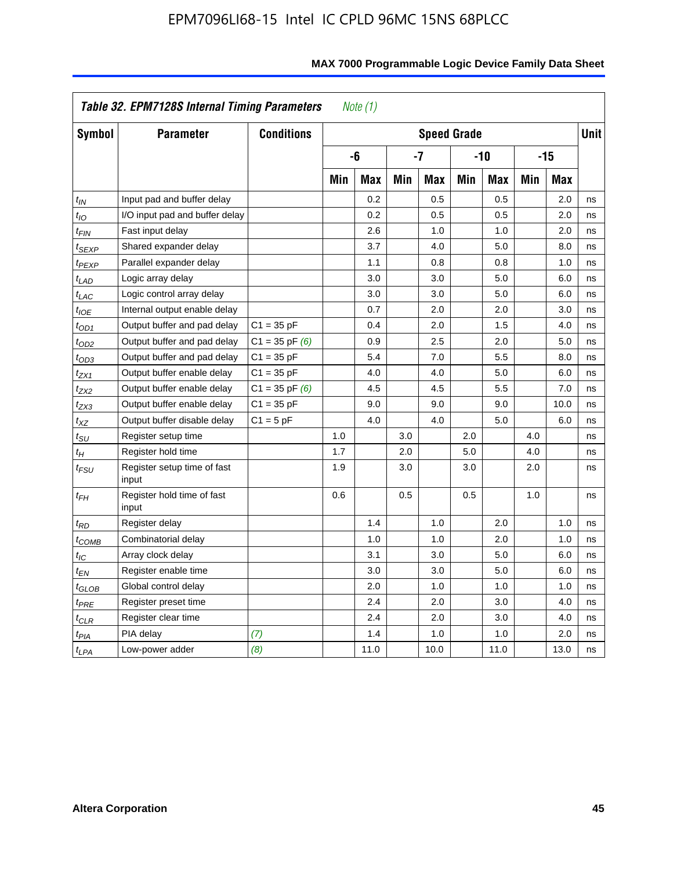| Symbol                      | <b>Parameter</b>                     | <b>Conditions</b>  |     |            |     | <b>Speed Grade</b> |     |            |     |            | <b>Unit</b> |
|-----------------------------|--------------------------------------|--------------------|-----|------------|-----|--------------------|-----|------------|-----|------------|-------------|
|                             |                                      |                    |     | -6         |     | $-7$               |     | $-10$      |     | $-15$      |             |
|                             |                                      |                    | Min | <b>Max</b> | Min | <b>Max</b>         | Min | <b>Max</b> | Min | <b>Max</b> |             |
| $t_{IN}$                    | Input pad and buffer delay           |                    |     | 0.2        |     | 0.5                |     | 0.5        |     | 2.0        | ns          |
| $t_{IO}$                    | I/O input pad and buffer delay       |                    |     | 0.2        |     | 0.5                |     | 0.5        |     | 2.0        | ns          |
| $t_{FIN}$                   | Fast input delay                     |                    |     | 2.6        |     | 1.0                |     | 1.0        |     | 2.0        | ns          |
| $t_{SEXP}$                  | Shared expander delay                |                    |     | 3.7        |     | 4.0                |     | 5.0        |     | 8.0        | ns          |
| t <sub>PEXP</sub>           | Parallel expander delay              |                    |     | 1.1        |     | 0.8                |     | 0.8        |     | 1.0        | ns          |
| $t_{LAD}$                   | Logic array delay                    |                    |     | 3.0        |     | 3.0                |     | 5.0        |     | 6.0        | ns          |
| $t_{LAC}$                   | Logic control array delay            |                    |     | 3.0        |     | 3.0                |     | 5.0        |     | 6.0        | ns          |
| $t_{IOE}$                   | Internal output enable delay         |                    |     | 0.7        |     | 2.0                |     | 2.0        |     | 3.0        | ns          |
| $t_{OD1}$                   | Output buffer and pad delay          | $C1 = 35 pF$       |     | 0.4        |     | 2.0                |     | 1.5        |     | 4.0        | ns          |
| $t_{OD2}$                   | Output buffer and pad delay          | $C1 = 35$ pF $(6)$ |     | 0.9        |     | 2.5                |     | 2.0        |     | 5.0        | ns          |
| $t_{OD3}$                   | Output buffer and pad delay          | $C1 = 35 pF$       |     | 5.4        |     | 7.0                |     | 5.5        |     | 8.0        | ns          |
| $t_{ZX1}$                   | Output buffer enable delay           | $C1 = 35 pF$       |     | 4.0        |     | 4.0                |     | 5.0        |     | 6.0        | ns          |
| $t_{ZX2}$                   | Output buffer enable delay           | $C1 = 35$ pF $(6)$ |     | 4.5        |     | 4.5                |     | 5.5        |     | 7.0        | ns          |
| tzx3                        | Output buffer enable delay           | $C1 = 35 pF$       |     | 9.0        |     | 9.0                |     | 9.0        |     | 10.0       | ns          |
| $t_{\mathsf{XZ}}$           | Output buffer disable delay          | $C1 = 5 pF$        |     | 4.0        |     | 4.0                |     | 5.0        |     | 6.0        | ns          |
| $t_{\scriptstyle\text{SU}}$ | Register setup time                  |                    | 1.0 |            | 3.0 |                    | 2.0 |            | 4.0 |            | ns          |
| $t_H$                       | Register hold time                   |                    | 1.7 |            | 2.0 |                    | 5.0 |            | 4.0 |            | ns          |
| $t_{\it FSU}$               | Register setup time of fast<br>input |                    | 1.9 |            | 3.0 |                    | 3.0 |            | 2.0 |            | ns          |
| $t_{FH}$                    | Register hold time of fast<br>input  |                    | 0.6 |            | 0.5 |                    | 0.5 |            | 1.0 |            | ns          |
| $t_{RD}$                    | Register delay                       |                    |     | 1.4        |     | 1.0                |     | 2.0        |     | 1.0        | ns          |
| t <sub>COMB</sub>           | Combinatorial delay                  |                    |     | 1.0        |     | 1.0                |     | 2.0        |     | 1.0        | ns          |
| $t_{IC}$                    | Array clock delay                    |                    |     | 3.1        |     | 3.0                |     | 5.0        |     | 6.0        | ns          |
| $t_{EN}$                    | Register enable time                 |                    |     | 3.0        |     | 3.0                |     | 5.0        |     | 6.0        | ns          |
| t <sub>GLOB</sub>           | Global control delay                 |                    |     | 2.0        |     | 1.0                |     | 1.0        |     | 1.0        | ns          |
| $t_{PRE}$                   | Register preset time                 |                    |     | 2.4        |     | 2.0                |     | 3.0        |     | 4.0        | ns          |
| $t_{\sf CLR}$               | Register clear time                  |                    |     | 2.4        |     | 2.0                |     | 3.0        |     | 4.0        | ns          |
| t <sub>PIA</sub>            | PIA delay                            | (7)                |     | 1.4        |     | 1.0                |     | 1.0        |     | 2.0        | ns          |
| $t_{LPA}$                   | Low-power adder                      | (8)                |     | 11.0       |     | 10.0               |     | 11.0       |     | 13.0       | ns          |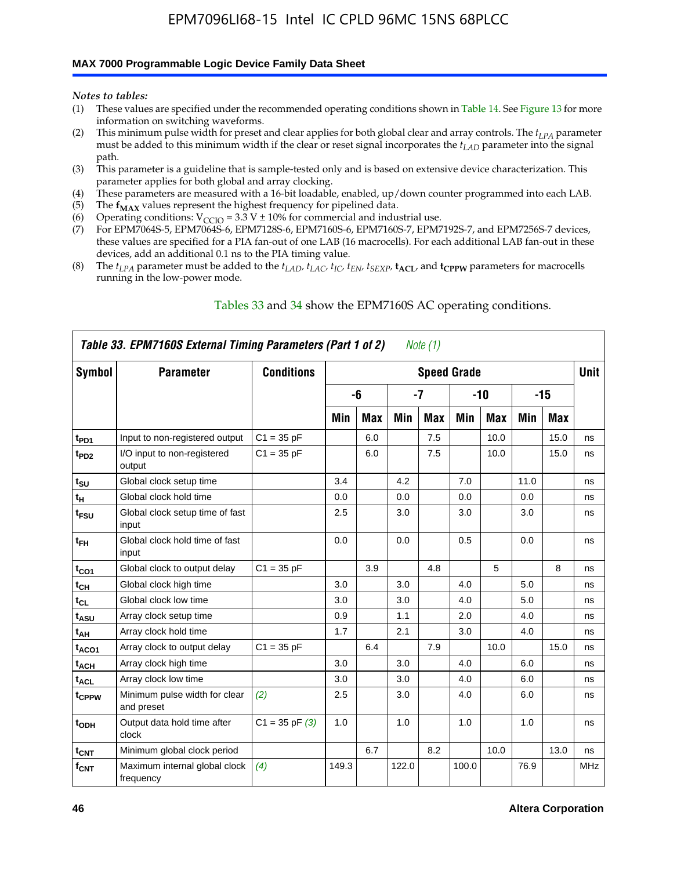### **MAX 7000 Programmable Logic Device Family Data Sheet**

*Notes to tables:*

- (1) These values are specified under the recommended operating conditions shown in Table 14. See Figure 13 for more information on switching waveforms.
- (2) This minimum pulse width for preset and clear applies for both global clear and array controls. The  $t_{LPA}$  parameter must be added to this minimum width if the clear or reset signal incorporates the *tLAD* parameter into the signal path.
- (3) This parameter is a guideline that is sample-tested only and is based on extensive device characterization. This parameter applies for both global and array clocking.
- (4) These parameters are measured with a 16-bit loadable, enabled, up/down counter programmed into each LAB.
- (5) The  $f_{MAX}$  values represent the highest frequency for pipelined data.
- (6) Operating conditions:  $V_{\text{CCIO}} = 3.3 \text{ V} \pm 10\%$  for commercial and industrial use.
- (7) For EPM7064S-5, EPM7064S-6, EPM7128S-6, EPM7160S-6, EPM7160S-7, EPM7192S-7, and EPM7256S-7 devices, these values are specified for a PIA fan-out of one LAB (16 macrocells). For each additional LAB fan-out in these devices, add an additional 0.1 ns to the PIA timing value.
- (8) The  $t_{LPA}$  parameter must be added to the  $t_{LAD}$ ,  $t_{LAC}$ ,  $t_{IC}$ ,  $t_{EN}$ ,  $t_{SEXP}$ ,  $t_{ACL}$ , and  $t_{CPPW}$  parameters for macrocells running in the low-power mode.

|                    | Table 33. EPM7160S External Timing Parameters (Part 1 of 2) |                    |       |            |       | Note (1) |                    |            |      |      |            |
|--------------------|-------------------------------------------------------------|--------------------|-------|------------|-------|----------|--------------------|------------|------|------|------------|
| Symbol             | <b>Parameter</b>                                            | <b>Conditions</b>  |       |            |       |          | <b>Speed Grade</b> |            |      |      | Unit       |
|                    |                                                             |                    |       | -6         |       | $-7$     |                    | $-10$      |      | -15  |            |
|                    |                                                             |                    | Min   | <b>Max</b> | Min   | Max      | Min                | <b>Max</b> | Min  | Max  |            |
| t <sub>PD1</sub>   | Input to non-registered output                              | $C1 = 35 pF$       |       | 6.0        |       | 7.5      |                    | 10.0       |      | 15.0 | ns         |
| $t_{PD2}$          | I/O input to non-registered<br>output                       | $C1 = 35 pF$       |       | 6.0        |       | 7.5      |                    | 10.0       |      | 15.0 | ns         |
| $t_{\text{SU}}$    | Global clock setup time                                     |                    | 3.4   |            | 4.2   |          | 7.0                |            | 11.0 |      | ns         |
| $t_H$              | Global clock hold time                                      |                    | 0.0   |            | 0.0   |          | 0.0                |            | 0.0  |      | ns         |
| t <sub>FSU</sub>   | Global clock setup time of fast<br>input                    |                    | 2.5   |            | 3.0   |          | 3.0                |            | 3.0  |      | ns         |
| $t_{FH}$           | Global clock hold time of fast<br>input                     |                    | 0.0   |            | 0.0   |          | 0.5                |            | 0.0  |      | ns         |
| $t_{CO1}$          | Global clock to output delay                                | $C1 = 35 pF$       |       | 3.9        |       | 4.8      |                    | 5          |      | 8    | ns         |
| $t_{CH}$           | Global clock high time                                      |                    | 3.0   |            | 3.0   |          | 4.0                |            | 5.0  |      | ns         |
| $t_{CL}$           | Global clock low time                                       |                    | 3.0   |            | 3.0   |          | 4.0                |            | 5.0  |      | ns         |
| t <sub>ASU</sub>   | Array clock setup time                                      |                    | 0.9   |            | 1.1   |          | 2.0                |            | 4.0  |      | ns         |
| t <sub>AH</sub>    | Array clock hold time                                       |                    | 1.7   |            | 2.1   |          | 3.0                |            | 4.0  |      | ns         |
| t <sub>ACO1</sub>  | Array clock to output delay                                 | $C1 = 35 pF$       |       | 6.4        |       | 7.9      |                    | 10.0       |      | 15.0 | ns         |
| $t_{ACH}$          | Array clock high time                                       |                    | 3.0   |            | 3.0   |          | 4.0                |            | 6.0  |      | ns         |
| t <sub>ACL</sub>   | Array clock low time                                        |                    | 3.0   |            | 3.0   |          | 4.0                |            | 6.0  |      | ns         |
| tcppw              | Minimum pulse width for clear<br>and preset                 | (2)                | 2.5   |            | 3.0   |          | 4.0                |            | 6.0  |      | ns         |
| $t$ <sub>ODH</sub> | Output data hold time after<br>clock                        | $C1 = 35$ pF $(3)$ | 1.0   |            | 1.0   |          | 1.0                |            | 1.0  |      | ns         |
| $t_{\text{CNT}}$   | Minimum global clock period                                 |                    |       | 6.7        |       | 8.2      |                    | 10.0       |      | 13.0 | ns         |
| $f_{\text{CNT}}$   | Maximum internal global clock<br>frequency                  | (4)                | 149.3 |            | 122.0 |          | 100.0              |            | 76.9 |      | <b>MHz</b> |

### Tables 33 and 34 show the EPM7160S AC operating conditions.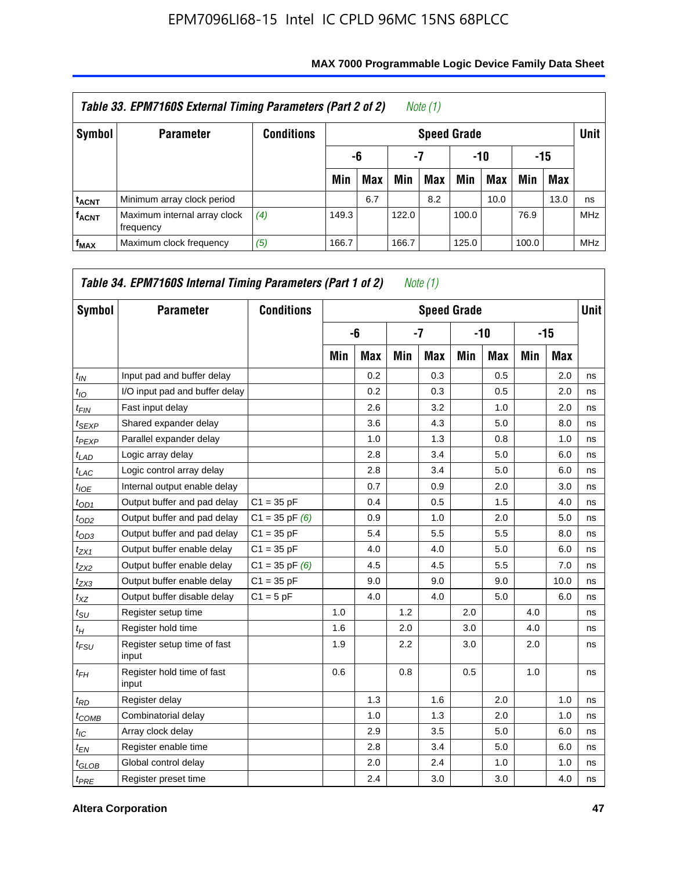|                         | Table 33. EPM7160S External Timing Parameters (Part 2 of 2) |                   |       |                        |       | Note $(1)$ |       |      |       |            |            |  |  |
|-------------------------|-------------------------------------------------------------|-------------------|-------|------------------------|-------|------------|-------|------|-------|------------|------------|--|--|
| Symbol                  | <b>Parameter</b>                                            | <b>Conditions</b> |       | <b>Speed Grade</b>     |       |            |       |      |       |            |            |  |  |
|                         |                                                             |                   |       | -15<br>-7<br>-10<br>-6 |       |            |       |      |       |            |            |  |  |
|                         |                                                             |                   | Min   | <b>Max</b>             | Min   | Max        | Min   | Max  | Min   | <b>Max</b> |            |  |  |
| <b>t<sub>ACNT</sub></b> | Minimum array clock period                                  |                   |       | 6.7                    |       | 8.2        |       | 10.0 |       | 13.0       | ns         |  |  |
| <b>f<sub>ACNT</sub></b> | Maximum internal array clock<br>frequency                   | (4)               | 149.3 |                        | 122.0 |            | 100.0 |      | 76.9  |            | <b>MHz</b> |  |  |
| $f_{MAX}$               | Maximum clock frequency                                     | (5)               | 166.7 |                        | 166.7 |            | 125.0 |      | 100.0 |            | <b>MHz</b> |  |  |

| Symbol            | <b>Parameter</b>                     | <b>Conditions</b>  |     |            |     | <b>Speed Grade</b> |     |            |     |       | <b>Unit</b> |
|-------------------|--------------------------------------|--------------------|-----|------------|-----|--------------------|-----|------------|-----|-------|-------------|
|                   |                                      |                    |     | -6         |     | $-7$               |     | -10        |     | $-15$ |             |
|                   |                                      |                    | Min | <b>Max</b> | Min | <b>Max</b>         | Min | <b>Max</b> | Min | Max   |             |
| $t_{IN}$          | Input pad and buffer delay           |                    |     | 0.2        |     | 0.3                |     | 0.5        |     | 2.0   | ns          |
| $t_{IO}$          | I/O input pad and buffer delay       |                    |     | 0.2        |     | 0.3                |     | 0.5        |     | 2.0   | ns          |
| $t_{FIN}$         | Fast input delay                     |                    |     | 2.6        |     | 3.2                |     | 1.0        |     | 2.0   | ns          |
| $t_{SEXP}$        | Shared expander delay                |                    |     | 3.6        |     | 4.3                |     | 5.0        |     | 8.0   | ns          |
| <sup>t</sup> PEXP | Parallel expander delay              |                    |     | 1.0        |     | 1.3                |     | 0.8        |     | 1.0   | ns          |
| $t_{LAD}$         | Logic array delay                    |                    |     | 2.8        |     | 3.4                |     | 5.0        |     | 6.0   | ns          |
| $t_{LAC}$         | Logic control array delay            |                    |     | 2.8        |     | 3.4                |     | 5.0        |     | 6.0   | ns          |
| $t_{IOE}$         | Internal output enable delay         |                    |     | 0.7        |     | 0.9                |     | 2.0        |     | 3.0   | ns          |
| $t_{OD1}$         | Output buffer and pad delay          | $C1 = 35 pF$       |     | 0.4        |     | 0.5                |     | 1.5        |     | 4.0   | ns          |
| $t_{OD2}$         | Output buffer and pad delay          | $C1 = 35$ pF $(6)$ |     | 0.9        |     | 1.0                |     | 2.0        |     | 5.0   | ns          |
| $t_{OD3}$         | Output buffer and pad delay          | $C1 = 35 pF$       |     | 5.4        |     | 5.5                |     | 5.5        |     | 8.0   | ns          |
| $t_{ZX1}$         | Output buffer enable delay           | $C1 = 35 pF$       |     | 4.0        |     | 4.0                |     | 5.0        |     | 6.0   | ns          |
| $t_{ZX2}$         | Output buffer enable delay           | $C1 = 35$ pF $(6)$ |     | 4.5        |     | 4.5                |     | 5.5        |     | 7.0   | ns          |
| $t_{ZX3}$         | Output buffer enable delay           | $C1 = 35 pF$       |     | 9.0        |     | 9.0                |     | 9.0        |     | 10.0  | ns          |
| $t_{XZ}$          | Output buffer disable delay          | $C1 = 5pF$         |     | 4.0        |     | 4.0                |     | 5.0        |     | 6.0   | ns          |
| $t_{\rm SU}$      | Register setup time                  |                    | 1.0 |            | 1.2 |                    | 2.0 |            | 4.0 |       | ns          |
| $t_H$             | Register hold time                   |                    | 1.6 |            | 2.0 |                    | 3.0 |            | 4.0 |       | ns          |
| $t_{FSU}$         | Register setup time of fast<br>input |                    | 1.9 |            | 2.2 |                    | 3.0 |            | 2.0 |       | ns          |
| $t_{FH}$          | Register hold time of fast<br>input  |                    | 0.6 |            | 0.8 |                    | 0.5 |            | 1.0 |       | ns          |
| $t_{RD}$          | Register delay                       |                    |     | 1.3        |     | 1.6                |     | 2.0        |     | 1.0   | ns          |
| $t_{COMB}$        | Combinatorial delay                  |                    |     | 1.0        |     | 1.3                |     | 2.0        |     | 1.0   | ns          |
| $t_{\text{IC}}$   | Array clock delay                    |                    |     | 2.9        |     | 3.5                |     | 5.0        |     | 6.0   | ns          |
| $t_{EN}$          | Register enable time                 |                    |     | 2.8        |     | 3.4                |     | 5.0        |     | 6.0   | ns          |
| $t_{GLOB}$        | Global control delay                 |                    |     | 2.0        |     | 2.4                |     | 1.0        |     | 1.0   | ns          |
| $t_{PRE}$         | Register preset time                 |                    |     | 2.4        |     | 3.0                |     | 3.0        |     | 4.0   | ns          |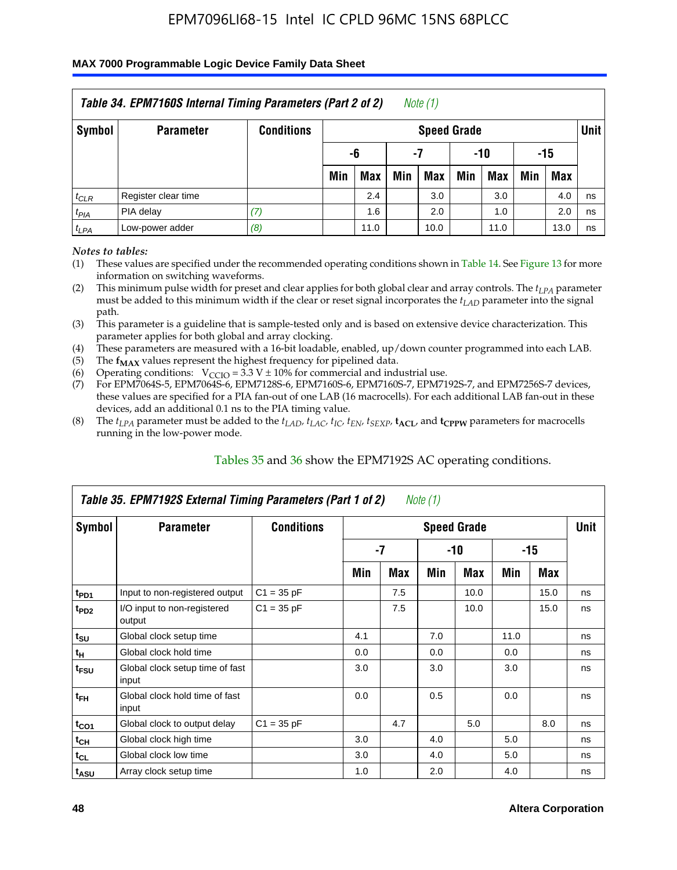### **MAX 7000 Programmable Logic Device Family Data Sheet**

|               | Table 34. EPM7160S Internal Timing Parameters (Part 2 of 2) |                   |                        |            |     | Note (1)           |     |      |     |      |             |  |
|---------------|-------------------------------------------------------------|-------------------|------------------------|------------|-----|--------------------|-----|------|-----|------|-------------|--|
| <b>Symbol</b> | <b>Parameter</b>                                            | <b>Conditions</b> |                        |            |     | <b>Speed Grade</b> |     |      |     |      | <b>Unit</b> |  |
|               |                                                             |                   | -15<br>-6<br>-10<br>-7 |            |     |                    |     |      |     |      |             |  |
|               |                                                             |                   | Min                    | <b>Max</b> | Min | <b>Max</b>         | Min | Max  | Min | Max  |             |  |
| $t_{CLR}$     | Register clear time                                         |                   |                        | 2.4        |     | 3.0                |     | 3.0  |     | 4.0  | ns          |  |
| $t_{PIA}$     | PIA delay                                                   | (7)               |                        | 1.6        |     | 2.0                |     | 1.0  |     | 2.0  | ns          |  |
| $t_{LPA}$     | Low-power adder                                             | (8)               |                        | 11.0       |     | 10.0               |     | 11.0 |     | 13.0 | ns          |  |

*Notes to tables:*

- (1) These values are specified under the recommended operating conditions shown in Table 14. See Figure 13 for more information on switching waveforms.
- (2) This minimum pulse width for preset and clear applies for both global clear and array controls. The  $t_{LPA}$  parameter must be added to this minimum width if the clear or reset signal incorporates the *tLAD* parameter into the signal path.
- (3) This parameter is a guideline that is sample-tested only and is based on extensive device characterization. This parameter applies for both global and array clocking.
- (4) These parameters are measured with a 16-bit loadable, enabled, up/down counter programmed into each LAB.
- (5) The  $f_{MAX}$  values represent the highest frequency for pipelined data.
- (6) Operating conditions:  $V_{\text{CCIO}} = 3.3 V \pm 10\%$  for commercial and industrial use.
- (7) For EPM7064S-5, EPM7064S-6, EPM7128S-6, EPM7160S-6, EPM7160S-7, EPM7192S-7, and EPM7256S-7 devices, these values are specified for a PIA fan-out of one LAB (16 macrocells). For each additional LAB fan-out in these devices, add an additional 0.1 ns to the PIA timing value.
- (8) The  $t_{LPA}$  parameter must be added to the  $t_{LAP}$ ,  $t_{LAC}$ ,  $t_{IC}$ ,  $t_{EN}$ ,  $t_{SEXP}$ ,  $t_{ACL}$ , and  $t_{CPPW}$  parameters for macrocells running in the low-power mode.

|                             | Table 35. EPM7192S External Timing Parameters (Part 1 of 2) |                   |     |     | Note (1) |                    |      |       |             |
|-----------------------------|-------------------------------------------------------------|-------------------|-----|-----|----------|--------------------|------|-------|-------------|
| Symbol                      | <b>Parameter</b>                                            | <b>Conditions</b> |     |     |          | <b>Speed Grade</b> |      |       | <b>Unit</b> |
|                             |                                                             |                   |     | -7  |          | -10                |      | $-15$ |             |
|                             |                                                             |                   | Min | Max | Min      | Max                | Min  | Max   |             |
| t <sub>PD1</sub>            | Input to non-registered output                              | $C1 = 35 pF$      |     | 7.5 |          | 10.0               |      | 15.0  | ns          |
| $t_{PD2}$                   | I/O input to non-registered<br>output                       | $C1 = 35 pF$      |     | 7.5 |          | 10.0               |      | 15.0  | ns          |
| $t_{\scriptstyle\text{SU}}$ | Global clock setup time                                     |                   | 4.1 |     | 7.0      |                    | 11.0 |       | ns          |
| $t_H$                       | Global clock hold time                                      |                   | 0.0 |     | 0.0      |                    | 0.0  |       | ns          |
| t <sub>FSU</sub>            | Global clock setup time of fast<br>input                    |                   | 3.0 |     | 3.0      |                    | 3.0  |       | ns          |
| $t_{FH}$                    | Global clock hold time of fast<br>input                     |                   | 0.0 |     | 0.5      |                    | 0.0  |       | ns          |
| $t_{CO1}$                   | Global clock to output delay                                | $C1 = 35 pF$      |     | 4.7 |          | 5.0                |      | 8.0   | ns          |
| $t_{CH}$                    | Global clock high time                                      |                   | 3.0 |     | 4.0      |                    | 5.0  |       | ns          |
| $t_{CL}$                    | Global clock low time                                       |                   | 3.0 |     | 4.0      |                    | 5.0  |       | ns          |
| t <sub>ASU</sub>            | Array clock setup time                                      |                   | 1.0 |     | 2.0      |                    | 4.0  |       | ns          |

### Tables 35 and 36 show the EPM7192S AC operating conditions.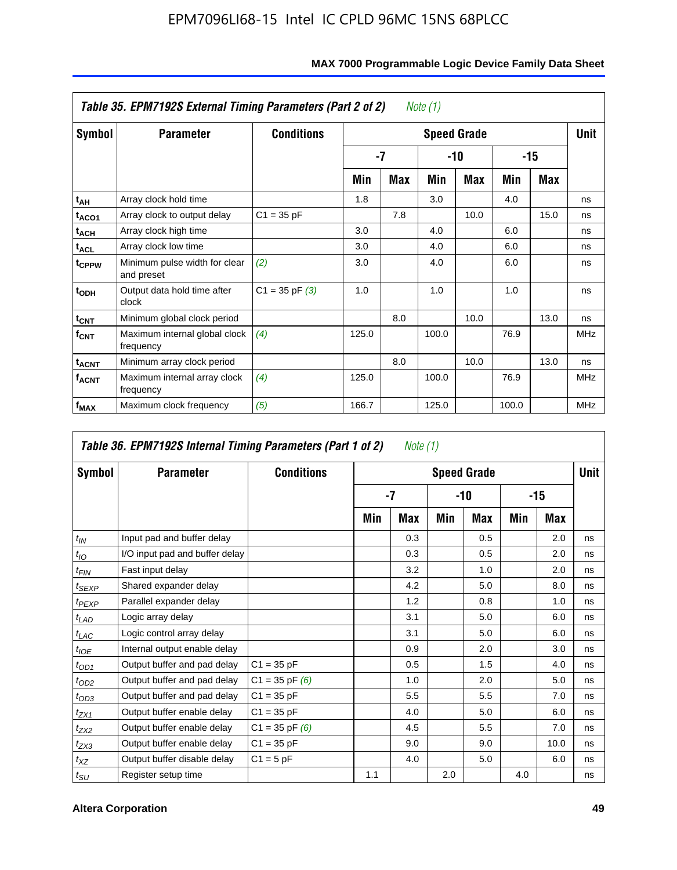|                         | Table 35. EPM7192S External Timing Parameters (Part 2 of 2) |                    |       |      | Note (1) |                    |       |      |            |
|-------------------------|-------------------------------------------------------------|--------------------|-------|------|----------|--------------------|-------|------|------------|
| Symbol                  | <b>Parameter</b>                                            | <b>Conditions</b>  |       |      |          | <b>Speed Grade</b> |       |      | Unit       |
|                         |                                                             |                    |       | $-7$ |          | -10                |       | -15  |            |
|                         |                                                             |                    | Min   | Max  | Min      | <b>Max</b>         | Min   | Max  |            |
| t <sub>АН</sub>         | Array clock hold time                                       |                    | 1.8   |      | 3.0      |                    | 4.0   |      | ns         |
| t <sub>ACO1</sub>       | Array clock to output delay                                 | $C1 = 35 pF$       |       | 7.8  |          | 10.0               |       | 15.0 | ns         |
| $t_{\sf ACH}$           | Array clock high time                                       |                    | 3.0   |      | 4.0      |                    | 6.0   |      | ns         |
| $t_{\sf ACL}$           | Array clock low time                                        |                    | 3.0   |      | 4.0      |                    | 6.0   |      | ns         |
| t <sub>CPPW</sub>       | Minimum pulse width for clear<br>and preset                 | (2)                | 3.0   |      | 4.0      |                    | 6.0   |      | ns         |
| $t_{ODH}$               | Output data hold time after<br>clock                        | $C1 = 35$ pF $(3)$ | 1.0   |      | 1.0      |                    | 1.0   |      | ns         |
| $t_{\text{CNT}}$        | Minimum global clock period                                 |                    |       | 8.0  |          | 10.0               |       | 13.0 | ns         |
| $f_{CNT}$               | Maximum internal global clock<br>frequency                  | (4)                | 125.0 |      | 100.0    |                    | 76.9  |      | <b>MHz</b> |
| $t_{ACNT}$              | Minimum array clock period                                  |                    |       | 8.0  |          | 10.0               |       | 13.0 | ns         |
| <b>f<sub>ACNT</sub></b> | Maximum internal array clock<br>frequency                   | (4)                | 125.0 |      | 100.0    |                    | 76.9  |      | <b>MHz</b> |
| f <sub>MAX</sub>        | Maximum clock frequency                                     | (5)                | 166.7 |      | 125.0    |                    | 100.0 |      | <b>MHz</b> |

|                   | Table 36. EPM7192S Internal Timing Parameters (Part 1 of 2) |                    |     | Note (1) |     |                    |     |       |      |
|-------------------|-------------------------------------------------------------|--------------------|-----|----------|-----|--------------------|-----|-------|------|
| Symbol            | <b>Parameter</b>                                            | <b>Conditions</b>  |     |          |     | <b>Speed Grade</b> |     |       | Unit |
|                   |                                                             |                    |     | -7       |     | -10                |     | $-15$ |      |
|                   |                                                             |                    | Min | Max      | Min | <b>Max</b>         | Min | Max   |      |
| $t_{IN}$          | Input pad and buffer delay                                  |                    |     | 0.3      |     | 0.5                |     | 2.0   | ns   |
| $t_{IO}$          | I/O input pad and buffer delay                              |                    |     | 0.3      |     | 0.5                |     | 2.0   | ns   |
| $t_{FIN}$         | Fast input delay                                            |                    |     | 3.2      |     | 1.0                |     | 2.0   | ns   |
| t <sub>SEXP</sub> | Shared expander delay                                       |                    |     | 4.2      |     | 5.0                |     | 8.0   | ns   |
| $t_{PEXP}$        | Parallel expander delay                                     |                    |     | 1.2      |     | 0.8                |     | 1.0   | ns   |
| $t_{LAD}$         | Logic array delay                                           |                    |     | 3.1      |     | 5.0                |     | 6.0   | ns   |
| $t_{LAC}$         | Logic control array delay                                   |                    |     | 3.1      |     | 5.0                |     | 6.0   | ns   |
| $t_{IOE}$         | Internal output enable delay                                |                    |     | 0.9      |     | 2.0                |     | 3.0   | ns   |
| $t_{OD1}$         | Output buffer and pad delay                                 | $C1 = 35 pF$       |     | 0.5      |     | 1.5                |     | 4.0   | ns   |
| $t_{OD2}$         | Output buffer and pad delay                                 | $C1 = 35$ pF $(6)$ |     | 1.0      |     | 2.0                |     | 5.0   | ns   |
| $t_{OD3}$         | Output buffer and pad delay                                 | $C1 = 35 pF$       |     | 5.5      |     | 5.5                |     | 7.0   | ns   |
| $t_{ZX1}$         | Output buffer enable delay                                  | $C1 = 35 pF$       |     | 4.0      |     | 5.0                |     | 6.0   | ns   |
| $t_{ZX2}$         | Output buffer enable delay                                  | $C1 = 35$ pF $(6)$ |     | 4.5      |     | 5.5                |     | 7.0   | ns   |
| $t_{ZX3}$         | Output buffer enable delay                                  | $C1 = 35 pF$       |     | 9.0      |     | 9.0                |     | 10.0  | ns   |
| $t_{XZ}$          | Output buffer disable delay                                 | $C1 = 5pF$         |     | 4.0      |     | 5.0                |     | 6.0   | ns   |
| $t_{\text{SU}}$   | Register setup time                                         |                    | 1.1 |          | 2.0 |                    | 4.0 |       | ns   |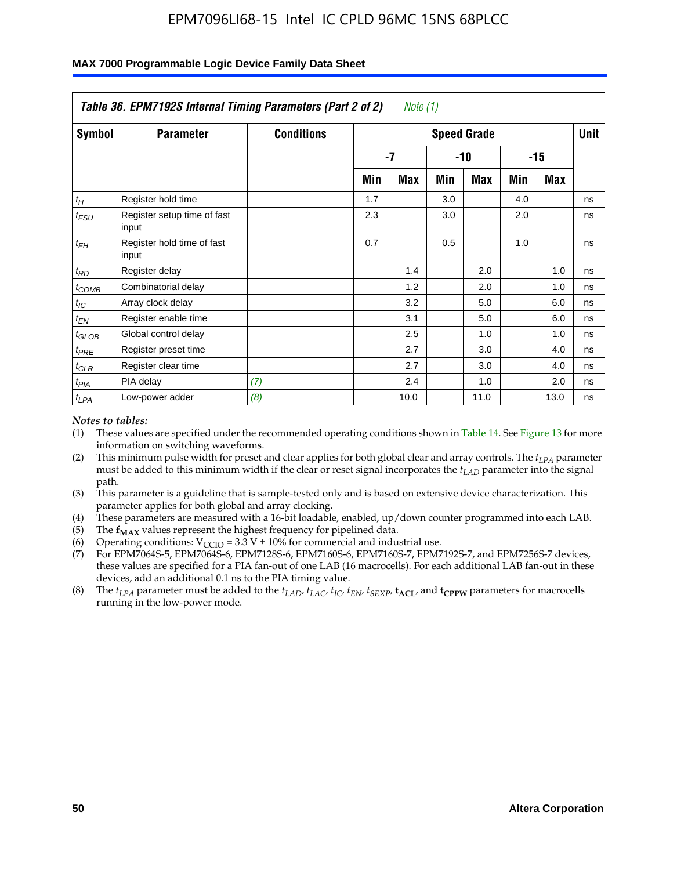|                    | Table 36. EPM7192S Internal Timing Parameters (Part 2 of 2) |                   |     | Note (1) |     |                    |     |       |      |
|--------------------|-------------------------------------------------------------|-------------------|-----|----------|-----|--------------------|-----|-------|------|
| Symbol             | <b>Parameter</b>                                            | <b>Conditions</b> |     |          |     | <b>Speed Grade</b> |     |       | Unit |
|                    |                                                             |                   |     | -7       |     | -10                |     | $-15$ |      |
|                    |                                                             |                   | Min | Max      | Min | Max                | Min | Max   |      |
| $t_H$              | Register hold time                                          |                   | 1.7 |          | 3.0 |                    | 4.0 |       | ns   |
| $t_{\mathit{FSU}}$ | Register setup time of fast<br>input                        |                   | 2.3 |          | 3.0 |                    | 2.0 |       | ns   |
| $t_{FH}$           | Register hold time of fast<br>input                         |                   | 0.7 |          | 0.5 |                    | 1.0 |       | ns   |
| $t_{RD}$           | Register delay                                              |                   |     | 1.4      |     | 2.0                |     | 1.0   | ns   |
| $t_{COMB}$         | Combinatorial delay                                         |                   |     | 1.2      |     | 2.0                |     | 1.0   | ns   |
| $t_{IC}$           | Array clock delay                                           |                   |     | 3.2      |     | 5.0                |     | 6.0   | ns   |
| $t_{EN}$           | Register enable time                                        |                   |     | 3.1      |     | 5.0                |     | 6.0   | ns   |
| $t_{GLOB}$         | Global control delay                                        |                   |     | 2.5      |     | 1.0                |     | 1.0   | ns   |
| $t_{PRE}$          | Register preset time                                        |                   |     | 2.7      |     | 3.0                |     | 4.0   | ns   |
| $t_{CLR}$          | Register clear time                                         |                   |     | 2.7      |     | 3.0                |     | 4.0   | ns   |
| t <sub>PIA</sub>   | PIA delay                                                   | (7)               |     | 2.4      |     | 1.0                |     | 2.0   | ns   |
| $t_{LPA}$          | Low-power adder                                             | (8)               |     | 10.0     |     | 11.0               |     | 13.0  | ns   |

#### **MAX 7000 Programmable Logic Device Family Data Sheet**

#### *Notes to tables:*

- (1) These values are specified under the recommended operating conditions shown in Table 14. See Figure 13 for more information on switching waveforms.
- (2) This minimum pulse width for preset and clear applies for both global clear and array controls. The *tLPA* parameter must be added to this minimum width if the clear or reset signal incorporates the *t<sub>LAD</sub>* parameter into the signal path.
- (3) This parameter is a guideline that is sample-tested only and is based on extensive device characterization. This parameter applies for both global and array clocking.
- (4) These parameters are measured with a 16-bit loadable, enabled, up/down counter programmed into each LAB.
- (5) The  $f_{MAX}$  values represent the highest frequency for pipelined data.
- (6) Operating conditions:  $V_{\text{CCIO}} = 3.3 \text{ V} \pm 10\%$  for commercial and industrial use.
- (7) For EPM7064S-5, EPM7064S-6, EPM7128S-6, EPM7160S-6, EPM7160S-7, EPM7192S-7, and EPM7256S-7 devices, these values are specified for a PIA fan-out of one LAB (16 macrocells). For each additional LAB fan-out in these devices, add an additional 0.1 ns to the PIA timing value.
- (8) The  $t_{LPA}$  parameter must be added to the  $t_{LAD}$ ,  $t_{LAC}$ ,  $t_{IC}$ ,  $t_{EN}$ ,  $t_{SIX}$ ,  $t_{ACL}$ , and  $t_{CPW}$  parameters for macrocells running in the low-power mode.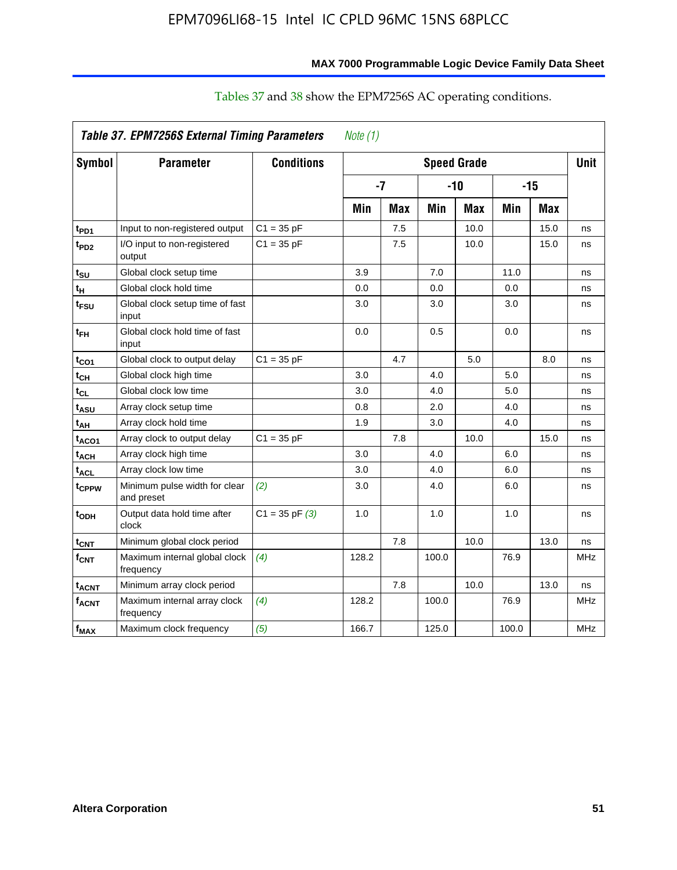| Symbol                       | <b>Parameter</b>                            | <b>Conditions</b>  |       |     |       | <b>Speed Grade</b> |       |            | <b>Unit</b> |
|------------------------------|---------------------------------------------|--------------------|-------|-----|-------|--------------------|-------|------------|-------------|
|                              |                                             |                    | $-7$  |     |       | $-10$              |       | $-15$      |             |
|                              |                                             |                    | Min   | Max | Min   | <b>Max</b>         | Min   | <b>Max</b> |             |
| t <sub>PD1</sub>             | Input to non-registered output              | $C1 = 35 pF$       |       | 7.5 |       | 10.0               |       | 15.0       | ns          |
| t <sub>PD2</sub>             | I/O input to non-registered<br>output       | $C1 = 35 pF$       |       | 7.5 |       | 10.0               |       | 15.0       | ns          |
| t $_{\mathsf{su}}$           | Global clock setup time                     |                    | 3.9   |     | 7.0   |                    | 11.0  |            | ns          |
| tн                           | Global clock hold time                      |                    | 0.0   |     | 0.0   |                    | 0.0   |            | ns          |
| t <sub>FSU</sub>             | Global clock setup time of fast<br>input    |                    | 3.0   |     | 3.0   |                    | 3.0   |            | ns          |
| t <sub>FH</sub>              | Global clock hold time of fast<br>input     |                    | 0.0   |     | 0.5   |                    | 0.0   |            | ns          |
| t <sub>CO1</sub>             | Global clock to output delay                | $C1 = 35 pF$       |       | 4.7 |       | 5.0                |       | 8.0        | ns          |
| t <sub>СН</sub>              | Global clock high time                      |                    | 3.0   |     | 4.0   |                    | 5.0   |            | ns          |
| $\mathfrak{t}_{\textsf{CL}}$ | Global clock low time                       |                    | 3.0   |     | 4.0   |                    | 5.0   |            | ns          |
| t <sub>ASU</sub>             | Array clock setup time                      |                    | 0.8   |     | 2.0   |                    | 4.0   |            | ns          |
| t <sub>АН</sub>              | Array clock hold time                       |                    | 1.9   |     | 3.0   |                    | 4.0   |            | ns          |
| t <sub>ACO1</sub>            | Array clock to output delay                 | $C1 = 35 pF$       |       | 7.8 |       | 10.0               |       | 15.0       | ns          |
| t <sub>АСН</sub>             | Array clock high time                       |                    | 3.0   |     | 4.0   |                    | 6.0   |            | ns          |
| t <sub>ACL</sub>             | Array clock low time                        |                    | 3.0   |     | 4.0   |                    | 6.0   |            | ns          |
| t <sub>CPPW</sub>            | Minimum pulse width for clear<br>and preset | (2)                | 3.0   |     | 4.0   |                    | 6.0   |            | ns          |
| t <sub>орн</sub>             | Output data hold time after<br>clock        | $C1 = 35$ pF $(3)$ | 1.0   |     | 1.0   |                    | 1.0   |            | ns          |
| t <sub>CNT</sub>             | Minimum global clock period                 |                    |       | 7.8 |       | 10.0               |       | 13.0       | ns          |
| f <sub>СNT</sub>             | Maximum internal global clock<br>frequency  | (4)                | 128.2 |     | 100.0 |                    | 76.9  |            | <b>MHz</b>  |
| t <sub>acnt</sub>            | Minimum array clock period                  |                    |       | 7.8 |       | 10.0               |       | 13.0       | ns          |
| <sup>f</sup> acnt            | Maximum internal array clock<br>frequency   | (4)                | 128.2 |     | 100.0 |                    | 76.9  |            | <b>MHz</b>  |
| f <sub>MAX</sub>             | Maximum clock frequency                     | (5)                | 166.7 |     | 125.0 |                    | 100.0 |            | <b>MHz</b>  |

## Tables 37 and 38 show the EPM7256S AC operating conditions.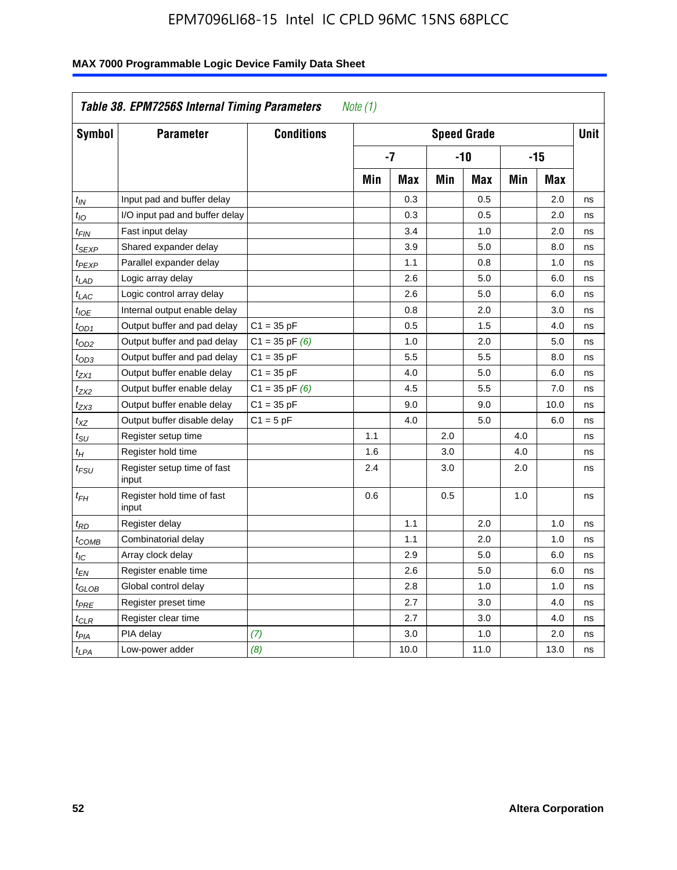| Symbol            | <b>Parameter</b>                     | <b>Conditions</b>  |     |            |     | <b>Speed Grade</b> |            |            | <b>Unit</b> |
|-------------------|--------------------------------------|--------------------|-----|------------|-----|--------------------|------------|------------|-------------|
|                   |                                      |                    |     | $-7$       |     | $-10$              |            | $-15$      |             |
|                   |                                      |                    | Min | <b>Max</b> | Min | <b>Max</b>         | <b>Min</b> | <b>Max</b> |             |
| $t_{IN}$          | Input pad and buffer delay           |                    |     | 0.3        |     | 0.5                |            | 2.0        | ns          |
| $t_{IO}$          | I/O input pad and buffer delay       |                    |     | 0.3        |     | 0.5                |            | 2.0        | ns          |
| t <sub>FIN</sub>  | Fast input delay                     |                    |     | 3.4        |     | 1.0                |            | 2.0        | ns          |
| t <sub>SEXP</sub> | Shared expander delay                |                    |     | 3.9        |     | 5.0                |            | 8.0        | ns          |
| t <sub>PEXP</sub> | Parallel expander delay              |                    |     | 1.1        |     | 0.8                |            | 1.0        | ns          |
| $t_{LAD}$         | Logic array delay                    |                    |     | 2.6        |     | 5.0                |            | 6.0        | ns          |
| $t_{LAC}$         | Logic control array delay            |                    |     | 2.6        |     | 5.0                |            | 6.0        | ns          |
| $t_{IOE}$         | Internal output enable delay         |                    |     | 0.8        |     | 2.0                |            | 3.0        | ns          |
| $t_{OD1}$         | Output buffer and pad delay          | $C1 = 35 pF$       |     | 0.5        |     | 1.5                |            | 4.0        | ns          |
| t <sub>OD2</sub>  | Output buffer and pad delay          | $C1 = 35$ pF $(6)$ |     | 1.0        |     | 2.0                |            | 5.0        | ns          |
| $t_{OD3}$         | Output buffer and pad delay          | $C1 = 35 pF$       |     | 5.5        |     | 5.5                |            | 8.0        | ns          |
| t <sub>ZX1</sub>  | Output buffer enable delay           | $C1 = 35 pF$       |     | 4.0        |     | 5.0                |            | 6.0        | ns          |
| t <sub>ZX2</sub>  | Output buffer enable delay           | $C1 = 35$ pF $(6)$ |     | 4.5        |     | 5.5                |            | 7.0        | ns          |
| t <sub>ZX3</sub>  | Output buffer enable delay           | $C1 = 35 pF$       |     | 9.0        |     | 9.0                |            | 10.0       | ns          |
| $t_{XZ}$          | Output buffer disable delay          | $C1 = 5pF$         |     | 4.0        |     | 5.0                |            | 6.0        | ns          |
| $t_{\rm SU}$      | Register setup time                  |                    | 1.1 |            | 2.0 |                    | 4.0        |            | ns          |
| $t_H$             | Register hold time                   |                    | 1.6 |            | 3.0 |                    | 4.0        |            | ns          |
| t <sub>FSU</sub>  | Register setup time of fast<br>input |                    | 2.4 |            | 3.0 |                    | 2.0        |            | ns          |
| $t_{FH}$          | Register hold time of fast<br>input  |                    | 0.6 |            | 0.5 |                    | 1.0        |            | ns          |
| t <sub>RD</sub>   | Register delay                       |                    |     | 1.1        |     | 2.0                |            | 1.0        | ns          |
| t <sub>COMB</sub> | Combinatorial delay                  |                    |     | 1.1        |     | 2.0                |            | 1.0        | ns          |
| $t_{IC}$          | Array clock delay                    |                    |     | 2.9        |     | 5.0                |            | 6.0        | ns          |
| t <sub>EN</sub>   | Register enable time                 |                    |     | 2.6        |     | 5.0                |            | 6.0        | ns          |
| t <sub>GLOB</sub> | Global control delay                 |                    |     | 2.8        |     | 1.0                |            | 1.0        | ns          |
| $t_{PRE}$         | Register preset time                 |                    |     | 2.7        |     | 3.0                |            | 4.0        | ns          |
| $t_{\text{CLR}}$  | Register clear time                  |                    |     | 2.7        |     | 3.0                |            | 4.0        | ns          |
| $t_{PIA}$         | PIA delay                            | (7)                |     | 3.0        |     | 1.0                |            | 2.0        | ns          |
| $t_{LPA}$         | Low-power adder                      | (8)                |     | 10.0       |     | 11.0               |            | 13.0       | ns          |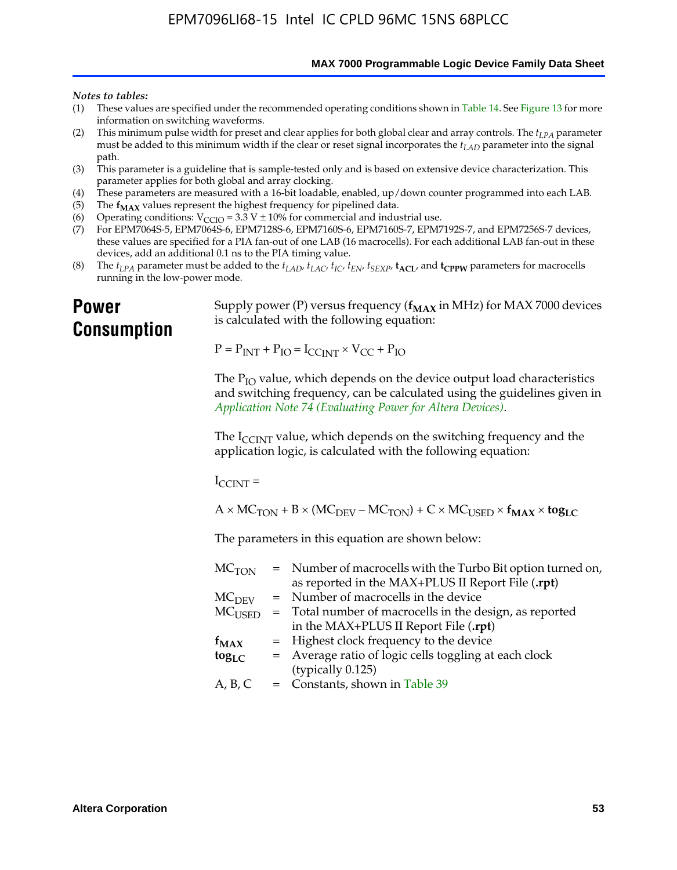**MAX 7000 Programmable Logic Device Family Data Sheet**

#### *Notes to tables:*

- (1) These values are specified under the recommended operating conditions shown in Table 14. See Figure 13 for more information on switching waveforms.
- (2) This minimum pulse width for preset and clear applies for both global clear and array controls. The  $t_{LPA}$  parameter must be added to this minimum width if the clear or reset signal incorporates the *tLAD* parameter into the signal path.
- (3) This parameter is a guideline that is sample-tested only and is based on extensive device characterization. This parameter applies for both global and array clocking.
- (4) These parameters are measured with a 16-bit loadable, enabled, up/down counter programmed into each LAB.
- (5) The  $f_{MAX}$  values represent the highest frequency for pipelined data.
- (6) Operating conditions:  $V_{\text{CCIO}} = 3.3 \text{ V} \pm 10\%$  for commercial and industrial use.
- (7) For EPM7064S-5, EPM7064S-6, EPM7128S-6, EPM7160S-6, EPM7160S-7, EPM7192S-7, and EPM7256S-7 devices, these values are specified for a PIA fan-out of one LAB (16 macrocells). For each additional LAB fan-out in these devices, add an additional 0.1 ns to the PIA timing value.
- (8) The  $t_{LPA}$  parameter must be added to the  $t_{LAD}$ ,  $t_{LAC}$ ,  $t_{IC}$ ,  $t_{EN}$ ,  $t_{SEXP}$ ,  $t_{ACL}$ , and  $t_{CPPW}$  parameters for macrocells running in the low-power mode.

## **Power Consumption**

[Supply power \(P\) versus frequency \(](http://www.altera.com/literature/an/an074.pdf) $f_{MAX}$  in MHz) for MAX 7000 devices is calculated with the following equation:

 $P = P_{INT} + P_{IO} = I_{CCLNT} \times V_{CC} + P_{IO}$ 

The  $P_{IO}$  value, which depends on the device output load characteristics and switching frequency, can be calculated using the guidelines given in *Application Note 74 (Evaluating Power for Altera Devices)*.

The  $I_{\text{CCINT}}$  value, which depends on the switching frequency and the application logic, is calculated with the following equation:

 $I_{\text{CCTNT}} =$ 

 $A \times MC_{TON} + B \times (MC_{DEFU} - MC_{TON}) + C \times MC_{LISED} \times f_{MAX} \times tog_{LC}$ 

The parameters in this equation are shown below:

| $MC$ <sub>TON</sub> | = Number of macrocells with the Turbo Bit option turned on,                |
|---------------------|----------------------------------------------------------------------------|
|                     | as reported in the MAX+PLUS II Report File (.rpt)                          |
| MC <sub>DFV</sub>   | = Number of macrocells in the device                                       |
|                     | $MC_{\text{USED}}$ = Total number of macrocells in the design, as reported |
|                     | in the MAX+PLUS II Report File (.rpt)                                      |
| $f_{MAX}$           | = Highest clock frequency to the device                                    |
| $tog_{LC}$          | = Average ratio of logic cells toggling at each clock                      |
|                     | (typically 0.125)                                                          |
| A, B, C             | $=$ Constants, shown in Table 39                                           |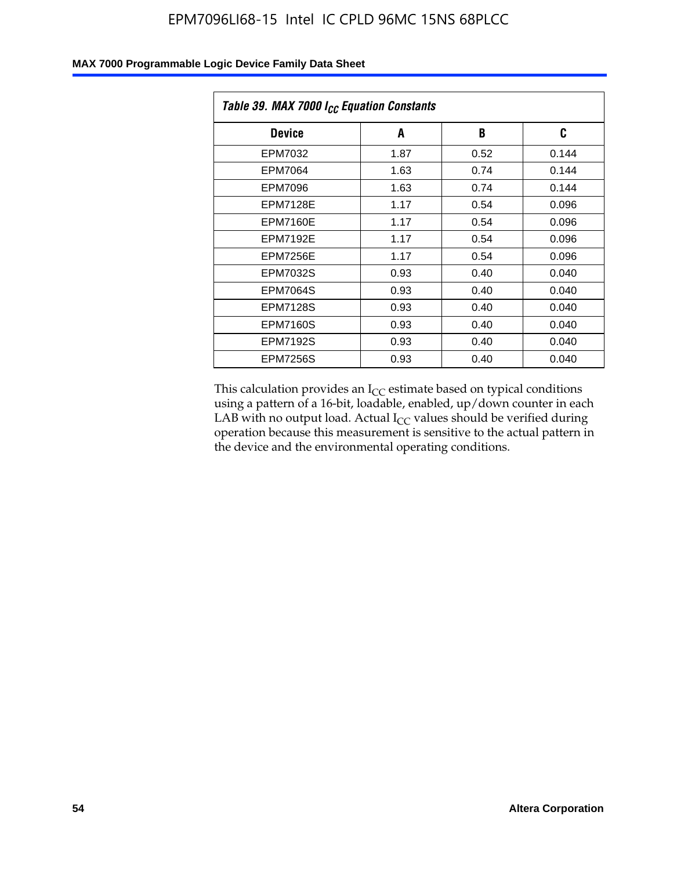| Table 39. MAX 7000 I <sub>CC</sub> Equation Constants |      |      |       |  |  |
|-------------------------------------------------------|------|------|-------|--|--|
| <b>Device</b>                                         | A    | B    | C     |  |  |
| EPM7032                                               | 1.87 | 0.52 | 0.144 |  |  |
| EPM7064                                               | 1.63 | 0.74 | 0.144 |  |  |
| <b>EPM7096</b>                                        | 1.63 | 0.74 | 0.144 |  |  |
| <b>EPM7128E</b>                                       | 1.17 | 0.54 | 0.096 |  |  |
| <b>EPM7160E</b>                                       | 1.17 | 0.54 | 0.096 |  |  |
| <b>EPM7192E</b>                                       | 1.17 | 0.54 | 0.096 |  |  |
| <b>EPM7256E</b>                                       | 1.17 | 0.54 | 0.096 |  |  |
| <b>EPM7032S</b>                                       | 0.93 | 0.40 | 0.040 |  |  |
| EPM7064S                                              | 0.93 | 0.40 | 0.040 |  |  |
| <b>EPM7128S</b>                                       | 0.93 | 0.40 | 0.040 |  |  |
| <b>EPM7160S</b>                                       | 0.93 | 0.40 | 0.040 |  |  |
| <b>EPM7192S</b>                                       | 0.93 | 0.40 | 0.040 |  |  |
| <b>EPM7256S</b>                                       | 0.93 | 0.40 | 0.040 |  |  |

This calculation provides an  $I_{CC}$  estimate based on typical conditions using a pattern of a 16-bit, loadable, enabled, up/down counter in each LAB with no output load. Actual  $I_{CC}$  values should be verified during operation because this measurement is sensitive to the actual pattern in the device and the environmental operating conditions.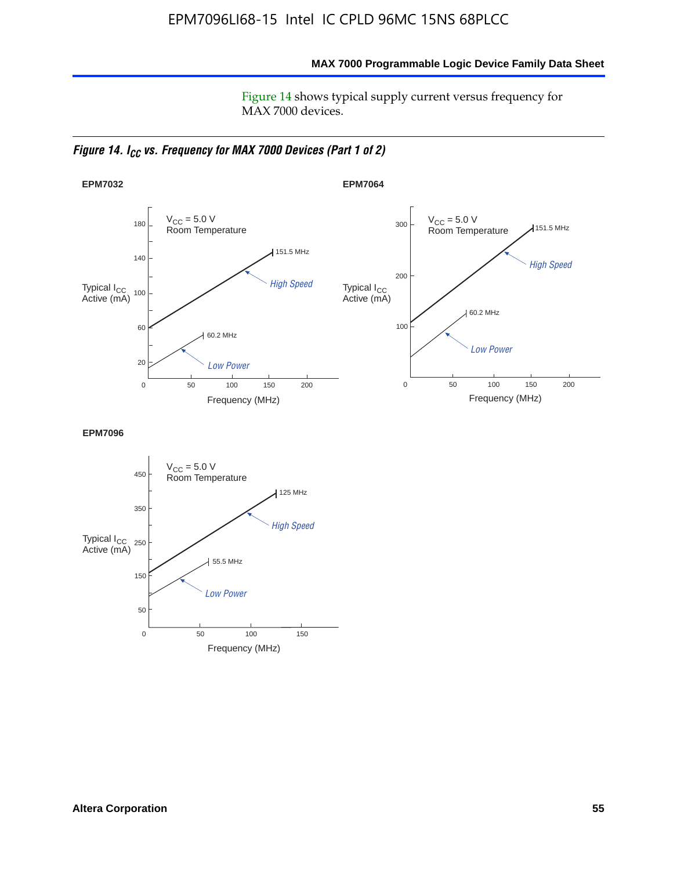**MAX 7000 Programmable Logic Device Family Data Sheet**

Figure 14 shows typical supply current versus frequency for MAX 7000 devices.

*Figure 14. I<sub>CC</sub> vs. Frequency for MAX 7000 Devices (Part 1 of 2)* 



**EPM7096**

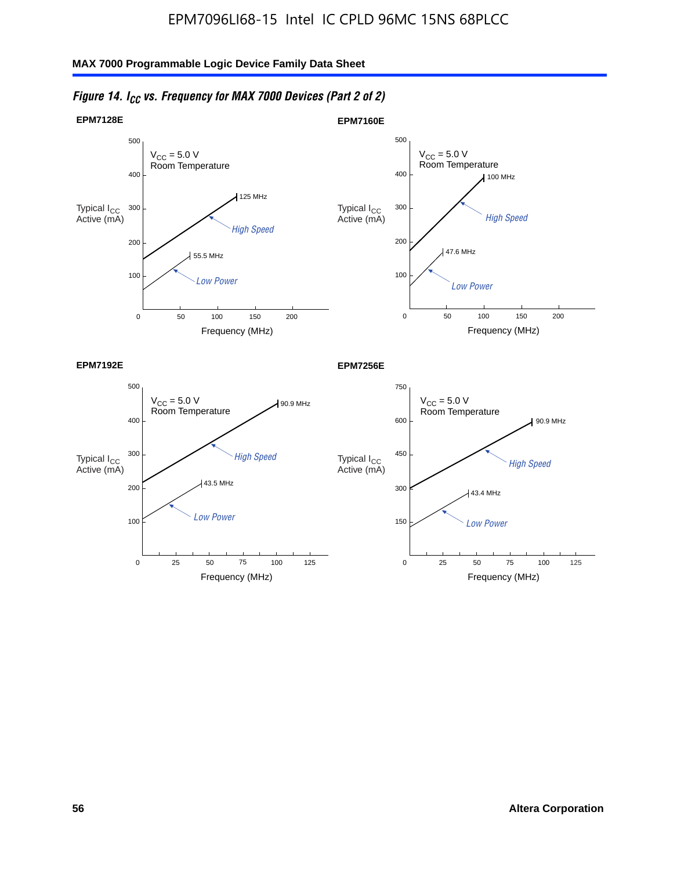

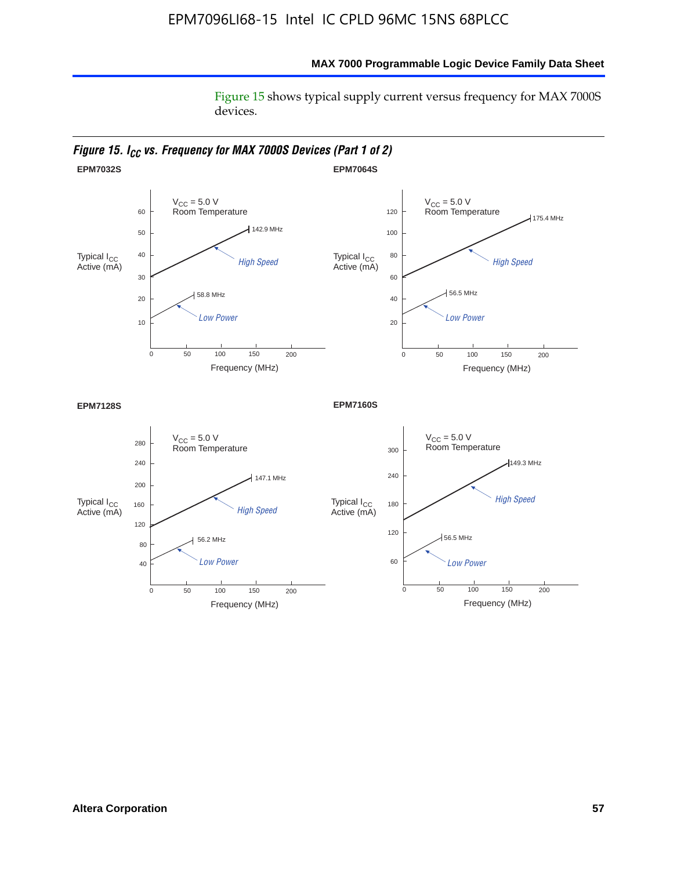### **MAX 7000 Programmable Logic Device Family Data Sheet**

Figure 15 shows typical supply current versus frequency for MAX 7000S devices.

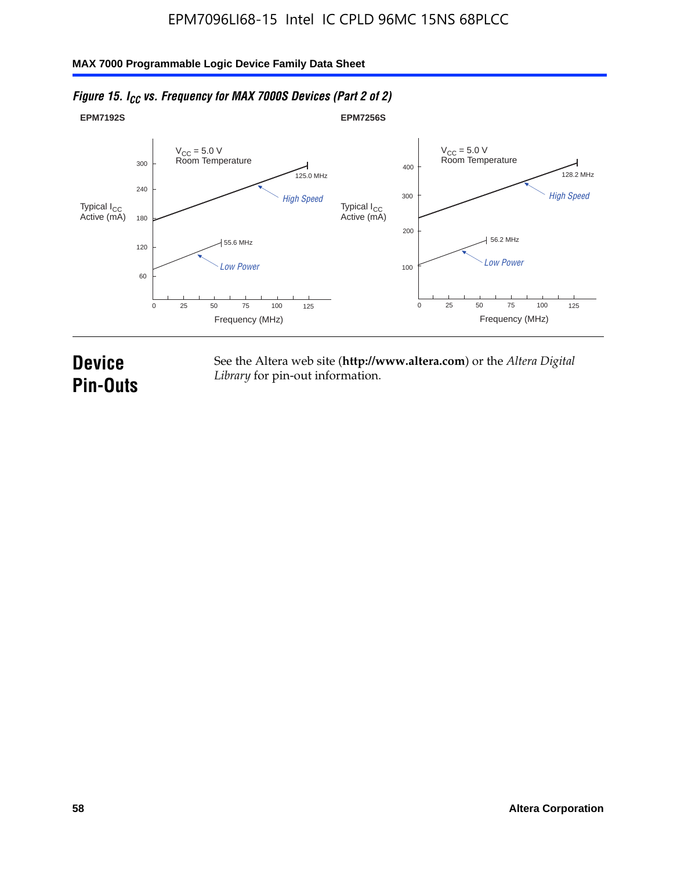#### **EPM7192S** V<sub>CC</sub> = 5.0 V<br>Room Temperature 0 Frequency (MHz) High Speed Low Power 25 100 125 125.0 MHz 55.6 MHz 60 120 180 240 300 50 75 **EPM7256S** V<sub>CC</sub> = 5.0 V<br>Room Temperature 0 Frequency (MHz) High Speed Low Power 25 100 125 128.2 MHz 56.2 MHz 100 200 300 400 50 75 Typical I<sub>CC</sub><br>Active (mA) Typical I<sub>CC</sub> Typical I<sub>CC</sub> Typical I<sub>C</sub> Typical I<sub>C</sub> Typical I<sub>C</sub> Typical I<sub>C</sub> Typical I<sub>C</sub> Typical I<sub>C</sub> Typical I<sub>C</sub> Typical I<sub>C</sub> Typical I<sub>C</sub> Typical I<sub>C</sub> Typical I<sub>C</sub> Typical I<sub>C</sub> Typical I<sub>C</sub> Typical I<sub>C</sub> Typical I<sub>C</sub> Typical I<sub>CC</sub><br>Active (mA)

### *Figure 15. I<sub>CC</sub> vs. Frequency for MAX 7000S Devices (Part 2 of 2)*

## **Device Pin-Outs**

See the Altera web site (**http://www.altera.com**) or the *Altera Digital Library* for pin-out information.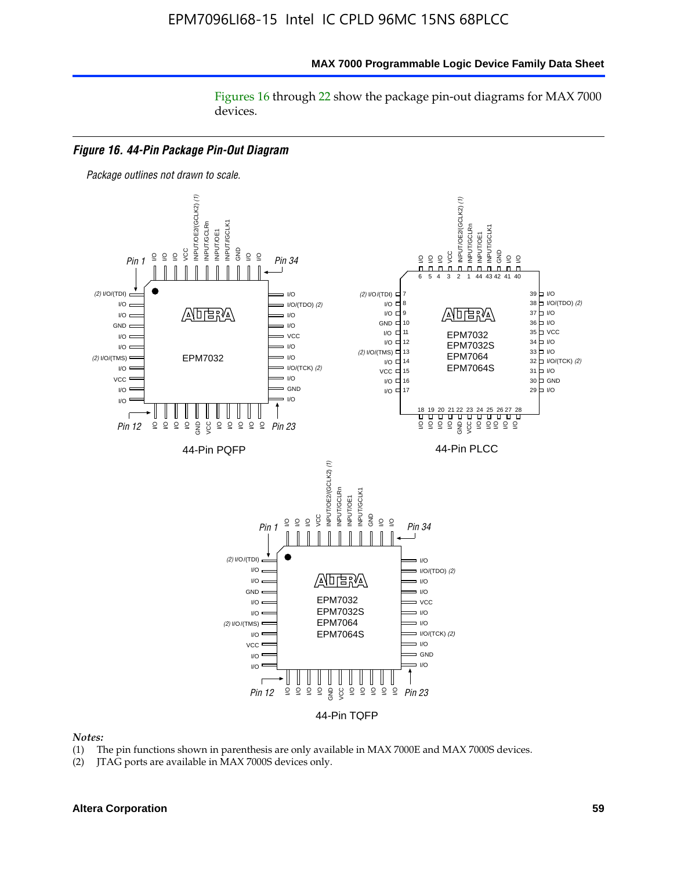#### **MAX 7000 Programmable Logic Device Family Data Sheet**

Figures 16 through 22 show the package pin-out diagrams for MAX 7000 devices.



#### *Notes:*

- (1) The pin functions shown in parenthesis are only available in MAX 7000E and MAX 7000S devices.
- (2) JTAG ports are available in MAX 7000S devices only.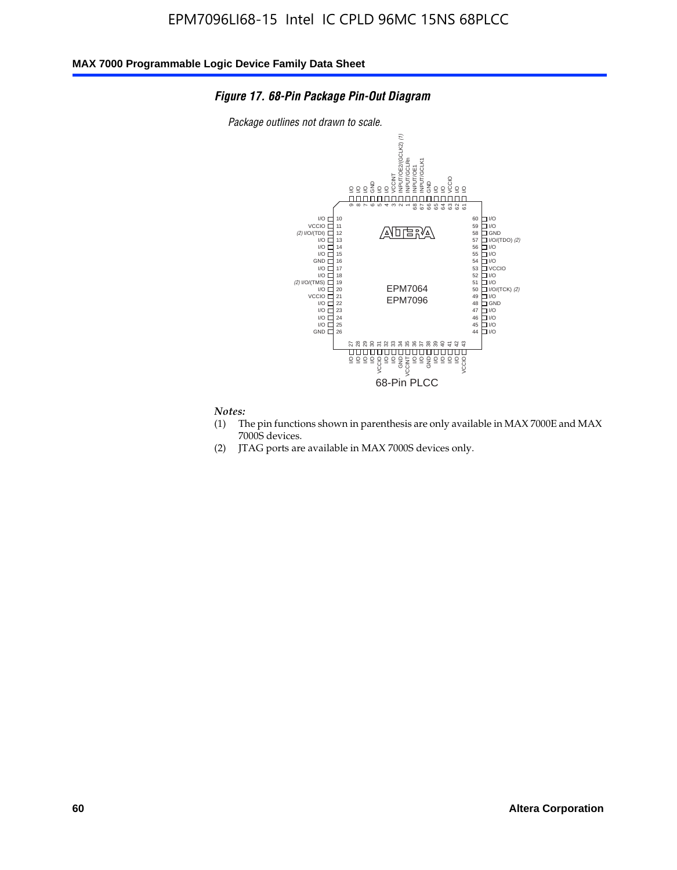### *Figure 17. 68-Pin Package Pin-Out Diagram*

*Package outlines not drawn to scale.*



## *Notes:*<br>(1) T

- The pin functions shown in parenthesis are only available in MAX 7000E and MAX 7000S devices.
- (2) JTAG ports are available in MAX 7000S devices only.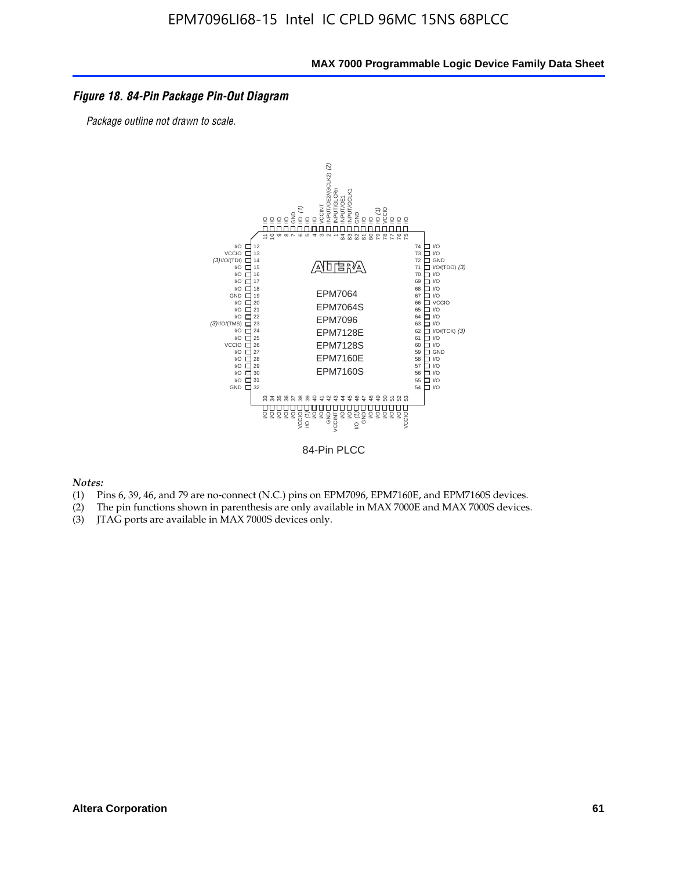### *Figure 18. 84-Pin Package Pin-Out Diagram*

*Package outline not drawn to scale.*



84-Pin PLCC

*Notes:*

- (1) Pins 6, 39, 46, and 79 are no-connect (N.C.) pins on EPM7096, EPM7160E, and EPM7160S devices.
- (2) The pin functions shown in parenthesis are only available in MAX 7000E and MAX 7000S devices.
-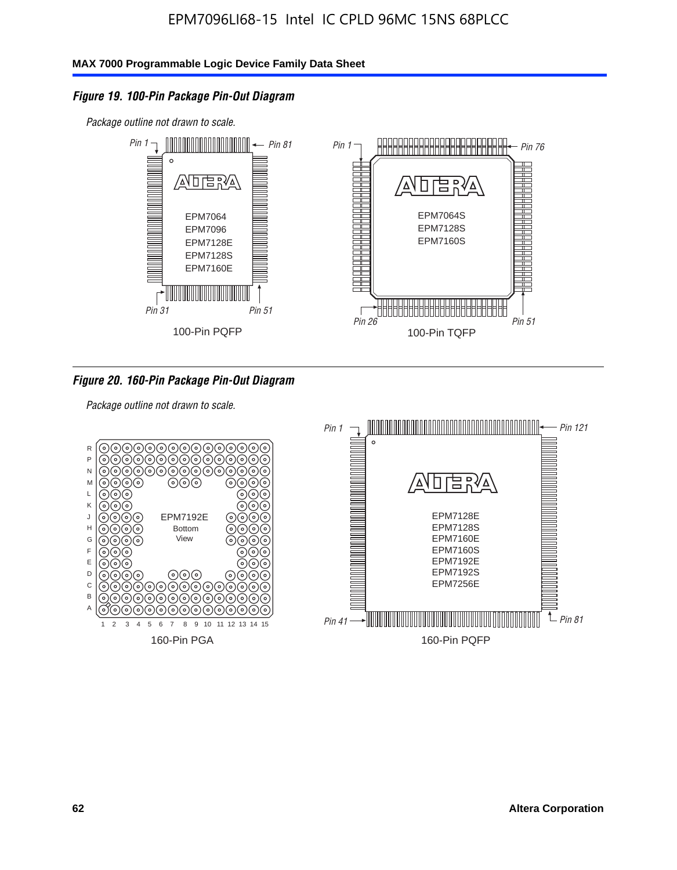### *Figure 19. 100-Pin Package Pin-Out Diagram*

*Package outline not drawn to scale.*



*Figure 20. 160-Pin Package Pin-Out Diagram*

*Package outline not drawn to scale.*

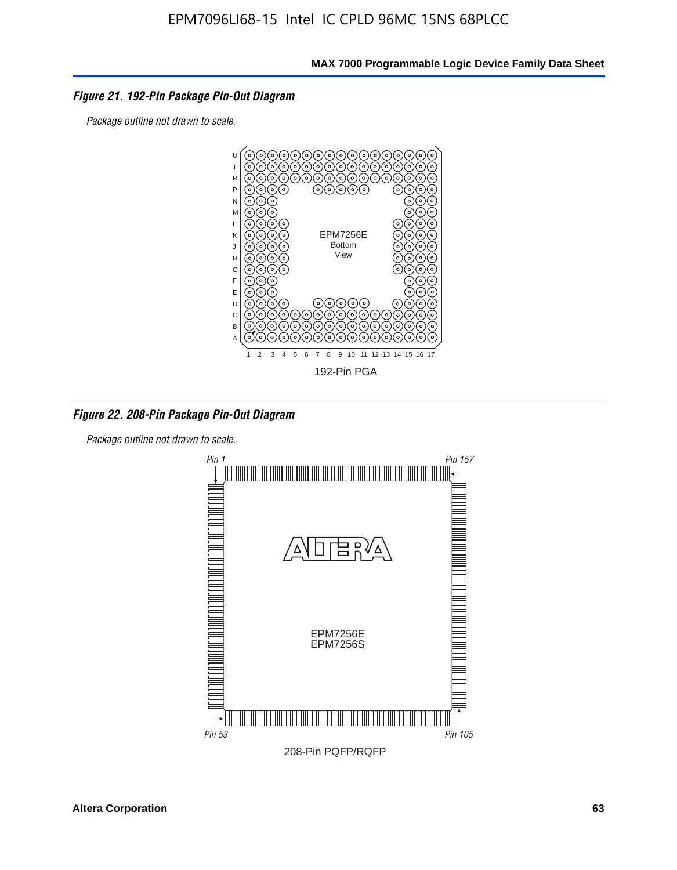

*Package outline not drawn to scale.*



*Figure 22. 208-Pin Package Pin-Out Diagram*

*Package outline not drawn to scale.*

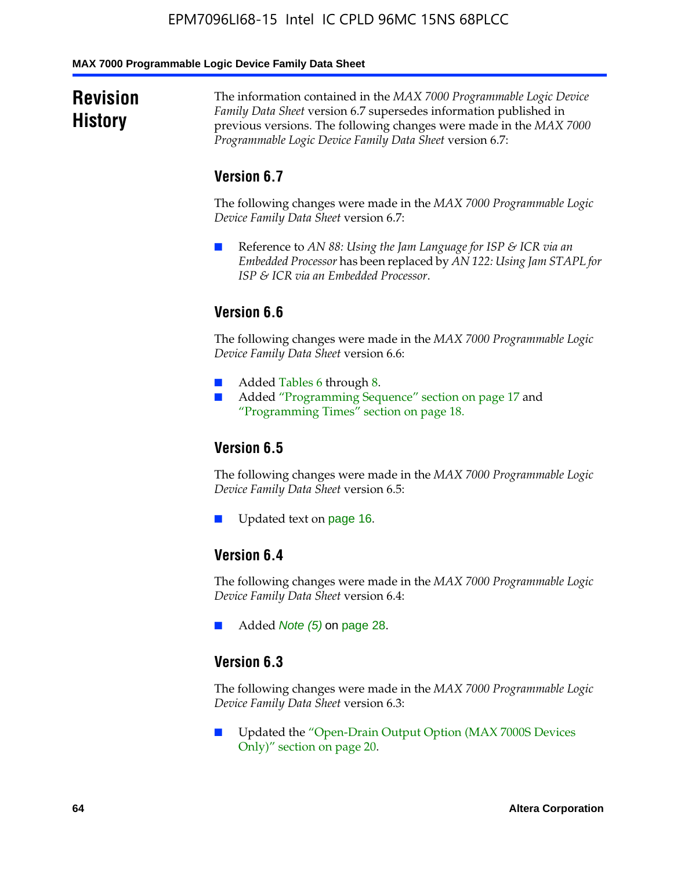**MAX 7000 Programmable Logic Device Family Data Sheet**

## **Revision History**

The information contained in the *MAX 7000 Programmable Logic Device Family Data Sheet* version 6.7 supersedes information published in previous versions. The following changes were made in the *MAX 7000 Programmable Logic Device Family Data Sheet* version 6.7:

## **Version 6.7**

The following changes were made in the *MAX 7000 Programmable Logic Device Family Data Sheet* version 6.7:

■ Reference to *AN 88: Using the Jam Language for ISP & ICR via an Embedded Processor* has been replaced by *AN 122: Using Jam STAPL for ISP & ICR via an Embedded Processor*.

## **Version 6.6**

The following changes were made in the *MAX 7000 Programmable Logic Device Family Data Sheet* version 6.6:

- Added Tables 6 through 8.
- Added "Programming Sequence" section on page 17 and "Programming Times" section on page 18.

## **Version 6.5**

The following changes were made in the *MAX 7000 Programmable Logic Device Family Data Sheet* version 6.5:

Updated text on page 16.

## **Version 6.4**

The following changes were made in the *MAX 7000 Programmable Logic Device Family Data Sheet* version 6.4:

■ Added *Note (5)* on page 28.

### **Version 6.3**

The following changes were made in the *MAX 7000 Programmable Logic Device Family Data Sheet* version 6.3:

■ Updated the "Open-Drain Output Option (MAX 7000S Devices Only)" section on page 20.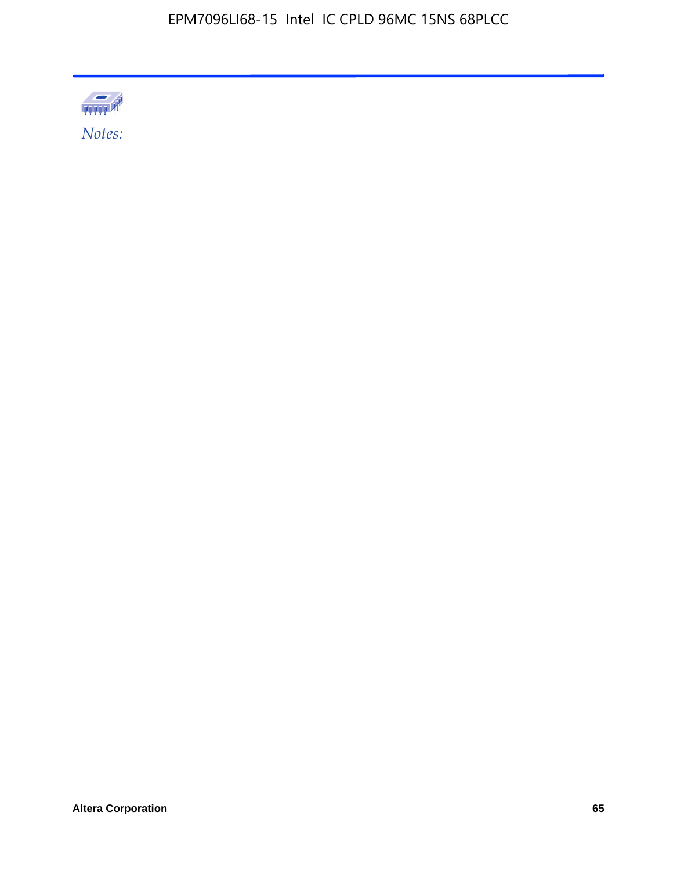

**Altera Corporation 65**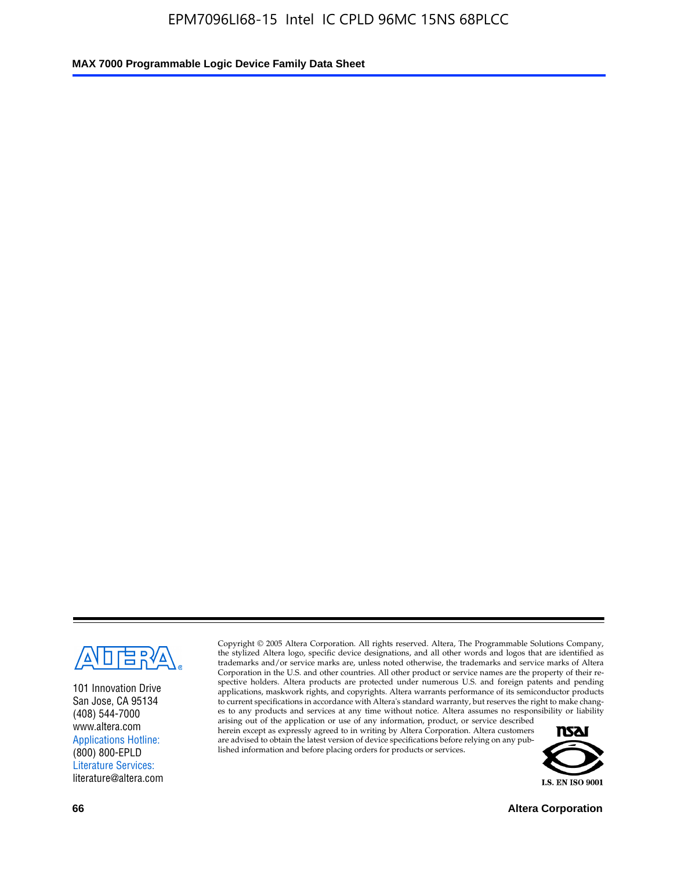

101 Innovation Drive San Jose, CA 95134 (408) 544-7000 www.altera.com Applications Hotline: (800) 800-EPLD Literature Services: literature@altera.com

Copyright © 2005 Altera Corporation. All rights reserved. Altera, The Programmable Solutions Company, the stylized Altera logo, specific device designations, and all other words and logos that are identified as trademarks and/or service marks are, unless noted otherwise, the trademarks and service marks of Altera Corporation in the U.S. and other countries. All other product or service names are the property of their respective holders. Altera products are protected under numerous U.S. and foreign patents and pending applications, maskwork rights, and copyrights. Altera warrants performance of its semiconductor products to current specifications in accordance with Altera's standard warranty, but reserves the right to make changes to any products and services at any time without notice. Altera assumes no responsibility or liability

arising out of the application or use of any information, product, or service described herein except as expressly agreed to in writing by Altera Corporation. Altera customers are advised to obtain the latest version of device specifications before relying on any published information and before placing orders for products or services.



**66 Altera Corporation**